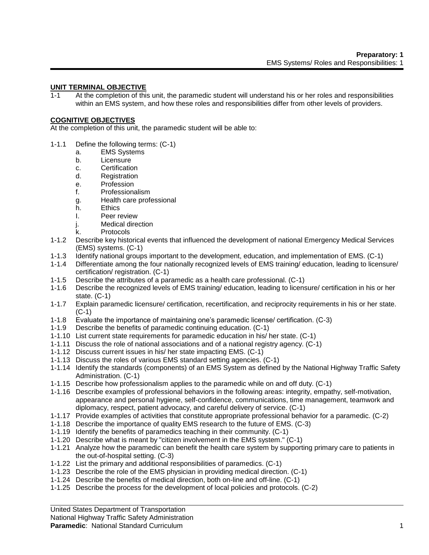## **UNIT TERMINAL OBJECTIVE**

1-1 At the completion of this unit, the paramedic student will understand his or her roles and responsibilities within an EMS system, and how these roles and responsibilities differ from other levels of providers.

#### **COGNITIVE OBJECTIVES**

At the completion of this unit, the paramedic student will be able to:

- 1-1.1 Define the following terms: (C-1)
	- a. EMS Systems
	- b. Licensure
	- c. Certification
	- d. Registration
	- e. Profession
	- f. Professionalism
	- g. Health care professional
	- h. Ethics
	- I. Peer review
	- j. Medical direction
	- k. Protocols
- 1-1.2 Describe key historical events that influenced the development of national Emergency Medical Services (EMS) systems. (C-1)
- 1-1.3 Identify national groups important to the development, education, and implementation of EMS. (C-1)
- 1-1.4 Differentiate among the four nationally recognized levels of EMS training/ education, leading to licensure/ certification/ registration. (C-1)
- 1-1.5 Describe the attributes of a paramedic as a health care professional. (C-1)
- 1-1.6 Describe the recognized levels of EMS training/ education, leading to licensure/ certification in his or her state. (C-1)
- 1-1.7 Explain paramedic licensure/ certification, recertification, and reciprocity requirements in his or her state. (C-1)
- 1-1.8 Evaluate the importance of maintaining one's paramedic license/ certification. (C-3)
- 1-1.9 Describe the benefits of paramedic continuing education. (C-1)
- 1-1.10 List current state requirements for paramedic education in his/ her state. (C-1)
- 1-1.11 Discuss the role of national associations and of a national registry agency. (C-1)
- 1-1.12 Discuss current issues in his/ her state impacting EMS. (C-1)
- 1-1.13 Discuss the roles of various EMS standard setting agencies. (C-1)
- 1-1.14 Identify the standards (components) of an EMS System as defined by the National Highway Traffic Safety Administration. (C-1)
- 1-1.15 Describe how professionalism applies to the paramedic while on and off duty. (C-1)
- 1-1.16 Describe examples of professional behaviors in the following areas: integrity, empathy, self-motivation, appearance and personal hygiene, self-confidence, communications, time management, teamwork and diplomacy, respect, patient advocacy, and careful delivery of service. (C-1)
- 1-1.17 Provide examples of activities that constitute appropriate professional behavior for a paramedic. (C-2)
- 1-1.18 Describe the importance of quality EMS research to the future of EMS. (C-3)
- 1-1.19 Identify the benefits of paramedics teaching in their community. (C-1)
- 1-1.20 Describe what is meant by "citizen involvement in the EMS system." (C-1)
- 1-1.21 Analyze how the paramedic can benefit the health care system by supporting primary care to patients in the out-of-hospital setting. (C-3)
- 1-1.22 List the primary and additional responsibilities of paramedics. (C-1)
- 1-1.23 Describe the role of the EMS physician in providing medical direction. (C-1)
- 1-1.24 Describe the benefits of medical direction, both on-line and off-line. (C-1)
- 1-1.25 Describe the process for the development of local policies and protocols. (C-2)

United States Department of Transportation

National Highway Traffic Safety Administration

#### **Paramedic**: National Standard Curriculum 1 and 1 and 1 and 1 and 1 and 1 and 1 and 1 and 1 and 1 and 1 and 1 and 1 and 1 and 1 and 1 and 1 and 1 and 1 and 1 and 1 and 1 and 1 and 1 and 1 and 1 and 1 and 1 and 1 and 1 and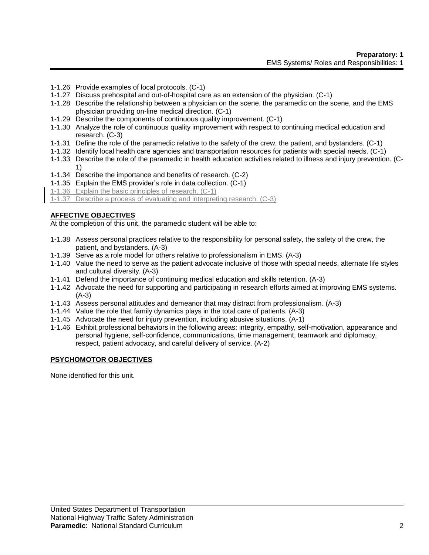- 1-1.26 Provide examples of local protocols. (C-1)
- 1-1.27 Discuss prehospital and out-of-hospital care as an extension of the physician. (C-1)
- 1-1.28 Describe the relationship between a physician on the scene, the paramedic on the scene, and the EMS physician providing on-line medical direction. (C-1)
- 1-1.29 Describe the components of continuous quality improvement. (C-1)
- 1-1.30 Analyze the role of continuous quality improvement with respect to continuing medical education and research. (C-3)
- 1-1.31 Define the role of the paramedic relative to the safety of the crew, the patient, and bystanders. (C-1)
- 1-1.32 Identify local health care agencies and transportation resources for patients with special needs. (C-1)
- 1-1.33 Describe the role of the paramedic in health education activities related to illness and injury prevention. (C-1)
- 1-1.34 Describe the importance and benefits of research. (C-2)
- 1-1.35 Explain the EMS provider's role in data collection. (C-1)
- 1-1.36 Explain the basic principles of research. (C-1)

1-1.37 Describe a process of evaluating and interpreting research. (C-3)

# **AFFECTIVE OBJECTIVES**

At the completion of this unit, the paramedic student will be able to:

- 1-1.38 Assess personal practices relative to the responsibility for personal safety, the safety of the crew, the patient, and bystanders. (A-3)
- 1-1.39 Serve as a role model for others relative to professionalism in EMS. (A-3)
- 1-1.40 Value the need to serve as the patient advocate inclusive of those with special needs, alternate life styles and cultural diversity. (A-3)
- 1-1.41 Defend the importance of continuing medical education and skills retention. (A-3)
- 1-1.42 Advocate the need for supporting and participating in research efforts aimed at improving EMS systems. (A-3)
- 1-1.43 Assess personal attitudes and demeanor that may distract from professionalism. (A-3)
- 1-1.44 Value the role that family dynamics plays in the total care of patients. (A-3)
- 1-1.45 Advocate the need for injury prevention, including abusive situations. (A-1)
- 1-1.46 Exhibit professional behaviors in the following areas: integrity, empathy, self-motivation, appearance and personal hygiene, self-confidence, communications, time management, teamwork and diplomacy, respect, patient advocacy, and careful delivery of service. (A-2)

## **PSYCHOMOTOR OBJECTIVES**

None identified for this unit.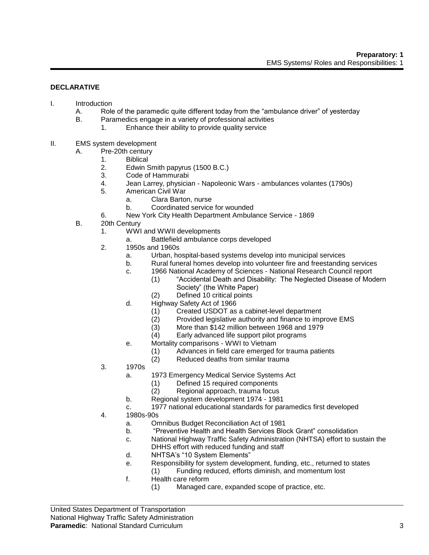#### **DECLARATIVE**

- I. Introduction
	- A. Role of the paramedic quite different today from the "ambulance driver" of yesterday
	- B. Paramedics engage in a variety of professional activities
		- 1. Enhance their ability to provide quality service
- II. EMS system development
	- A. Pre-20th century
		- 1. Biblical
		- 2. Edwin Smith papyrus (1500 B.C.)
		- 3. Code of Hammurabi
		- 4. Jean Larrey, physician Napoleonic Wars ambulances volantes (1790s)
		- 5. American Civil War
			- a. Clara Barton, nurse
			- b. Coordinated service for wounded
		- 6. New York City Health Department Ambulance Service 1869
	- B. 20th Century
		- 1. WWI and WWII developments
			- a. Battlefield ambulance corps developed
		- 2. 1950s and 1960s
			- a. Urban, hospital-based systems develop into municipal services
			- b. Rural funeral homes develop into volunteer fire and freestanding services
			- c. 1966 National Academy of Sciences National Research Council report
				- (1) "Accidental Death and Disability: The Neglected Disease of Modern Society" (the White Paper)
				- (2) Defined 10 critical points
			- d. Highway Safety Act of 1966
				- (1) Created USDOT as a cabinet-level department
				- (2) Provided legislative authority and finance to improve EMS
				- (3) More than \$142 million between 1968 and 1979
				- (4) Early advanced life support pilot programs
			- e. Mortality comparisons WWI to Vietnam
				- (1) Advances in field care emerged for trauma patients
				- (2) Reduced deaths from similar trauma
		- 3. 1970s
			- a. 1973 Emergency Medical Service Systems Act
				- (1) Defined 15 required components
				- (2) Regional approach, trauma focus
			- b. Regional system development 1974 1981
			- c. 1977 national educational standards for paramedics first developed
		- 4. 1980s-90s
			- a. Omnibus Budget Reconciliation Act of 1981
			- b. "Preventive Health and Health Services Block Grant" consolidation
			- c. National Highway Traffic Safety Administration (NHTSA) effort to sustain the DHHS effort with reduced funding and staff
			- d. NHTSA's "10 System Elements"
			- e. Responsibility for system development, funding, etc., returned to states (1) Funding reduced, efforts diminish, and momentum lost
			- f. Health care reform
				- (1) Managed care, expanded scope of practice, etc.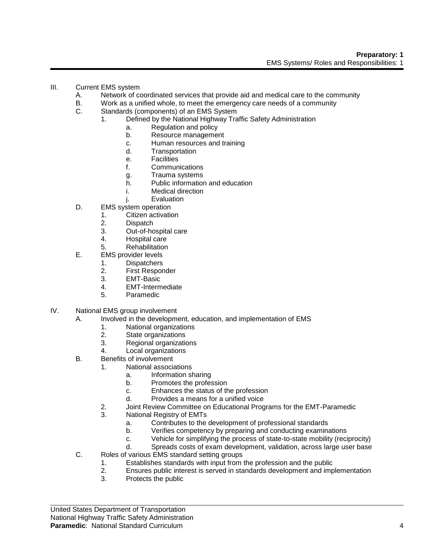- III. Current EMS system
	- A. Network of coordinated services that provide aid and medical care to the community
	- B. Work as a unified whole, to meet the emergency care needs of a community
	- C. Standards (components) of an EMS System
		- 1. Defined by the National Highway Traffic Safety Administration
			- a. Regulation and policy
			- b. Resource management
			- c. Human resources and training
			- d. Transportation
			- e. Facilities
			- f. Communications
			- g. Trauma systems
			- h. Public information and education
			- i. Medical direction
			- j. Evaluation
	- D. EMS system operation
		- 1. Citizen activation
		- 2. Dispatch
		- 3. Out-of-hospital care
		- 4. Hospital care
		- 5. Rehabilitation
	- E. EMS provider levels
		- 1. Dispatchers
			- 2. First Responder
		- 3. EMT-Basic
		- 4. EMT-Intermediate
		- 5. Paramedic
- IV. National EMS group involvement
	- A. Involved in the development, education, and implementation of EMS
		- 1. National organizations
		- 2. State organizations<br>3. Regional organizations
		- Regional organizations
		- 4. Local organizations
	- B. Benefits of involvement
		- 1. National associations
			- a. Information sharing
			- b. Promotes the profession
			- c. Enhances the status of the profession
			- d. Provides a means for a unified voice
		- 2. Joint Review Committee on Educational Programs for the EMT-Paramedic
		- 3. National Registry of EMTs
			- a. Contributes to the development of professional standards
			- b. Verifies competency by preparing and conducting examinations
			- c. Vehicle for simplifying the process of state-to-state mobility (reciprocity)
			- d. Spreads costs of exam development, validation, across large user base
	- C. Roles of various EMS standard setting groups
		- 1. Establishes standards with input from the profession and the public
		- 2. Ensures public interest is served in standards development and implementation
		- 3. Protects the public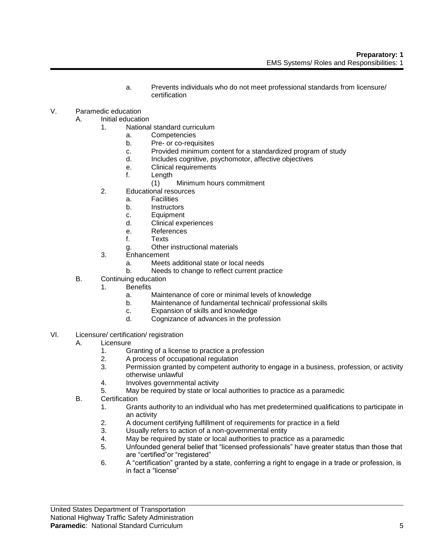- a. Prevents individuals who do not meet professional standards from licensure/ certification
- V. Paramedic education
	- A. Initial education
		- 1. National standard curriculum
			- a. Competencies
			- b. Pre- or co-requisites
			- c. Provided minimum content for a standardized program of study
			- d. Includes cognitive, psychomotor, affective objectives
			- e. Clinical requirements
			- f. Length
				- (1) Minimum hours commitment
		- 2. Educational resources
			- a. Facilities
			- b. Instructors
			- c. Equipment
			- d. Clinical experiences
			- e. References
			- f. Texts
			- g. Other instructional materials
		- 3. Enhancement
			- a. Meets additional state or local needs
			- b. Needs to change to reflect current practice
	- B. Continuing education
		- 1. Benefits
			- a. Maintenance of core or minimal levels of knowledge
			- b. Maintenance of fundamental technical/ professional skills
			- c. Expansion of skills and knowledge
			- d. Cognizance of advances in the profession
- VI. Licensure/ certification/ registration
	- A. Licensure
		- 1. Granting of a license to practice a profession
		- 2. A process of occupational regulation
		- 3. Permission granted by competent authority to engage in a business, profession, or activity otherwise unlawful
		- 4. Involves governmental activity
		- 5. May be required by state or local authorities to practice as a paramedic
	- B. Certification
		- 1. Grants authority to an individual who has met predetermined qualifications to participate in an activity
		- 2. A document certifying fulfillment of requirements for practice in a field
		- 3. Usually refers to action of a non-governmental entity
		- 4. May be required by state or local authorities to practice as a paramedic
		- 5. Unfounded general belief that "licensed professionals" have greater status than those that are "certified"or "registered"
		- 6. A "certification" granted by a state, conferring a right to engage in a trade or profession, is in fact a "license"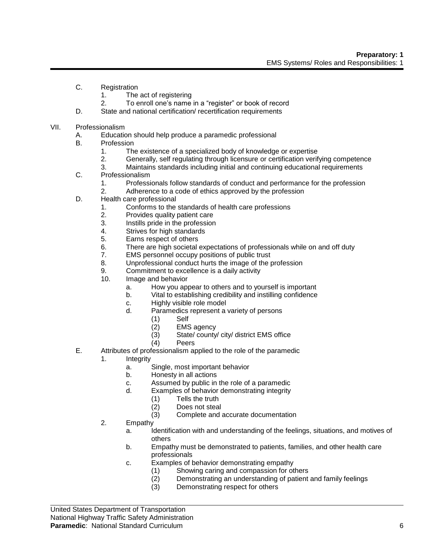- C. Registration
	- 1. The act of registering
	- 2. To enroll one's name in a "register" or book of record
- D. State and national certification/ recertification requirements
- VII. Professionalism
	- A. Education should help produce a paramedic professional
	- B. Profession
		- 1. The existence of a specialized body of knowledge or expertise
		- 2. Generally, self regulating through licensure or certification verifying competence
		- 3. Maintains standards including initial and continuing educational requirements
	- C. Professionalism
		- 1. Professionals follow standards of conduct and performance for the profession
		- 2. Adherence to a code of ethics approved by the profession
	- D. Health care professional
		- 1. Conforms to the standards of health care professions
		- 2. Provides quality patient care
		- 3. Instills pride in the profession
		- 4. Strives for high standards
		- 5. Earns respect of others
		- 6. There are high societal expectations of professionals while on and off duty
		- 7. EMS personnel occupy positions of public trust
		- 8. Unprofessional conduct hurts the image of the profession
		- 9. Commitment to excellence is a daily activity
		- 10. Image and behavior
			- a. How you appear to others and to yourself is important
			- b. Vital to establishing credibility and instilling confidence
			- c. Highly visible role model
			- d. Paramedics represent a variety of persons
				- (1) Self
				- (2) EMS agency
				- (3) State/ county/ city/ district EMS office
				- Peers
	- E. Attributes of professionalism applied to the role of the paramedic
		- 1. Integrity
			- a. Single, most important behavior
			- b. Honesty in all actions
			- c. Assumed by public in the role of a paramedic
			- d. Examples of behavior demonstrating integrity
				- (1) Tells the truth
				- (2) Does not steal
				- (3) Complete and accurate documentation
		- 2. Empathy
			- a. Identification with and understanding of the feelings, situations, and motives of others
			- b. Empathy must be demonstrated to patients, families, and other health care professionals
			- c. Examples of behavior demonstrating empathy
				- (1) Showing caring and compassion for others<br>(2) Demonstrating an understanding of patient
				- Demonstrating an understanding of patient and family feelings
				- (3) Demonstrating respect for others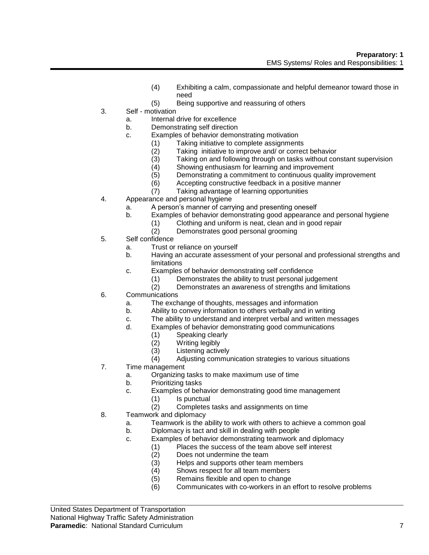- (4) Exhibiting a calm, compassionate and helpful demeanor toward those in need
- (5) Being supportive and reassuring of others
- 3. Self motivation
	- a. Internal drive for excellence
	- b. Demonstrating self direction
	- c. Examples of behavior demonstrating motivation
		- (1) Taking initiative to complete assignments<br>(2) Taking initiative to improve and/ or correc
		- (2) Taking initiative to improve and/ or correct behavior
		- Taking on and following through on tasks without constant supervision
		- (4) Showing enthusiasm for learning and improvement
		- (5) Demonstrating a commitment to continuous quality improvement
		- (6) Accepting constructive feedback in a positive manner
		- (7) Taking advantage of learning opportunities
- 4. Appearance and personal hygiene
	- a. A person's manner of carrying and presenting oneself
	- b. Examples of behavior demonstrating good appearance and personal hygiene
		- (1) Clothing and uniform is neat, clean and in good repair
		- (2) Demonstrates good personal grooming
- 5. Self confidence
	- a. Trust or reliance on yourself
	- b. Having an accurate assessment of your personal and professional strengths and limitations
	- c. Examples of behavior demonstrating self confidence
		- (1) Demonstrates the ability to trust personal judgement
		- (2) Demonstrates an awareness of strengths and limitations
- 6. Communications
	- a. The exchange of thoughts, messages and information
	- b. Ability to convey information to others verbally and in writing
	- c. The ability to understand and interpret verbal and written messages
	- d. Examples of behavior demonstrating good communications
		-
		- (1) Speaking clearly<br>(2) Writing legibly (2) Writing legibly<br>(3) Listening active
		- (3) Listening actively<br>(4) Adjusting commun
		- Adjusting communication strategies to various situations
- 7. Time management
	- a. Organizing tasks to make maximum use of time
	- b. Prioritizing tasks
	- c. Examples of behavior demonstrating good time management
		- (1) Is punctual
		- (2) Completes tasks and assignments on time
- 8. Teamwork and diplomacy
	- a. Teamwork is the ability to work with others to achieve a common goal
	- b. Diplomacy is tact and skill in dealing with people
	- c. Examples of behavior demonstrating teamwork and diplomacy
		- (1) Places the success of the team above self interest
			- (2) Does not undermine the team
		- (3) Helps and supports other team members<br>(4) Shows respect for all team members
		- Shows respect for all team members
		- (5) Remains flexible and open to change
		- (6) Communicates with co-workers in an effort to resolve problems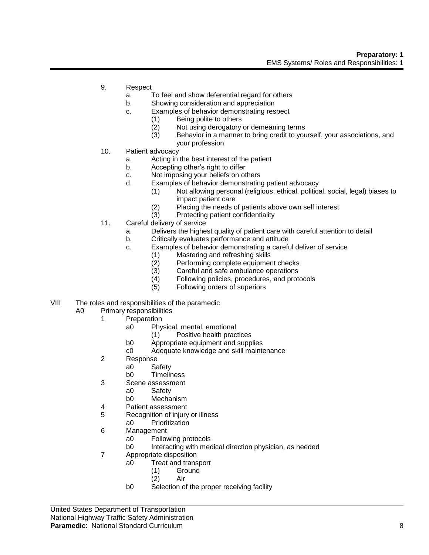- 9. Respect
	- a. To feel and show deferential regard for others
	- b. Showing consideration and appreciation
	- c. Examples of behavior demonstrating respect
		- (1) Being polite to others
		- (2) Not using derogatory or demeaning terms
		- (3) Behavior in a manner to bring credit to yourself, your associations, and your profession
- 10. Patient advocacy
	- a. Acting in the best interest of the patient
	- b. Accepting other's right to differ
	- c. Not imposing your beliefs on others
	- d. Examples of behavior demonstrating patient advocacy
		- (1) Not allowing personal (religious, ethical, political, social, legal) biases to impact patient care
		- (2) Placing the needs of patients above own self interest
		- (3) Protecting patient confidentiality
- 11. Careful delivery of service
	- a. Delivers the highest quality of patient care with careful attention to detail
	- b. Critically evaluates performance and attitude
	- c. Examples of behavior demonstrating a careful deliver of service
		- (1) Mastering and refreshing skills
		- (2) Performing complete equipment checks
		- (3) Careful and safe ambulance operations<br>(4) Following policies, procedures, and prote
		- Following policies, procedures, and protocols
		- (5) Following orders of superiors
- VIII The roles and responsibilities of the paramedic
	- A0 Primary responsibilities
		- 1 Preparation
			- a0 Physical, mental, emotional
				- (1) Positive health practices
			- b0 Appropriate equipment and supplies
			- c0 Adequate knowledge and skill maintenance
		- 2 Response
			- a0 Safety
				- b0 Timeliness
		- 3 Scene assessment
			- a0 Safety
			- b0 Mechanism
		- 4 Patient assessment
		- 5 Recognition of injury or illness
			- a0 Prioritization
		- 6 Management
			- a0 Following protocols
			- b0 Interacting with medical direction physician, as needed
		- 7 Appropriate disposition
			- a0 Treat and transport
				- (1) Ground
				- (2) Air
			- b0 Selection of the proper receiving facility

United States Department of Transportation National Highway Traffic Safety Administration **Paramedic**: National Standard Curriculum 8 (8) 8 and 8 and 8 and 8 and 8 and 8 and 8 and 8 and 8 and 8 and 8 and 8 and 8 and 8 and 8 and 8 and 8 and 8 and 8 and 8 and 8 and 8 and 8 and 8 and 8 and 8 and 8 and 8 and 8 and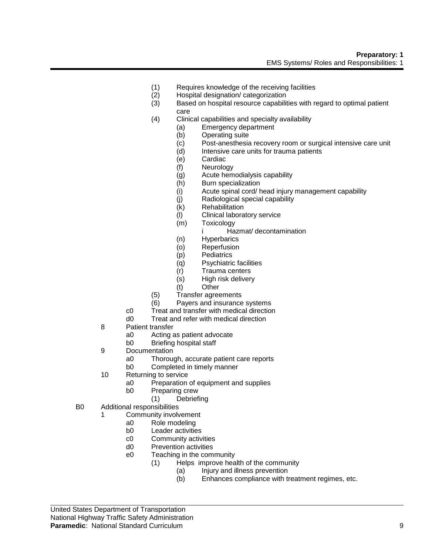#### **Preparatory: 1** EMS Systems/ Roles and Responsibilities: 1

- (1) Requires knowledge of the receiving facilities
- (2) Hospital designation/ categorization
- (3) Based on hospital resource capabilities with regard to optimal patient care
- (4) Clinical capabilities and specialty availability
	- (a) Emergency department
	- (b) Operating suite
	- (c) Post-anesthesia recovery room or surgical intensive care unit
	- Intensive care units for trauma patients
	- (e) Cardiac
	- (f) Neurology
	- (g) Acute hemodialysis capability
	- (h) Burn specialization
	- (i) Acute spinal cord/ head injury management capability
	- (j) Radiological special capability
	- (k) Rehabilitation
	- (l) Clinical laboratory service
	- (m) Toxicology
		- i Hazmat/ decontamination
	- (n) Hyperbarics
	- (o) Reperfusion
	- (p) Pediatrics
	- (q) Psychiatric facilities
	- (r) Trauma centers
	- (s) High risk delivery
	- (t) Other
- (5) Transfer agreements
- (6) Payers and insurance systems
- c0 Treat and transfer with medical direction
- d0 Treat and refer with medical direction
- 8 Patient transfer
	- a0 Acting as patient advocate
	- b0 Briefing hospital staff
- 9 Documentation
	- a0 Thorough, accurate patient care reports
	- b0 Completed in timely manner
- 10 Returning to service
	- a0 Preparation of equipment and supplies
	- b0 Preparing crew
		- (1) Debriefing
- B0 Additional responsibilities
	- 1 Community involvement
		- a0 Role modeling
		- b0 Leader activities
		- c0 Community activities
		- d0 Prevention activities
		- e0 Teaching in the community
			- (1) Helps improve health of the community
				- (a) Injury and illness prevention
					- (b) Enhances compliance with treatment regimes, etc.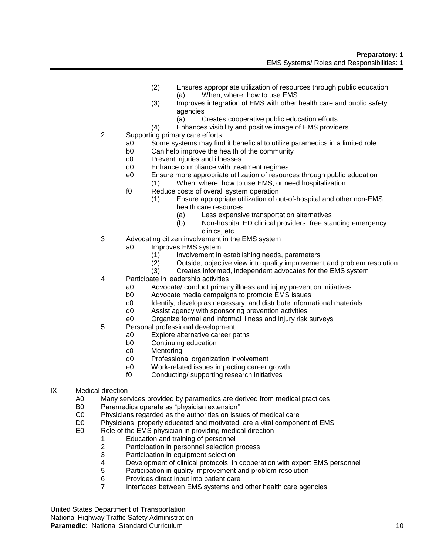- (2) Ensures appropriate utilization of resources through public education (a) When, where, how to use EMS
- (3) Improves integration of EMS with other health care and public safety agencies
	- (a) Creates cooperative public education efforts
- (4) Enhances visibility and positive image of EMS providers
- 2 Supporting primary care efforts
	- a0 Some systems may find it beneficial to utilize paramedics in a limited role
	- b0 Can help improve the health of the community
	- c0 Prevent injuries and illnesses
	- d0 Enhance compliance with treatment regimes
	- e0 Ensure more appropriate utilization of resources through public education
		- (1) When, where, how to use EMS, or need hospitalization
	- f0 Reduce costs of overall system operation
		- (1) Ensure appropriate utilization of out-of-hospital and other non-EMS health care resources
			- (a) Less expensive transportation alternatives
			- (b) Non-hospital ED clinical providers, free standing emergency clinics, etc.
- 3 Advocating citizen involvement in the EMS system
	- a0 Improves EMS system
		- (1) Involvement in establishing needs, parameters
		- (2) Outside, objective view into quality improvement and problem resolution
		- (3) Creates informed, independent advocates for the EMS system
- 4 Participate in leadership activities
	- a0 Advocate/ conduct primary illness and injury prevention initiatives
	- b0 Advocate media campaigns to promote EMS issues
	- c0 Identify, develop as necessary, and distribute informational materials
	- d0 Assist agency with sponsoring prevention activities
	- e0 Organize formal and informal illness and injury risk surveys
- 5 Personal professional development
	- a0 Explore alternative career paths
	- b0 Continuing education
	- c0 Mentoring
	- d0 Professional organization involvement
	- e0 Work-related issues impacting career growth
	- f0 Conducting/ supporting research initiatives
- IX Medical direction
	- A0 Many services provided by paramedics are derived from medical practices
	- B0 Paramedics operate as "physician extension"
	- C0 Physicians regarded as the authorities on issues of medical care
	- D0 Physicians, properly educated and motivated, are a vital component of EMS
	- E0 Role of the EMS physician in providing medical direction
		- 1 Education and training of personnel
		- 2 Participation in personnel selection process<br>3 Participation in equipment selection
		- Participation in equipment selection
		- 4 Development of clinical protocols, in cooperation with expert EMS personnel<br>5 Participation in quality improvement and problem resolution
		- Participation in quality improvement and problem resolution
		- 6 Provides direct input into patient care
		- 7 Interfaces between EMS systems and other health care agencies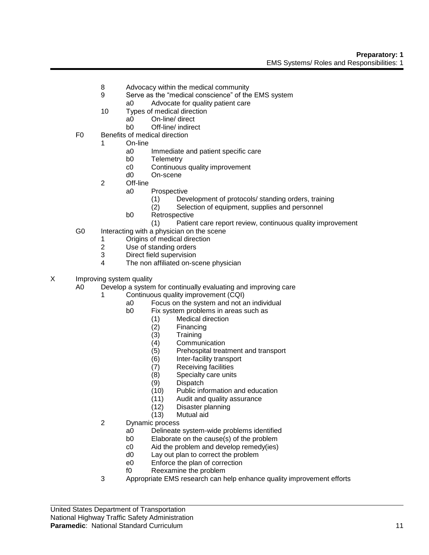- 8 Advocacy within the medical community
- 9 Serve as the "medical conscience" of the EMS system
- a0 Advocate for quality patient care
- 10 Types of medical direction
	- a0 On-line/ direct
	- b0 Off-line/ indirect
- F0 Benefits of medical direction
	- 1 On-line
		- a0 Immediate and patient specific care
		- b0 Telemetry
		- c0 Continuous quality improvement
		- d0 On-scene
		- 2 Off-line
			- a0 Prospective
				- (1) Development of protocols/ standing orders, training
				- (2) Selection of equipment, supplies and personnel
			- b0 Retrospective
				- (1) Patient care report review, continuous quality improvement
- G0 Interacting with a physician on the scene
	- 1 Origins of medical direction
	- 2 Use of standing orders<br>3 Direct field supervision
	- Direct field supervision
	- 4 The non affiliated on-scene physician
- X Improving system quality

A0 Develop a system for continually evaluating and improving care

- 1 Continuous quality improvement (CQI)
	- a0 Focus on the system and not an individual
	- b0 Fix system problems in areas such as
		- (1) Medical direction
			- (2) Financing
			- (3) Training
			- (4) Communication
			- Prehospital treatment and transport
			- (6) Inter-facility transport
			- (7) Receiving facilities
		- (8) Specialty care units
		- (9) Dispatch
		- (10) Public information and education
		- (11) Audit and quality assurance
		- (12) Disaster planning
		- (13) Mutual aid
- 2 Dynamic process
	- a0 Delineate system-wide problems identified
	- b0 Elaborate on the cause(s) of the problem
	- c0 Aid the problem and develop remedy(ies)
	- d0 Lay out plan to correct the problem
	- e0 Enforce the plan of correction
	- f0 Reexamine the problem
- 3 Appropriate EMS research can help enhance quality improvement efforts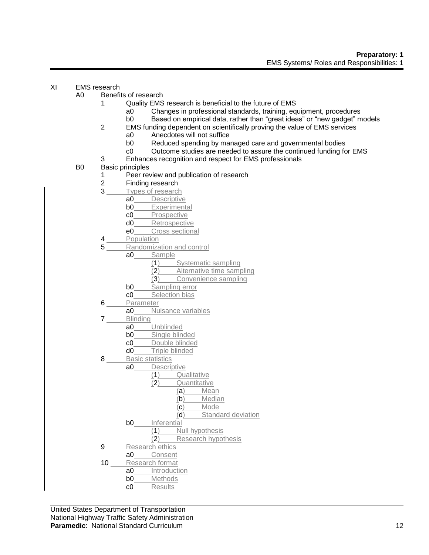## XI EMS research

- A0 Benefits of research
	- 1 Quality EMS research is beneficial to the future of EMS
		- a0 Changes in professional standards, training, equipment, procedures
		- b0 Based on empirical data, rather than "great ideas" or "new gadget" models
	- 2 EMS funding dependent on scientifically proving the value of EMS services
		- a0 Anecdotes will not suffice
		- b0 Reduced spending by managed care and governmental bodies
		- c0 Outcome studies are needed to assure the continued funding for EMS
	- 3 Enhances recognition and respect for EMS professionals
- B0 Basic principles
	- 1 Peer review and publication of research<br>2 Finding research
	- Finding research
	- 3 Types of research
		- a0 Descriptive
		- **b0** Experimental
		- c0 Prospective
		- d0 Retrospective
		- e0 Cross sectional
	- 4 Population
	- 5 Randomization and control
		- a0 Sample
			- (1) Systematic sampling
			- (2) Alternative time sampling
			- (3) Convenience sampling
			- **b0** Sampling error
			- c0 Selection bias
	- 6 Parameter
		- a0 Nuisance variables
	- 7 Blinding
		- a0 Unblinded
		- **b0** Single blinded
		- c0 Double blinded<br>d0 Triple blinded
		- Triple blinded
	- 8 Basic statistics
	- a0 Descriptive
		- (1) Qualitative
		- (2) Quantitative
			- (a) Mean
			- (b) Median
			- (c) Mode
		- (d) Standard deviation
		- b0 Inferential
			- (1) Null hypothesis
			- (2) Research hypothesis
	- 9 Research ethics
	- a0 Consent 10 Research format<br>a0 Introduct
	- a0\_\_\_\_\_ Introduction<br>b0 Methods Methods
		- c0 Results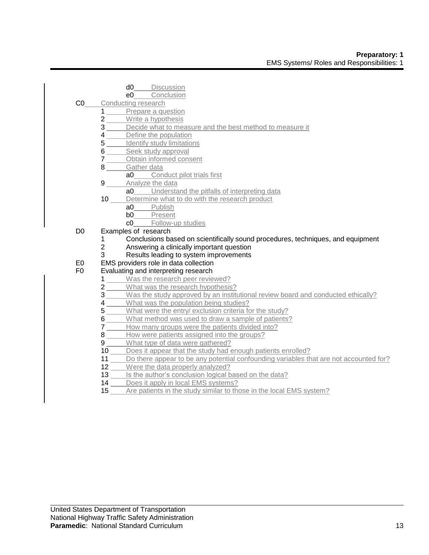- d0 Discussion
- e0 Conclusion C0 Conducting research
	- 1 Prepare a question
		- 2 Write a hypothesis
		- 3 Decide what to measure and the best method to measure it
		- 4 Define the population
		- 5 Identify study limitations
		- 6 Seek study approval
		- 7 Obtain informed consent
		- 8 Gather data
			- a0 Conduct pilot trials first
		- **9** Analyze the data
			- a0 Understand the pitfalls of interpreting data
		- 10 Determine what to do with the research product
			- a0 Publish
			- b0 Present
			- c0 Follow-up studies
- D0 Examples of research
	- 1 Conclusions based on scientifically sound procedures, techniques, and equipment
	- 2 Answering a clinically important question
	- 3 Results leading to system improvements
- E0 EMS providers role in data collection<br>F0 Evaluating and interpreting research

# Evaluating and interpreting research

- 1 Was the research peer reviewed?
- 2 What was the research hypothesis?
- 3 Was the study approved by an institutional review board and conducted ethically?
- 4 What was the population being studies?
- 5 What were the entry/ exclusion criteria for the study?
- 6 What method was used to draw a sample of patients?
- 7 How many groups were the patients divided into?
- 8 How were patients assigned into the groups?
- 9 What type of data were gathered?
- 10 Does it appear that the study had enough patients enrolled?
- 11 Do there appear to be any potential confounding variables that are not accounted for?
- 12 Were the data properly analyzed?
- 13 Is the author's conclusion logical based on the data?
- 14 Does it apply in local EMS systems?
- 15 Are patients in the study similar to those in the local EMS system?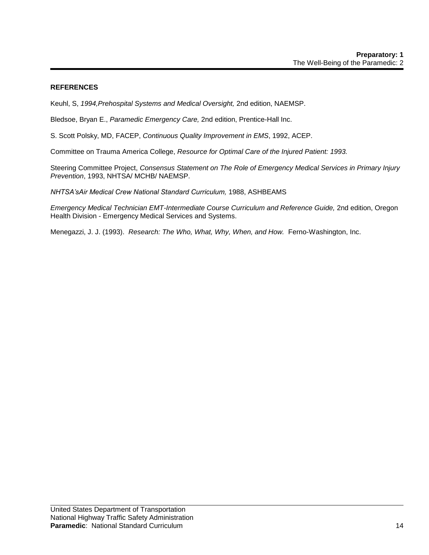## **REFERENCES**

Keuhl, S, *1994,Prehospital Systems and Medical Oversight,* 2nd edition, NAEMSP.

Bledsoe, Bryan E., *Paramedic Emergency Care,* 2nd edition, Prentice-Hall Inc.

S. Scott Polsky, MD, FACEP, *Continuous Quality Improvement in EMS*, 1992, ACEP.

Committee on Trauma America College, *Resource for Optimal Care of the Injured Patient: 1993.*

Steering Committee Project, *Consensus Statement on The Role of Emergency Medical Services in Primary Injury Prevention*, 1993, NHTSA/ MCHB/ NAEMSP.

*NHTSA'sAir Medical Crew National Standard Curriculum,* 1988, ASHBEAMS

*Emergency Medical Technician EMT-Intermediate Course Curriculum and Reference Guide, 2nd edition, Oregon* Health Division - Emergency Medical Services and Systems.

Menegazzi, J. J. (1993). *Research: The Who, What, Why, When, and How.* Ferno-Washington, Inc.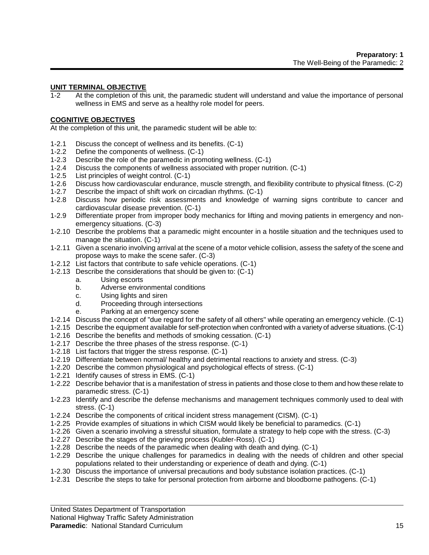## **UNIT TERMINAL OBJECTIVE**

1-2 At the completion of this unit, the paramedic student will understand and value the importance of personal wellness in EMS and serve as a healthy role model for peers.

#### **COGNITIVE OBJECTIVES**

At the completion of this unit, the paramedic student will be able to:

- 1-2.1 Discuss the concept of wellness and its benefits. (C-1)
- 1-2.2 Define the components of wellness. (C-1)
- 1-2.3 Describe the role of the paramedic in promoting wellness. (C-1)
- 1-2.4 Discuss the components of wellness associated with proper nutrition. (C-1)
- 1-2.5 List principles of weight control. (C-1)
- 1-2.6 Discuss how cardiovascular endurance, muscle strength, and flexibility contribute to physical fitness. (C-2)
- 1-2.7 Describe the impact of shift work on circadian rhythms. (C-1)
- 1-2.8 Discuss how periodic risk assessments and knowledge of warning signs contribute to cancer and cardiovascular disease prevention. (C-1)
- 1-2.9 Differentiate proper from improper body mechanics for lifting and moving patients in emergency and nonemergency situations. (C-3)
- 1-2.10 Describe the problems that a paramedic might encounter in a hostile situation and the techniques used to manage the situation. (C-1)
- 1-2.11 Given a scenario involving arrival at the scene of a motor vehicle collision, assess the safety of the scene and propose ways to make the scene safer. (C-3)
- 1-2.12 List factors that contribute to safe vehicle operations. (C-1)
- 1-2.13 Describe the considerations that should be given to: (C-1)
	- a. Using escorts
	- b. Adverse environmental conditions
	- c. Using lights and siren
	- d. Proceeding through intersections
	- e. Parking at an emergency scene
- 1-2.14 Discuss the concept of "due regard for the safety of all others" while operating an emergency vehicle. (C-1)
- 1-2.15 Describe the equipment available for self-protection when confronted with a variety of adverse situations. (C-1)
- 1-2.16 Describe the benefits and methods of smoking cessation. (C-1)
- 1-2.17 Describe the three phases of the stress response. (C-1)
- 1-2.18 List factors that trigger the stress response. (C-1)
- 1-2.19 Differentiate between normal/ healthy and detrimental reactions to anxiety and stress. (C-3)
- 1-2.20 Describe the common physiological and psychological effects of stress. (C-1)
- 1-2.21 Identify causes of stress in EMS. (C-1)
- 1-2.22 Describe behavior that is a manifestation of stress in patients and those close to them and how these relate to paramedic stress. (C-1)
- 1-2.23 Identify and describe the defense mechanisms and management techniques commonly used to deal with stress. (C-1)
- 1-2.24 Describe the components of critical incident stress management (CISM). (C-1)
- 1-2.25 Provide examples of situations in which CISM would likely be beneficial to paramedics. (C-1)
- 1-2.26 Given a scenario involving a stressful situation, formulate a strategy to help cope with the stress. (C-3)
- 1-2.27 Describe the stages of the grieving process (Kubler-Ross). (C-1)
- 1-2.28 Describe the needs of the paramedic when dealing with death and dying. (C-1)
- 1-2.29 Describe the unique challenges for paramedics in dealing with the needs of children and other special populations related to their understanding or experience of death and dying. (C-1)
- 1-2.30 Discuss the importance of universal precautions and body substance isolation practices. (C-1)
- 1-2.31 Describe the steps to take for personal protection from airborne and bloodborne pathogens. (C-1)

#### National Highway Traffic Safety Administration

#### **Paramedic**: National Standard Curriculum 15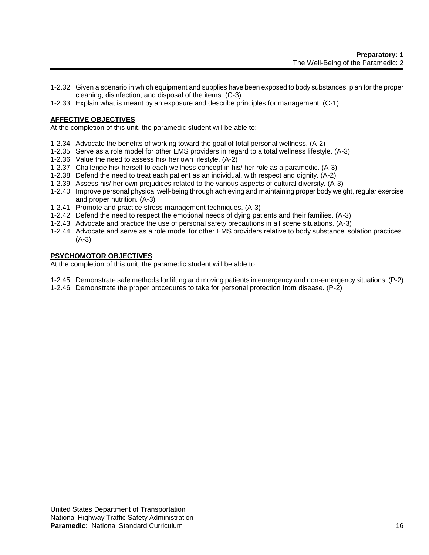- 1-2.32 Given a scenario in which equipment and supplies have been exposed to body substances, plan for the proper cleaning, disinfection, and disposal of the items. (C-3)
- 1-2.33 Explain what is meant by an exposure and describe principles for management. (C-1)

# **AFFECTIVE OBJECTIVES**

At the completion of this unit, the paramedic student will be able to:

- 1-2.34 Advocate the benefits of working toward the goal of total personal wellness. (A-2)
- 1-2.35 Serve as a role model for other EMS providers in regard to a total wellness lifestyle. (A-3)
- 1-2.36 Value the need to assess his/ her own lifestyle. (A-2)
- 1-2.37 Challenge his/ herself to each wellness concept in his/ her role as a paramedic. (A-3)
- 1-2.38 Defend the need to treat each patient as an individual, with respect and dignity. (A-2)
- 1-2.39 Assess his/ her own prejudices related to the various aspects of cultural diversity. (A-3)
- 1-2.40 Improve personal physical well-being through achieving and maintaining proper body weight, regular exercise and proper nutrition. (A-3)
- 1-2.41 Promote and practice stress management techniques. (A-3)
- 1-2.42 Defend the need to respect the emotional needs of dying patients and their families. (A-3)
- 1-2.43 Advocate and practice the use of personal safety precautions in all scene situations. (A-3)
- 1-2.44 Advocate and serve as a role model for other EMS providers relative to body substance isolation practices. (A-3)

## **PSYCHOMOTOR OBJECTIVES**

At the completion of this unit, the paramedic student will be able to:

- 1-2.45 Demonstrate safe methods for lifting and moving patients in emergency and non-emergency situations. (P-2)
- 1-2.46 Demonstrate the proper procedures to take for personal protection from disease. (P-2)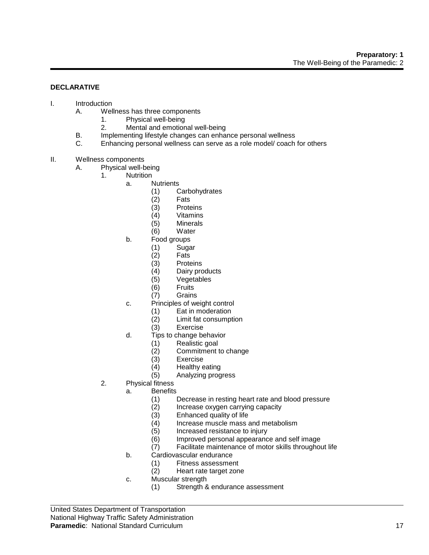#### **DECLARATIVE**

- I. Introduction
	- A. Wellness has three components
		- 1. Physical well-being
		- 2. Mental and emotional well-being
	- B. Implementing lifestyle changes can enhance personal wellness
	- C. Enhancing personal wellness can serve as a role model/ coach for others
- II. Wellness components
	- A. Physical well-being
		- 1. Nutrition
			- a. Nutrients
				- (1) Carbohydrates
				- (2) Fats
				- (3) Proteins
				- (4) Vitamins
				- (5) Minerals
				- (6) Water
				- b. Food groups
					- $(1)$  Sugar<br> $(2)$  Fats
					- Fats
					- (3) Proteins<br>(4) Dairy pro
					- Dairy products
					- (5) Vegetables
					- (6) Fruits
					- (7) Grains
			- c. Principles of weight control
				- (1) Eat in moderation
				- (2) Limit fat consumption
				- (3) Exercise
			- d. Tips to change behavior
				- (1) Realistic goal
					- (2) Commitment to change
					-
					- (3) Exercise<br>(4) Healthy e
					- (4) Healthy eating<br>(5) Analyzing prog (5) Analyzing progress
			- 2. Physical fitness
				- a. Benefits
					- (1) Decrease in resting heart rate and blood pressure
					- (2) Increase oxygen carrying capacity
					- (3) Enhanced quality of life
					- (4) Increase muscle mass and metabolism
					- (5) Increased resistance to injury<br>(6) Improved personal appearanc
					- Improved personal appearance and self image
					- (7) Facilitate maintenance of motor skills throughout life
				- b. Cardiovascular endurance<br>
				(1) Fitness assessme
					- Fitness assessment
					- (2) Heart rate target zone
				- c. Muscular strength
					- (1) Strength & endurance assessment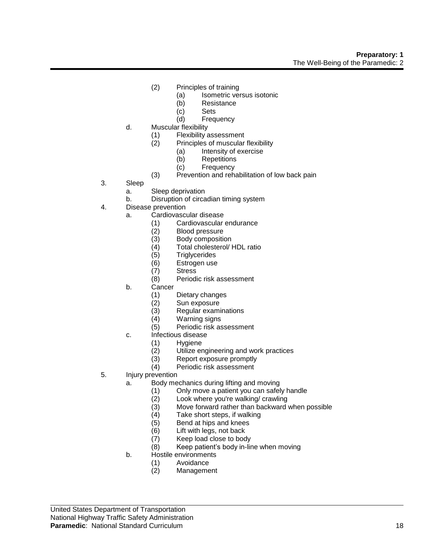- (2) Principles of training
	- (a) Isometric versus isotonic
	- (b) Resistance
	- (c) Sets
	- (d) Frequency
- d. Muscular flexibility
	- (1) Flexibility assessment<br>(2) Principles of muscular
	- Principles of muscular flexibility
		- (a) Intensity of exercise
		- (b) Repetitions
		- (c) Frequency
	- (3) Prevention and rehabilitation of low back pain
- 3. Sleep
	- a. Sleep deprivation
	- b. Disruption of circadian timing system
- 4. Disease prevention
	- a. Cardiovascular disease
		- (1) Cardiovascular endurance
		- (2) Blood pressure
		- (3) Body composition
		- (4) Total cholesterol/ HDL ratio
		- (5) Triglycerides
		- (6) Estrogen use
		- **Stress**
		- (8) Periodic risk assessment
	- b. Cancer
		- (1) Dietary changes
		- Sun exposure
		- (3) Regular examinations
		- (4) Warning signs
		- (5) Periodic risk assessment
	- c. Infectious disease
		- (1) Hygiene<br>(2) Utilize er
		- $(2)$  Utilize engineering and work practices<br> $(3)$  Report exposure promptly
		- Report exposure promptly
		- (4) Periodic risk assessment
- 5. Injury prevention
	- a. Body mechanics during lifting and moving
		- (1) Only move a patient you can safely handle<br>(2) Look where you're walking/ crawling
		- Look where you're walking/ crawling
		- (3) Move forward rather than backward when possible
		- (4) Take short steps, if walking
		- (5) Bend at hips and knees
		- (6) Lift with legs, not back
		- (7) Keep load close to body
		- (8) Keep patient's body in-line when moving
	- b. Hostile environments
		- (1) Avoidance
		- (2) Management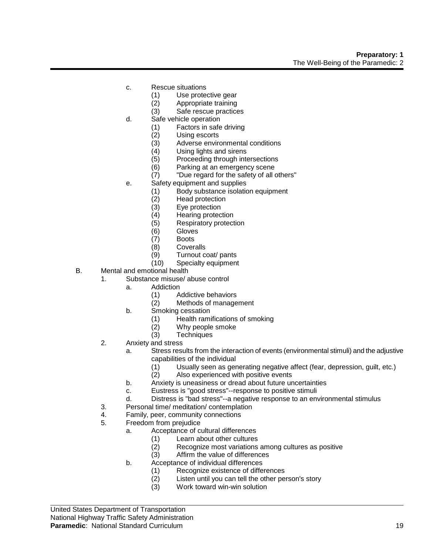- c. Rescue situations
	- (1) Use protective gear
	- (2) Appropriate training
	- (3) Safe rescue practices
- d. Safe vehicle operation
	- (1) Factors in safe driving
	- (2) Using escorts<br>(3) Adverse envire
	- (3) Adverse environmental conditions<br>(4) Using lights and sirens
	- Using lights and sirens
	- (5) Proceeding through intersections
	- (6) Parking at an emergency scene
	- (7) "Due regard for the safety of all others"
- e. Safety equipment and supplies
	- (1) Body substance isolation equipment
	- (2) Head protection
	- (3) Eye protection
	- (4) Hearing protection
	- (5) Respiratory protection
	- (6) Gloves
	- (7) Boots
	- (8) Coveralls
	- (9) Turnout coat/ pants<br>(10) Specialty equipment
	- Specialty equipment
- B. Mental and emotional health
	- 1. Substance misuse/ abuse control
		- a. Addiction
			- (1) Addictive behaviors
			- (2) Methods of management
		- b. Smoking cessation
			- (1) Health ramifications of smoking
			- (2) Why people smoke
			- (3) Techniques
	- 2. Anxiety and stress
		- a. Stress results from the interaction of events (environmental stimuli) and the adjustive capabilities of the individual
			- $(1)$  Usually seen as generating negative affect (fear, depression, guilt, etc.)<br> $(2)$  Also experienced with positive events
			- Also experienced with positive events
		- b. Anxiety is uneasiness or dread about future uncertainties
		- c. Eustress is "good stress"--response to positive stimuli
		- d. Distress is "bad stress"--a negative response to an environmental stimulus
	- 3. Personal time/ meditation/ contemplation
	- 4. Family, peer, community connections
	- 5. Freedom from prejudice
		- a. Acceptance of cultural differences
			- (1) Learn about other cultures
			- (2) Recognize most variations among cultures as positive
			- (3) Affirm the value of differences
			- b. Acceptance of individual differences
				- (1) Recognize existence of differences<br>(2) Listen until you can tell the other pe
				- Listen until you can tell the other person's story
				- (3) Work toward win-win solution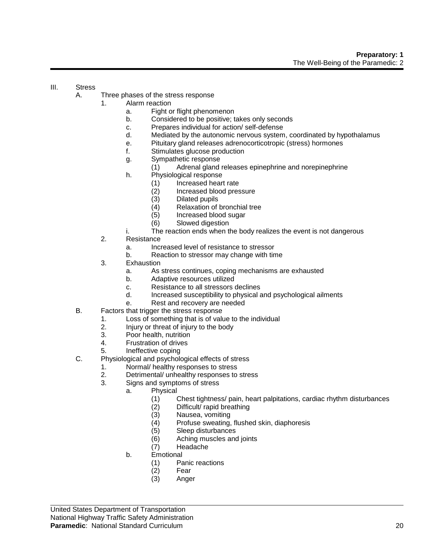## III. Stress

- A. Three phases of the stress response
	- 1. Alarm reaction
		- a. Fight or flight phenomenon
			- b. Considered to be positive; takes only seconds
			- c. Prepares individual for action/ self-defense
			- d. Mediated by the autonomic nervous system, coordinated by hypothalamus
			- e. Pituitary gland releases adrenocorticotropic (stress) hormones
			- f. Stimulates glucose production
			- g. Sympathetic response
				- (1) Adrenal gland releases epinephrine and norepinephrine
			- h. Physiological response
				- (1) Increased heart rate
				- (2) Increased blood pressure
				- (3) Dilated pupils
				- (4) Relaxation of bronchial tree
				- (5) Increased blood sugar
				- (6) Slowed digestion
			- i. The reaction ends when the body realizes the event is not dangerous
	- 2. Resistance
		- a. Increased level of resistance to stressor
		- b. Reaction to stressor may change with time
	- 3. Exhaustion
		- a. As stress continues, coping mechanisms are exhausted
		- b. Adaptive resources utilized
		- c. Resistance to all stressors declines
		- d. Increased susceptibility to physical and psychological ailments
		- e. Rest and recovery are needed
- B. Factors that trigger the stress response
	- 1. Loss of something that is of value to the individual
	- 2. Injury or threat of injury to the body
	- 3. Poor health, nutrition
	- 4. Frustration of drives
	- 5. Ineffective coping
- C. Physiological and psychological effects of stress
	- 1. Normal/ healthy responses to stress
	- 2. Detrimental/ unhealthy responses to stress
	- 3. Signs and symptoms of stress
		- a. Physical
			- (1) Chest tightness/ pain, heart palpitations, cardiac rhythm disturbances
			- (2) Difficult/ rapid breathing
			- (3) Nausea, vomiting
			- (4) Profuse sweating, flushed skin, diaphoresis
			- (5) Sleep disturbances
			- (6) Aching muscles and joints
			- (7) Headache
		- b. Emotional
			- (1) Panic reactions
			- (2) Fear
			- (3) Anger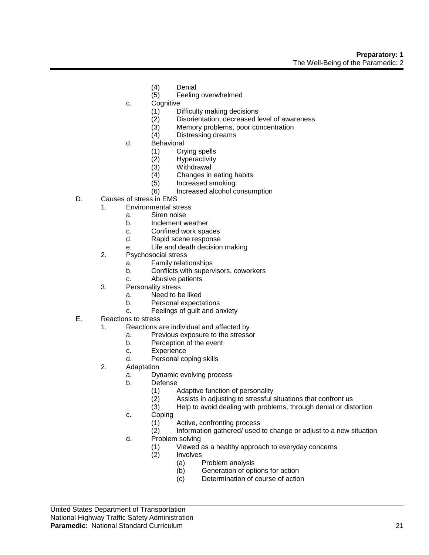- (4) Denial
- (5) Feeling overwhelmed
- c. Cognitive
	- (1) Difficulty making decisions
	- (2) Disorientation, decreased level of awareness
	- (3) Memory problems, poor concentration
	- (4) Distressing dreams
- d. Behavioral
	- (1) Crying spells
	- (2) Hyperactivity
	- (3) Withdrawal<br>(4) Changes in
	- Changes in eating habits
	- (5) Increased smoking
	- (6) Increased alcohol consumption
- D. Causes of stress in EMS
	- 1. Environmental stress
		- a. Siren noise
		- b. Inclement weather
		- c. Confined work spaces
		- d. Rapid scene response
		- e. Life and death decision making
	- 2. Psychosocial stress
		- a. Family relationships
		- b. Conflicts with supervisors, coworkers
		- c. Abusive patients
	- 3. Personality stress
		- a. Need to be liked
		- b. Personal expectations
		- c. Feelings of guilt and anxiety
- E. Reactions to stress
	- 1. Reactions are individual and affected by
		- a. Previous exposure to the stressor
		- b. Perception of the event
		- c. Experience
		- d. Personal coping skills
	- 2. Adaptation
		- a. Dynamic evolving process
		- b. Defense
			- (1) Adaptive function of personality
			- (2) Assists in adjusting to stressful situations that confront us
			- (3) Help to avoid dealing with problems, through denial or distortion
		- c. Coping
			- (1) Active, confronting process
			- (2) Information gathered/ used to change or adjust to a new situation
		- d. Problem solving
			- (1) Viewed as a healthy approach to everyday concerns
			- **Involves** 
				- (a) Problem analysis
				- (b) Generation of options for action
				- (c) Determination of course of action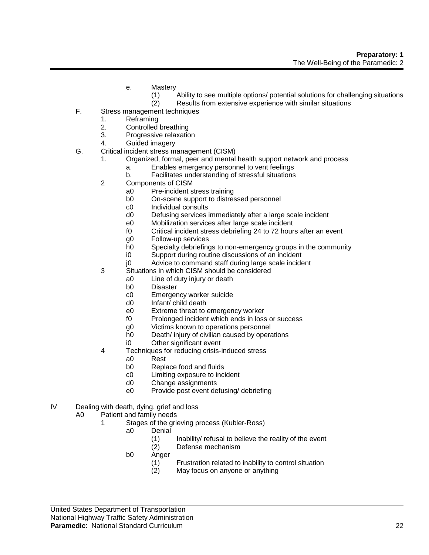- e. Mastery
	- (1) Ability to see multiple options/ potential solutions for challenging situations
	- (2) Results from extensive experience with similar situations
- F. Stress management techniques
	- 1. Reframing
	- 2. Controlled breathing
	- 3. Progressive relaxation
	- 4. Guided imagery
- G. Critical incident stress management (CISM)
	- 1. Organized, formal, peer and mental health support network and process
		- a. Enables emergency personnel to vent feelings
		- b. Facilitates understanding of stressful situations
	- 2 Components of CISM
		- a0 Pre-incident stress training
		- b0 On-scene support to distressed personnel
		- c0 Individual consults
		- d0 Defusing services immediately after a large scale incident
		- e0 Mobilization services after large scale incident
		- f0 Critical incident stress debriefing 24 to 72 hours after an event
		- g0 Follow-up services
		- h0 Specialty debriefings to non-emergency groups in the community
		- i0 Support during routine discussions of an incident
		- j0 Advice to command staff during large scale incident
	- 3 Situations in which CISM should be considered
		- a0 Line of duty injury or death
		- b0 Disaster
		- c0 Emergency worker suicide
		- d0 Infant/ child death
		- e0 Extreme threat to emergency worker
		- f0 Prolonged incident which ends in loss or success
		- g0 Victims known to operations personnel
		- h0 Death/ injury of civilian caused by operations
		- i0 Other significant event
	- 4 Techniques for reducing crisis-induced stress
		- a0 Rest
		- b0 Replace food and fluids
		- c0 Limiting exposure to incident
		- d0 Change assignments
		- e0 Provide post event defusing/ debriefing
- IV Dealing with death, dying, grief and loss
	- A0 Patient and family needs
		- 1 Stages of the grieving process (Kubler-Ross)
			- a0 Denial
				- (1) Inability/ refusal to believe the reality of the event
				- (2) Defense mechanism
			- b0 Anger
				- (1) Frustration related to inability to control situation
				- (2) May focus on anyone or anything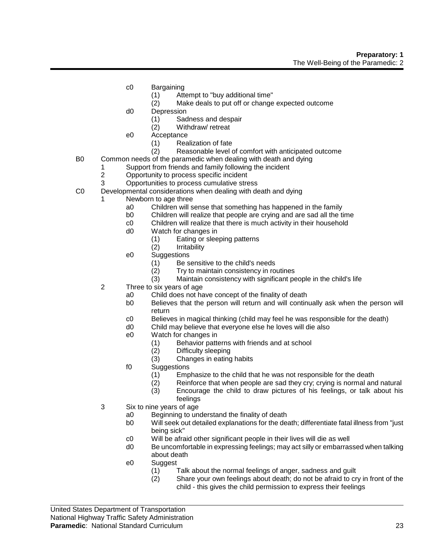- c0 Bargaining
	- (1) Attempt to "buy additional time"
	- (2) Make deals to put off or change expected outcome
- d0 Depression
	- (1) Sadness and despair
	- (2) Withdraw/ retreat
- e0 Acceptance
	- (1) Realization of fate<br>(2) Reasonable level of
	- Reasonable level of comfort with anticipated outcome
- B0 Common needs of the paramedic when dealing with death and dying
	- 1 Support from friends and family following the incident
		- 2 Opportunity to process specific incident
	- 3 Opportunities to process cumulative stress
- C0 Developmental considerations when dealing with death and dying
	- Newborn to age three
		- a0 Children will sense that something has happened in the family
		- b0 Children will realize that people are crying and are sad all the time
		- c0 Children will realize that there is much activity in their household
		- d0 Watch for changes in
			- (1) Eating or sleeping patterns
			- (2) Irritability
		- e0 Suggestions
			- (1) Be sensitive to the child's needs
			- (2) Try to maintain consistency in routines
			- (3) Maintain consistency with significant people in the child's life
	- 2 Three to six years of age
		- a0 Child does not have concept of the finality of death
		- b0 Believes that the person will return and will continually ask when the person will return
		- c0 Believes in magical thinking (child may feel he was responsible for the death)
		- d0 Child may believe that everyone else he loves will die also
		- e0 Watch for changes in
			- (1) Behavior patterns with friends and at school
			- (2) Difficulty sleeping<br>(3) Changes in eating
			- Changes in eating habits
		- f0 Suggestions
			- (1) Emphasize to the child that he was not responsible for the death
			- (2) Reinforce that when people are sad they cry; crying is normal and natural
			- (3) Encourage the child to draw pictures of his feelings, or talk about his feelings
	- 3 Six to nine years of age
		- a0 Beginning to understand the finality of death
		- b0 Will seek out detailed explanations for the death; differentiate fatal illness from "just being sick"
		- c0 Will be afraid other significant people in their lives will die as well
		- d0 Be uncomfortable in expressing feelings; may act silly or embarrassed when talking about death
		- e0 Suggest
			- (1) Talk about the normal feelings of anger, sadness and guilt
			- (2) Share your own feelings about death; do not be afraid to cry in front of the child - this gives the child permission to express their feelings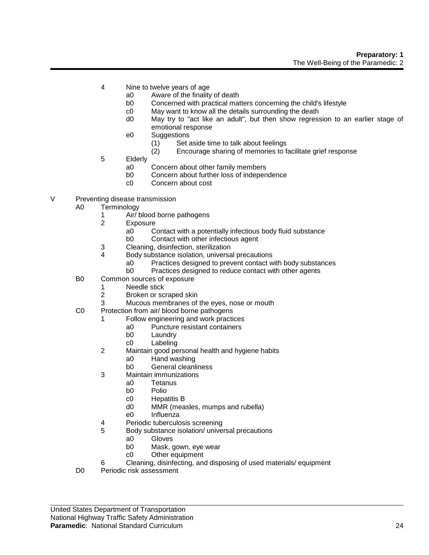- 4 Nine to twelve years of age
	- a0 Aware of the finality of death
	- b0 Concerned with practical matters concerning the child's lifestyle
	- c0 May want to know all the details surrounding the death
	- d0 May try to "act like an adult", but then show regression to an earlier stage of emotional response
	- e0 Suggestions
		- (1) Set aside time to talk about feelings<br>(2) Encourage sharing of memories to fi
		- Encourage sharing of memories to facilitate grief response
- 5 Elderly
	- a0 Concern about other family members
	- b0 Concern about further loss of independence
	- c0 Concern about cost
- V Preventing disease transmission
	- A0 Terminology
		- 1 Air/ blood borne pathogens
		- 2 Exposure
			- a0 Contact with a potentially infectious body fluid substance
			- b0 Contact with other infectious agent
		- 3 Cleaning, disinfection, sterilization
		- 4 Body substance isolation, universal precautions
			- a0 Practices designed to prevent contact with body substances
			- b0 Practices designed to reduce contact with other agents
	- B0 Common sources of exposure
		- 1 Needle stick
		- 2 Broken or scraped skin
		- 3 Mucous membranes of the eyes, nose or mouth
	- C0 Protection from air/ blood borne pathogens
		- 1 Follow engineering and work practices
			- a0 Puncture resistant containers
			- b0 Laundry
			- c0 Labeling
		- 2 Maintain good personal health and hygiene habits
			- a0 Hand washing
			- b0 General cleanliness
		- 3 Maintain immunizations
			- a0 Tetanus
			- b0 Polio
			- c0 Hepatitis B
			- d0 MMR (measles, mumps and rubella)
			- e0 Influenza
		- 4 Periodic tuberculosis screening
		- 5 Body substance isolation/ universal precautions
			- a0 Gloves
			- b0 Mask, gown, eye wear
			- c0 Other equipment
		- 6 Cleaning, disinfecting, and disposing of used materials/ equipment
	- D0 Periodic risk assessment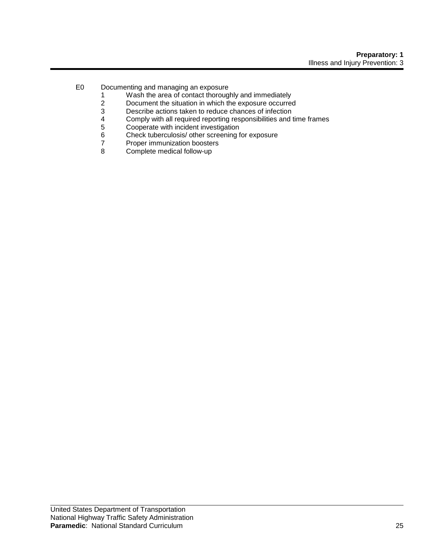- E0 Documenting and managing an exposure
	- 1 Wash the area of contact thoroughly and immediately<br>2 Document the situation in which the exposure occurred
	- 2 Document the situation in which the exposure occurred<br>3 Describe actions taken to reduce chances of infection
	- 3 Describe actions taken to reduce chances of infection
	- 4 Comply with all required reporting responsibilities and time frames<br>5 Cooperate with incident investigation
	- 5 Cooperate with incident investigation<br>6 Check tuberculosis/ other screening f
	- 6 Check tuberculosis/ other screening for exposure<br>7 Proper immunization boosters
	- 7 Proper immunization boosters<br>8 Complete medical follow-up
	- Complete medical follow-up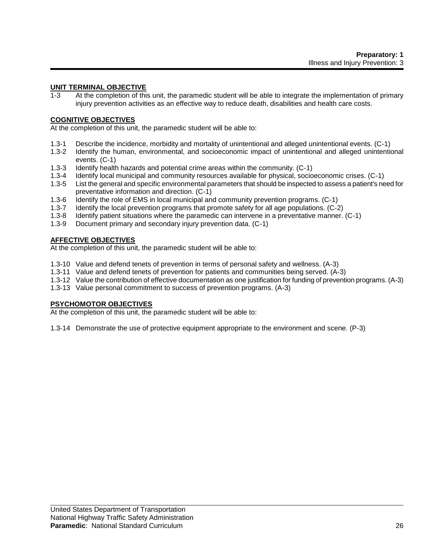## **UNIT TERMINAL OBJECTIVE**

1-3 At the completion of this unit, the paramedic student will be able to integrate the implementation of primary injury prevention activities as an effective way to reduce death, disabilities and health care costs.

#### **COGNITIVE OBJECTIVES**

At the completion of this unit, the paramedic student will be able to:

- 1.3-1 Describe the incidence, morbidity and mortality of unintentional and alleged unintentional events. (C-1)
- 1.3-2 Identify the human, environmental, and socioeconomic impact of unintentional and alleged unintentional events. (C-1)
- 1.3-3 Identify health hazards and potential crime areas within the community. (C-1)
- 1.3-4 Identify local municipal and community resources available for physical, socioeconomic crises. (C-1)
- 1.3-5 List the general and specific environmental parameters that should be inspected to assess a patient's need for preventative information and direction. (C-1)
- 1.3-6 Identify the role of EMS in local municipal and community prevention programs. (C-1)<br>1.3-7 Identify the local prevention programs that promote safety for all age populations. (C-2
- Identify the local prevention programs that promote safety for all age populations. (C-2)
- 1.3-8 Identify patient situations where the paramedic can intervene in a preventative manner. (C-1)
- 1.3-9 Document primary and secondary injury prevention data. (C-1)

## **AFFECTIVE OBJECTIVES**

At the completion of this unit, the paramedic student will be able to:

- 1.3-10 Value and defend tenets of prevention in terms of personal safety and wellness. (A-3)
- 1.3-11 Value and defend tenets of prevention for patients and communities being served. (A-3)
- 1.3-12 Value the contribution of effective documentation as one justification for funding of prevention programs. (A-3)
- 1.3-13 Value personal commitment to success of prevention programs. (A-3)

## **PSYCHOMOTOR OBJECTIVES**

At the completion of this unit, the paramedic student will be able to:

1.3-14 Demonstrate the use of protective equipment appropriate to the environment and scene. (P-3)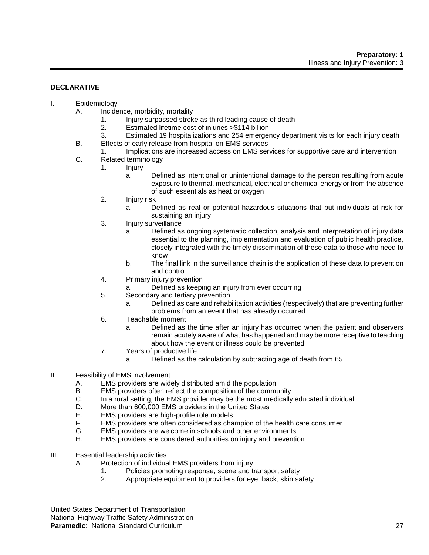## **DECLARATIVE**

- I. Epidemiology
	- A. Incidence, morbidity, mortality
		- 1. Injury surpassed stroke as third leading cause of death
		- 2. Estimated lifetime cost of injuries >\$114 billion
		- 3. Estimated 19 hospitalizations and 254 emergency department visits for each injury death
	- B. Effects of early release from hospital on EMS services
	- 1. Implications are increased access on EMS services for supportive care and intervention
	- C. Related terminology
		- 1. Injury
			- a. Defined as intentional or unintentional damage to the person resulting from acute exposure to thermal, mechanical, electrical or chemical energy or from the absence of such essentials as heat or oxygen
		- 2. Injury risk
			- a. Defined as real or potential hazardous situations that put individuals at risk for sustaining an injury
		- 3. Injury surveillance
			- a. Defined as ongoing systematic collection, analysis and interpretation of injury data essential to the planning, implementation and evaluation of public health practice, closely integrated with the timely dissemination of these data to those who need to know
			- b. The final link in the surveillance chain is the application of these data to prevention and control
		- 4. Primary injury prevention
			- a. Defined as keeping an injury from ever occurring
		- 5. Secondary and tertiary prevention
			- a. Defined as care and rehabilitation activities (respectively) that are preventing further problems from an event that has already occurred
		- 6. Teachable moment
			- a. Defined as the time after an injury has occurred when the patient and observers remain acutely aware of what has happened and may be more receptive to teaching about how the event or illness could be prevented
		- 7. Years of productive life
			- a. Defined as the calculation by subtracting age of death from 65
- II. Feasibility of EMS involvement
	- A. EMS providers are widely distributed amid the population
	- B. EMS providers often reflect the composition of the community
	- C. In a rural setting, the EMS provider may be the most medically educated individual
	- D. More than 600,000 EMS providers in the United States
	- E. EMS providers are high-profile role models
	- F. EMS providers are often considered as champion of the health care consumer
	- G. EMS providers are welcome in schools and other environments
	- H. EMS providers are considered authorities on injury and prevention
- III. Essential leadership activities
	- A. Protection of individual EMS providers from injury
		- 1. Policies promoting response, scene and transport safety
		- 2. Appropriate equipment to providers for eye, back, skin safety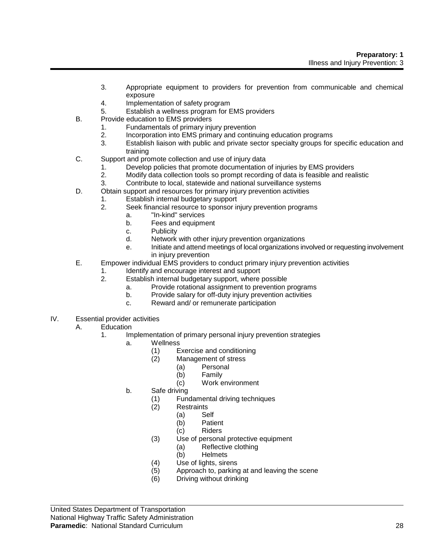- 3. Appropriate equipment to providers for prevention from communicable and chemical exposure
- 4. Implementation of safety program
- 5. Establish a wellness program for EMS providers
- B. Provide education to EMS providers
	- 1. Fundamentals of primary injury prevention
	- 2. Incorporation into EMS primary and continuing education programs
	- 3. Establish liaison with public and private sector specialty groups for specific education and training
- C. Support and promote collection and use of injury data
	- 1. Develop policies that promote documentation of injuries by EMS providers
	- 2. Modify data collection tools so prompt recording of data is feasible and realistic
	- 3. Contribute to local, statewide and national surveillance systems
- D. Obtain support and resources for primary injury prevention activities
	- 1. Establish internal budgetary support
	- 2. Seek financial resource to sponsor injury prevention programs
		- a. "In-kind" services
		- b. Fees and equipment
		- c. Publicity
		- d. Network with other injury prevention organizations
		- e. Initiate and attend meetings of local organizations involved or requesting involvement in injury prevention
- E. Empower individual EMS providers to conduct primary injury prevention activities
	- 1. Identify and encourage interest and support
	- 2. Establish internal budgetary support, where possible
		- a. Provide rotational assignment to prevention programs
		- b. Provide salary for off-duty injury prevention activities
		- c. Reward and/ or remunerate participation
- IV. Essential provider activities
	- A. Education
		- 1. Implementation of primary personal injury prevention strategies
			- a. Wellness
				- (1) Exercise and conditioning<br>(2) Management of stress
					- Management of stress
						- (a) Personal
							- (b) Family
							- (c) Work environment
			- b. Safe driving
				- (1) Fundamental driving techniques
				- (2) Restraints
					- (a) Self
						- (b) Patient
						- (c) Riders
				- (3) Use of personal protective equipment
					- (a) Reflective clothing
					- (b) Helmets
				- (4) Use of lights, sirens
				- (5) Approach to, parking at and leaving the scene
				- (6) Driving without drinking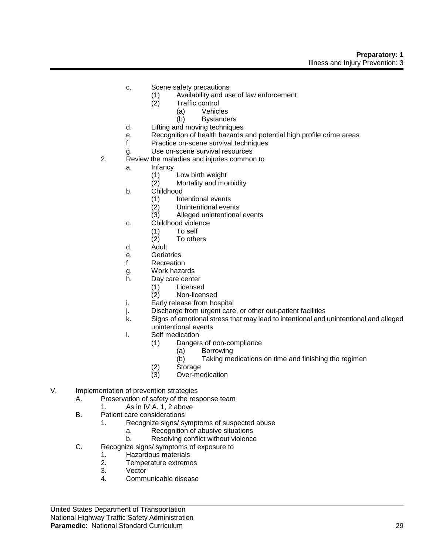- c. Scene safety precautions
	- (1) Availability and use of law enforcement
	- (2) Traffic control
		- (a) Vehicles
			- (b) Bystanders
- d. Lifting and moving techniques
- e. Recognition of health hazards and potential high profile crime areas
- f. Practice on-scene survival techniques
- g. Use on-scene survival resources
- 2. Review the maladies and injuries common to
	- a. Infancy
		- (1) Low birth weight
		- (2) Mortality and morbidity
		- b. Childhood
			- (1) Intentional events
			- (2) Unintentional events
			- (3) Alleged unintentional events
	- c. Childhood violence
		- (1) To self
		- (2) To others
	- d. Adult
	- e. Geriatrics
	- f. Recreation
	- g. Work hazards
	- h. Day care center
		- (1) Licensed
		- (2) Non-licensed
	- i. Early release from hospital
	- j. Discharge from urgent care, or other out-patient facilities
	- k. Signs of emotional stress that may lead to intentional and unintentional and alleged unintentional events
	- l. Self medication
		- (1) Dangers of non-compliance
			- (a) Borrowing
			- (b) Taking medications on time and finishing the regimen
		- (2) Storage
		- (3) Over-medication
- V. Implementation of prevention strategies
	- A. Preservation of safety of the response team
		- 1. As in IV A. 1, 2 above
	- B. Patient care considerations
		- 1. Recognize signs/ symptoms of suspected abuse
			- a. Recognition of abusive situations
			- b. Resolving conflict without violence
	- C. Recognize signs/ symptoms of exposure to
		- 1. Hazardous materials
		- 2. Temperature extremes
		- 3. Vector
		- 4. Communicable disease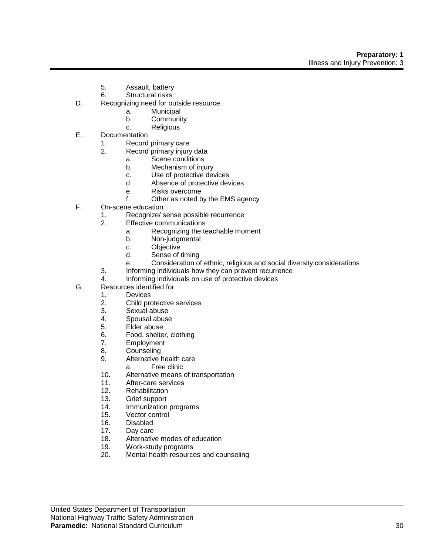- 5. Assault, battery
- 6. Structural risks
- D. Recognizing need for outside resource
	- a. Municipal
	- b. Community
	- c. Religious
- E. Documentation
	- 1. Record primary care<br>2. Record primary injury
		- Record primary injury data
			- a. Scene conditions
			- b. Mechanism of injury
			- c. Use of protective devices
			- d. Absence of protective devices
			- e. Risks overcome
			- f. Other as noted by the EMS agency
- F. On-scene education
	- 1. Recognize/ sense possible recurrence
	- 2. Effective communications
		- a. Recognizing the teachable moment
		- b. Non-judgmental
		- c. Objective
		- d. Sense of timing
		- e. Consideration of ethnic, religious and social diversity considerations
	- 3. Informing individuals how they can prevent recurrence
	- 4. Informing individuals on use of protective devices
- G. Resources identified for
	- 1. Devices
		- 2. Child protective services
		- 3. Sexual abuse
		- 4. Spousal abuse
		- 5. Elder abuse
		- 6. Food, shelter, clothing<br>7. Employment
		- **Employment**
		- 8. Counseling
		- 9. Alternative health care
			- a. Free clinic
		- 10. Alternative means of transportation
		- 11. After-care services
		- 12. Rehabilitation
		- 13. Grief support
		- 14. Immunization programs
		- 15. Vector control
		- 16. Disabled
		- 17. Day care
		- 18. Alternative modes of education
		- 19. Work-study programs
		- 20. Mental health resources and counseling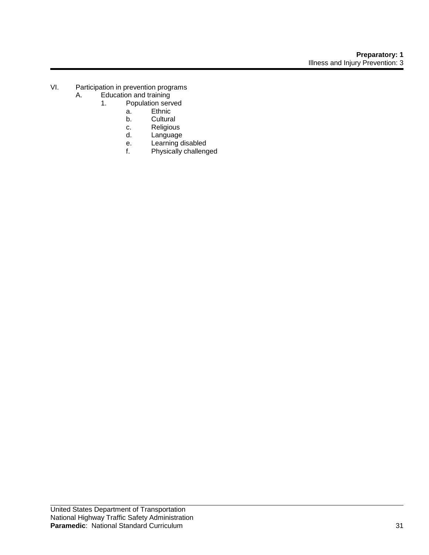- VI. Participation in prevention programs<br>A. Education and training
	- Education and training<br>1. Population serve
		- Population served
			- a. Ethnic
			- b. Cultural
			- c. Religious<br>d. Language
			- d. Language
			- e. Learning disabled
			- f. Physically challenged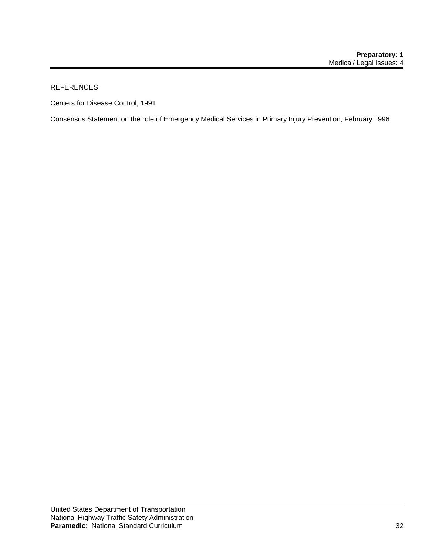## REFERENCES

Centers for Disease Control, 1991

Consensus Statement on the role of Emergency Medical Services in Primary Injury Prevention, February 1996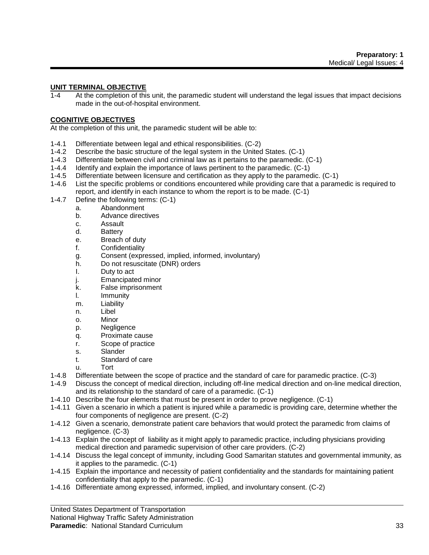#### **UNIT TERMINAL OBJECTIVE**

1-4 At the completion of this unit, the paramedic student will understand the legal issues that impact decisions made in the out-of-hospital environment.

#### **COGNITIVE OBJECTIVES**

At the completion of this unit, the paramedic student will be able to:

- 1-4.1 Differentiate between legal and ethical responsibilities. (C-2)
- 1-4.2 Describe the basic structure of the legal system in the United States. (C-1)
- 1-4.3 Differentiate between civil and criminal law as it pertains to the paramedic. (C-1)
- 1-4.4 Identify and explain the importance of laws pertinent to the paramedic. (C-1)
- 1-4.5 Differentiate between licensure and certification as they apply to the paramedic. (C-1)
- 1-4.6 List the specific problems or conditions encountered while providing care that a paramedic is required to report, and identify in each instance to whom the report is to be made. (C-1)
- 1-4.7 Define the following terms: (C-1)
	- a. Abandonment
	- b. Advance directives
	- c. Assault
	- d. Battery
	- e. Breach of duty
	- f. Confidentiality
	- g. Consent (expressed, implied, informed, involuntary)
	- h. Do not resuscitate (DNR) orders
	- I. Duty to act
	- j. Emancipated minor
	- k. False imprisonment
	- l. Immunity
	- m. Liability
	- n. Libel
	- o. Minor
	- p. Negligence
	- q. Proximate cause
	- r. Scope of practice
	- s. Slander
	- t. Standard of care
	- u. Tort
- 1-4.8 Differentiate between the scope of practice and the standard of care for paramedic practice. (C-3)
- 1-4.9 Discuss the concept of medical direction, including off-line medical direction and on-line medical direction, and its relationship to the standard of care of a paramedic. (C-1)
- 1-4.10 Describe the four elements that must be present in order to prove negligence. (C-1)
- 1-4.11 Given a scenario in which a patient is injured while a paramedic is providing care, determine whether the four components of negligence are present. (C-2)
- 1-4.12 Given a scenario, demonstrate patient care behaviors that would protect the paramedic from claims of negligence. (C-3)
- 1-4.13 Explain the concept of liability as it might apply to paramedic practice, including physicians providing medical direction and paramedic supervision of other care providers. (C-2)
- 1-4.14 Discuss the legal concept of immunity, including Good Samaritan statutes and governmental immunity, as it applies to the paramedic. (C-1)
- 1-4.15 Explain the importance and necessity of patient confidentiality and the standards for maintaining patient confidentiality that apply to the paramedic. (C-1)
- 1-4.16 Differentiate among expressed, informed, implied, and involuntary consent. (C-2)

United States Department of Transportation

National Highway Traffic Safety Administration

#### **Paramedic**: National Standard Curriculum 33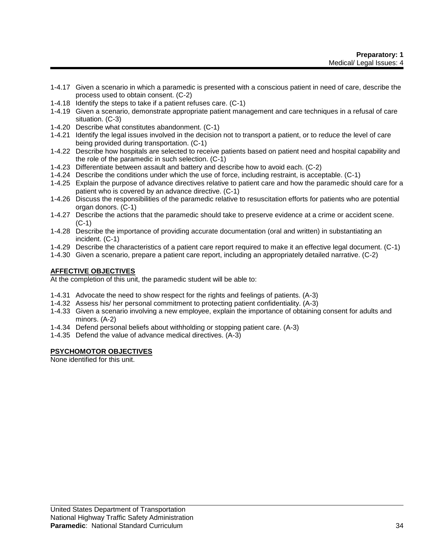- 1-4.17 Given a scenario in which a paramedic is presented with a conscious patient in need of care, describe the process used to obtain consent. (C-2)
- 1-4.18 Identify the steps to take if a patient refuses care. (C-1)
- 1-4.19 Given a scenario, demonstrate appropriate patient management and care techniques in a refusal of care situation. (C-3)
- 1-4.20 Describe what constitutes abandonment. (C-1)
- 1-4.21 Identify the legal issues involved in the decision not to transport a patient, or to reduce the level of care being provided during transportation. (C-1)
- 1-4.22 Describe how hospitals are selected to receive patients based on patient need and hospital capability and the role of the paramedic in such selection. (C-1)
- 1-4.23 Differentiate between assault and battery and describe how to avoid each. (C-2)
- 1-4.24 Describe the conditions under which the use of force, including restraint, is acceptable. (C-1)
- 1-4.25 Explain the purpose of advance directives relative to patient care and how the paramedic should care for a patient who is covered by an advance directive. (C-1)
- 1-4.26 Discuss the responsibilities of the paramedic relative to resuscitation efforts for patients who are potential organ donors. (C-1)
- 1-4.27 Describe the actions that the paramedic should take to preserve evidence at a crime or accident scene. (C-1)
- 1-4.28 Describe the importance of providing accurate documentation (oral and written) in substantiating an incident. (C-1)
- 1-4.29 Describe the characteristics of a patient care report required to make it an effective legal document. (C-1)
- 1-4.30 Given a scenario, prepare a patient care report, including an appropriately detailed narrative. (C-2)

# **AFFECTIVE OBJECTIVES**

At the completion of this unit, the paramedic student will be able to:

- 1-4.31 Advocate the need to show respect for the rights and feelings of patients. (A-3)
- 1-4.32 Assess his/ her personal commitment to protecting patient confidentiality. (A-3)
- 1-4.33 Given a scenario involving a new employee, explain the importance of obtaining consent for adults and minors. (A-2)
- 1-4.34 Defend personal beliefs about withholding or stopping patient care. (A-3)
- 1-4.35 Defend the value of advance medical directives. (A-3)

#### **PSYCHOMOTOR OBJECTIVES**

None identified for this unit.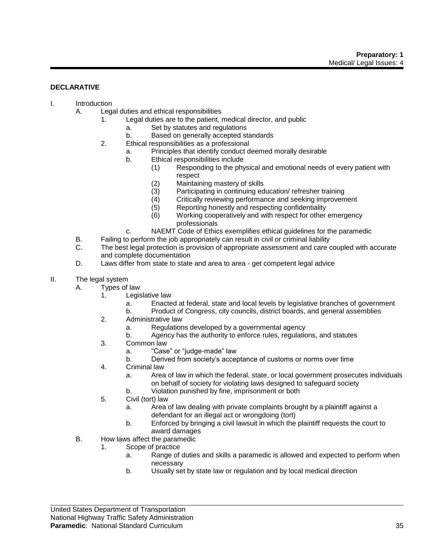#### **DECLARATIVE**

- I. Introduction
	- A. Legal duties and ethical responsibilities
		- 1. Legal duties are to the patient, medical director, and public
			- a. Set by statutes and regulations
			- b. Based on generally accepted standards
		- 2. Ethical responsibilities as a professional
			- a. Principles that identify conduct deemed morally desirable
			- b. Ethical responsibilities include
				- (1) Responding to the physical and emotional needs of every patient with respect
				- (2) Maintaining mastery of skills
				- (3) Participating in continuing education/ refresher training<br>(4) Critically reviewing performance and seeking improvem
				- Critically reviewing performance and seeking improvement
				- (5) Reporting honestly and respecting confidentiality
				- (6) Working cooperatively and with respect for other emergency professionals
			- c. NAEMT Code of Ethics exemplifies ethical guidelines for the paramedic
		- B. Failing to perform the job appropriately can result in civil or criminal liability
		- C. The best legal protection is provision of appropriate assessment and care coupled with accurate and complete documentation
		- D. Laws differ from state to state and area to area get competent legal advice
- II. The legal system
	- A. Types of law
		- 1. Legislative law
			- a. Enacted at federal, state and local levels by legislative branches of government
			- b. Product of Congress, city councils, district boards, and general assemblies
		- 2. Administrative law
			- a. Regulations developed by a governmental agency
			- b. Agency has the authority to enforce rules, regulations, and statutes
		- 3. Common law
			- a. "Case" or "judge-made" law
			- b. Derived from society's acceptance of customs or norms over time
		- 4. Criminal law
			- a. Area of law in which the federal, state, or local government prosecutes individuals on behalf of society for violating laws designed to safeguard society
			- b. Violation punished by fine, imprisonment or both
		- 5. Civil (tort) law
			- a. Area of law dealing with private complaints brought by a plaintiff against a defendant for an illegal act or wrongdoing (tort)
			- b. Enforced by bringing a civil lawsuit in which the plaintiff requests the court to award damages
	- B. How laws affect the paramedic
		- 1. Scope of practice
			- a. Range of duties and skills a paramedic is allowed and expected to perform when necessary
			- b. Usually set by state law or regulation and by local medical direction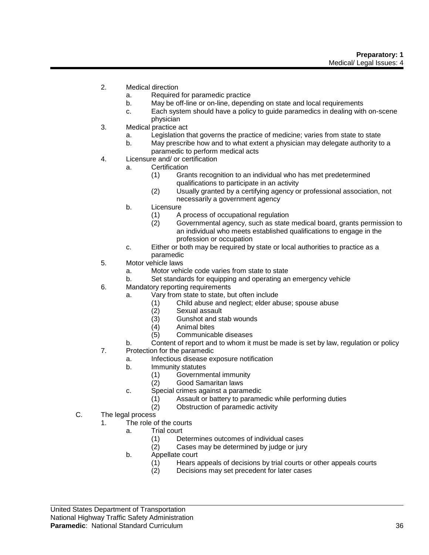- 2. Medical direction
	- a. Required for paramedic practice
	- b. May be off-line or on-line, depending on state and local requirements
	- c. Each system should have a policy to guide paramedics in dealing with on-scene physician
- 3. Medical practice act
	- a. Legislation that governs the practice of medicine; varies from state to state
	- b. May prescribe how and to what extent a physician may delegate authority to a paramedic to perform medical acts
- 4. Licensure and/ or certification
	- a. Certification
		- (1) Grants recognition to an individual who has met predetermined qualifications to participate in an activity
		- (2) Usually granted by a certifying agency or professional association, not necessarily a government agency
	- b. Licensure
		- (1) A process of occupational regulation
		- (2) Governmental agency, such as state medical board, grants permission to an individual who meets established qualifications to engage in the profession or occupation
	- c. Either or both may be required by state or local authorities to practice as a paramedic
- 5. Motor vehicle laws
	- a. Motor vehicle code varies from state to state
	- b. Set standards for equipping and operating an emergency vehicle
- 6. Mandatory reporting requirements
	- a. Vary from state to state, but often include
		- (1) Child abuse and neglect; elder abuse; spouse abuse
		- (2) Sexual assault
		- (3) Gunshot and stab wounds
		- (4) Animal bites
		- (5) Communicable diseases
	- b. Content of report and to whom it must be made is set by law, regulation or policy
- 7. Protection for the paramedic
	- a. Infectious disease exposure notification
	- b. Immunity statutes
		- (1) Governmental immunity
		- (2) Good Samaritan laws
	- c. Special crimes against a paramedic
		- (1) Assault or battery to paramedic while performing duties
			- (2) Obstruction of paramedic activity
- C. The legal process
	- 1. The role of the courts
		- a. Trial court
			- (1) Determines outcomes of individual cases
			- (2) Cases may be determined by judge or jury
		- b. Appellate court
			- (1) Hears appeals of decisions by trial courts or other appeals courts
			- (2) Decisions may set precedent for later cases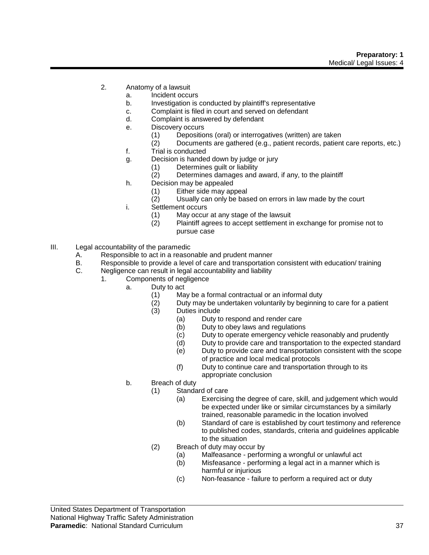- 2. Anatomy of a lawsuit
	- a. Incident occurs
	- b. Investigation is conducted by plaintiff's representative
	- c. Complaint is filed in court and served on defendant
	- d. Complaint is answered by defendant
	- e. Discovery occurs
		- (1) Depositions (oral) or interrogatives (written) are taken
		- (2) Documents are gathered (e.g., patient records, patient care reports, etc.)
	- f. Trial is conducted
	- g. Decision is handed down by judge or jury
		- (1) Determines guilt or liability
			- (2) Determines damages and award, if any, to the plaintiff
	- h. Decision may be appealed
		- (1) Either side may appeal
		- (2) Usually can only be based on errors in law made by the court
	- i. Settlement occurs
		- (1) May occur at any stage of the lawsuit
			- (2) Plaintiff agrees to accept settlement in exchange for promise not to pursue case
- III. Legal accountability of the paramedic
	- A. Responsible to act in a reasonable and prudent manner
	- B. Responsible to provide a level of care and transportation consistent with education/ training<br>C. Negligence can result in legal accountability and liability
	- Negligence can result in legal accountability and liability
		- 1. Components of negligence
			- a. Duty to act
				- (1) May be a formal contractual or an informal duty
				- (2) Duty may be undertaken voluntarily by beginning to care for a patient
				- (3) Duties include
					- (a) Duty to respond and render care
					- (b) Duty to obey laws and regulations
					- (c) Duty to operate emergency vehicle reasonably and prudently
					- (d) Duty to provide care and transportation to the expected standard
					- (e) Duty to provide care and transportation consistent with the scope of practice and local medical protocols
					- (f) Duty to continue care and transportation through to its appropriate conclusion
			- b. Breach of duty
				- (1) Standard of care
					- (a) Exercising the degree of care, skill, and judgement which would be expected under like or similar circumstances by a similarly trained, reasonable paramedic in the location involved
					- (b) Standard of care is established by court testimony and reference to published codes, standards, criteria and guidelines applicable to the situation
				- (2) Breach of duty may occur by
					- (a) Malfeasance performing a wrongful or unlawful act
					- (b) Misfeasance performing a legal act in a manner which is harmful or injurious
					- (c) Non-feasance failure to perform a required act or duty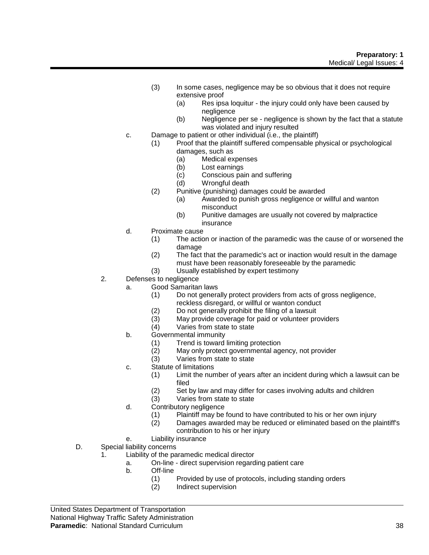- (3) In some cases, negligence may be so obvious that it does not require extensive proof
	- (a) Res ipsa loquitur the injury could only have been caused by negligence
	- (b) Negligence per se negligence is shown by the fact that a statute was violated and injury resulted
- c. Damage to patient or other individual (i.e., the plaintiff)
	- (1) Proof that the plaintiff suffered compensable physical or psychological damages, such as
		- (a) Medical expenses
		- (b) Lost earnings
		- (c) Conscious pain and suffering
		- (d) Wrongful death
		- (2) Punitive (punishing) damages could be awarded
			- (a) Awarded to punish gross negligence or willful and wanton misconduct
			- (b) Punitive damages are usually not covered by malpractice insurance
- d. Proximate cause
	- (1) The action or inaction of the paramedic was the cause of or worsened the damage
	- (2) The fact that the paramedic's act or inaction would result in the damage must have been reasonably foreseeable by the paramedic
	- (3) Usually established by expert testimony
- 2. Defenses to negligence
	- a. Good Samaritan laws
		- (1) Do not generally protect providers from acts of gross negligence, reckless disregard, or willful or wanton conduct
		- (2) Do not generally prohibit the filing of a lawsuit
		- (3) May provide coverage for paid or volunteer providers
		- (4) Varies from state to state
	- b. Governmental immunity
		- (1) Trend is toward limiting protection<br>(2) May only protect governmental age
		- (2) May only protect governmental agency, not provider
		- Varies from state to state
	- c. Statute of limitations
		- (1) Limit the number of years after an incident during which a lawsuit can be filed
		- (2) Set by law and may differ for cases involving adults and children
		- (3) Varies from state to state
	- d. Contributory negligence
		- (1) Plaintiff may be found to have contributed to his or her own injury
		- (2) Damages awarded may be reduced or eliminated based on the plaintiff's contribution to his or her injury
- e. Liability insurance
- D. Special liability concerns
	- 1. Liability of the paramedic medical director
		- a. On-line direct supervision regarding patient care
		- b. Off-line
			- (1) Provided by use of protocols, including standing orders
			- (2) Indirect supervision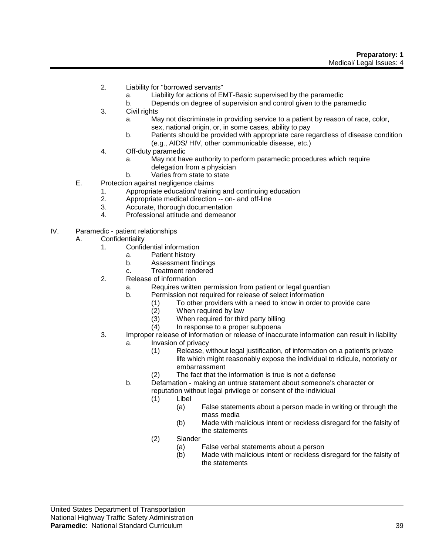- 2. Liability for "borrowed servants"
	- a. Liability for actions of EMT-Basic supervised by the paramedic
	- b. Depends on degree of supervision and control given to the paramedic
- 3. Civil rights
	- a. May not discriminate in providing service to a patient by reason of race, color, sex, national origin, or, in some cases, ability to pay
	- b. Patients should be provided with appropriate care regardless of disease condition (e.g., AIDS/ HIV, other communicable disease, etc.)
- 4. Off-duty paramedic
	- a. May not have authority to perform paramedic procedures which require delegation from a physician
	- b. Varies from state to state
- E. Protection against negligence claims
	- 1. Appropriate education/ training and continuing education
	- 2. Appropriate medical direction -- on- and off-line
	- 3. Accurate, thorough documentation
	- 4. Professional attitude and demeanor
- IV. Paramedic patient relationships
	- A. Confidentiality
		- 1. Confidential information
			- a. Patient history
			- b. Assessment findings
			- c. Treatment rendered
		- 2. Release of information
			- a. Requires written permission from patient or legal guardian
			- b. Permission not required for release of select information
				- (1) To other providers with a need to know in order to provide care
				- (2) When required by law
				- (3) When required for third party billing
				- (4) In response to a proper subpoena
		- 3. Improper release of information or release of inaccurate information can result in liability
			- a. Invasion of privacy
				- (1) Release, without legal justification, of information on a patient's private life which might reasonably expose the individual to ridicule, notoriety or embarrassment
				- (2) The fact that the information is true is not a defense
			- b. Defamation making an untrue statement about someone's character or reputation without legal privilege or consent of the individual
				- (1) Libel
					- (a) False statements about a person made in writing or through the mass media
					- (b) Made with malicious intent or reckless disregard for the falsity of the statements
				- (2) Slander
					- (a) False verbal statements about a person
					- (b) Made with malicious intent or reckless disregard for the falsity of the statements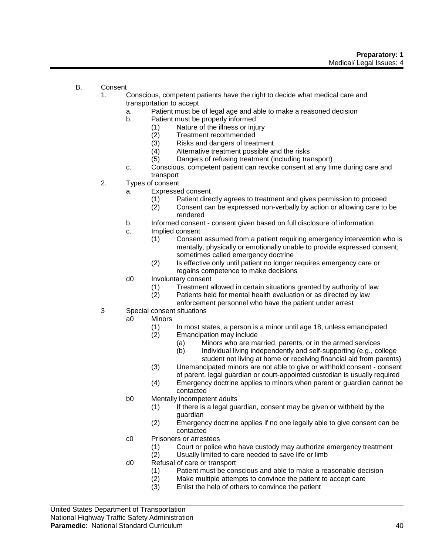- B. Consent
	- 1. Conscious, competent patients have the right to decide what medical care and transportation to accept
		- a. Patient must be of legal age and able to make a reasoned decision
		- b. Patient must be properly informed
			- (1) Nature of the illness or injury
			- (2) Treatment recommended<br>(3) Risks and dangers of treat
			-
			- (3) Risks and dangers of treatment<br>(4) Alternative treatment possible are Alternative treatment possible and the risks
			- (5) Dangers of refusing treatment (including transport)
		- c. Conscious, competent patient can revoke consent at any time during care and transport
	- 2. Types of consent
		- a. Expressed consent
			- (1) Patient directly agrees to treatment and gives permission to proceed
			- (2) Consent can be expressed non-verbally by action or allowing care to be rendered
		- b. Informed consent consent given based on full disclosure of information
		- c. Implied consent
			- (1) Consent assumed from a patient requiring emergency intervention who is mentally, physically or emotionally unable to provide expressed consent; sometimes called emergency doctrine
			- (2) Is effective only until patient no longer requires emergency care or regains competence to make decisions
		- d0 Involuntary consent
			- (1) Treatment allowed in certain situations granted by authority of law
			- (2) Patients held for mental health evaluation or as directed by law
				- enforcement personnel who have the patient under arrest
	- 3 Special consent situations
		- a0 Minors
			- (1) In most states, a person is a minor until age 18, unless emancipated (2) Emancipation may include
				-
				- (a) Minors who are married, parents, or in the armed services<br>(b) Individual living independently and self-supporting (e.g., co Individual living independently and self-supporting (e.g., college student not living at home or receiving financial aid from parents)
			- (3) Unemancipated minors are not able to give or withhold consent consent of parent, legal guardian or court-appointed custodian is usually required
			- (4) Emergency doctrine applies to minors when parent or guardian cannot be contacted
		- b0 Mentally incompetent adults
			- (1) If there is a legal guardian, consent may be given or withheld by the guardian
			- (2) Emergency doctrine applies if no one legally able to give consent can be contacted
		- c0 Prisoners or arrestees
			- (1) Court or police who have custody may authorize emergency treatment
			- (2) Usually limited to care needed to save life or limb
		- d0 Refusal of care or transport
			- (1) Patient must be conscious and able to make a reasonable decision<br>(2) Make multiple attempts to convince the patient to accept care
			- Make multiple attempts to convince the patient to accept care
			- (3) Enlist the help of others to convince the patient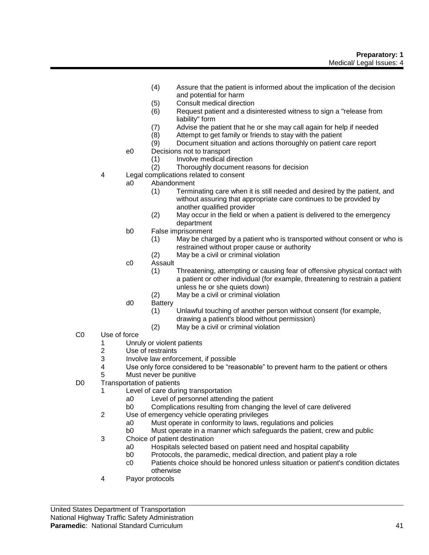- (4) Assure that the patient is informed about the implication of the decision and potential for harm
- (5) Consult medical direction
- (6) Request patient and a disinterested witness to sign a "release from liability" form
- (7) Advise the patient that he or she may call again for help if needed
- (8) Attempt to get family or friends to stay with the patient
- (9) Document situation and actions thoroughly on patient care report
- e0 Decisions not to transport
	- (1) Involve medical direction
	- (2) Thoroughly document reasons for decision
- 4 Legal complications related to consent
	- a0 Abandonment
		- (1) Terminating care when it is still needed and desired by the patient, and without assuring that appropriate care continues to be provided by another qualified provider
		- (2) May occur in the field or when a patient is delivered to the emergency department
	- b0 False imprisonment
		- (1) May be charged by a patient who is transported without consent or who is restrained without proper cause or authority
		- (2) May be a civil or criminal violation
	- c0 Assault
		- (1) Threatening, attempting or causing fear of offensive physical contact with a patient or other individual (for example, threatening to restrain a patient unless he or she quiets down)
		- (2) May be a civil or criminal violation
	- d0 Battery
		- (1) Unlawful touching of another person without consent (for example, drawing a patient's blood without permission)
		- (2) May be a civil or criminal violation
- C0 Use of force
	- 1 Unruly or violent patients<br>2 Use of restraints
	- 2 Use of restraints<br>3 Involve law enfor
	- Involve law enforcement, if possible
	- 4 Use only force considered to be "reasonable" to prevent harm to the patient or others
	- 5 Must never be punitive
- D0 Transportation of patients
	- 1 Level of care during transportation
		- a0 Level of personnel attending the patient
		- b0 Complications resulting from changing the level of care delivered
	- 2 Use of emergency vehicle operating privileges
		- a0 Must operate in conformity to laws, regulations and policies
		- b0 Must operate in a manner which safeguards the patient, crew and public
	- 3 Choice of patient destination
		- a0 Hospitals selected based on patient need and hospital capability
		- b0 Protocols, the paramedic, medical direction, and patient play a role
		- c0 Patients choice should be honored unless situation or patient's condition dictates otherwise
	- 4 Payor protocols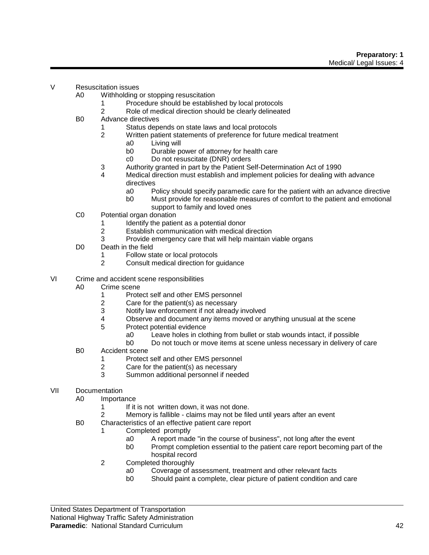- V Resuscitation issues
	- A0 Withholding or stopping resuscitation
		- 1 Procedure should be established by local protocols
		- 2 Role of medical direction should be clearly delineated
	- B0 Advance directives
		- 1 Status depends on state laws and local protocols
		- 2 Written patient statements of preference for future medical treatment
			- a0 Living will
			- b0 Durable power of attorney for health care
			- c0 Do not resuscitate (DNR) orders
		- 3 Authority granted in part by the Patient Self-Determination Act of 1990
		- 4 Medical direction must establish and implement policies for dealing with advance directives
			- a0 Policy should specify paramedic care for the patient with an advance directive
			- b0 Must provide for reasonable measures of comfort to the patient and emotional
			- support to family and loved ones
	- C0 Potential organ donation
		- 1 Identify the patient as a potential donor<br>2 Establish communication with medical o
		- Establish communication with medical direction
		- 3 Provide emergency care that will help maintain viable organs
	- D0 Death in the field
		- Follow state or local protocols
		- 2 Consult medical direction for guidance
- VI Crime and accident scene responsibilities
	- A0 Crime scene
		- 1 Protect self and other EMS personnel<br>2 Care for the patient(s) as necessary
		- 2 Care for the patient(s) as necessary<br>3 Notify law enforcement if not already
		- Notify law enforcement if not already involved
		- 4 Observe and document any items moved or anything unusual at the scene
		- 5 Protect potential evidence
			- a0 Leave holes in clothing from bullet or stab wounds intact, if possible
			- b0 Do not touch or move items at scene unless necessary in delivery of care
	- B0 Accident scene
		- 1 Protect self and other EMS personnel
		- 2 Care for the patient(s) as necessary<br>3 Summon additional personnel if need
		- 3 Summon additional personnel if needed
- VII Documentation
	- A0 Importance
		- 1 If it is not written down, it was not done.
		- 2 Memory is fallible claims may not be filed until years after an event
	- B0 Characteristics of an effective patient care report
		- 1 Completed promptly
			- a0 A report made "in the course of business", not long after the event
			- b0 Prompt completion essential to the patient care report becoming part of the hospital record
		- 2 Completed thoroughly
			- a0 Coverage of assessment, treatment and other relevant facts
			- b0 Should paint a complete, clear picture of patient condition and care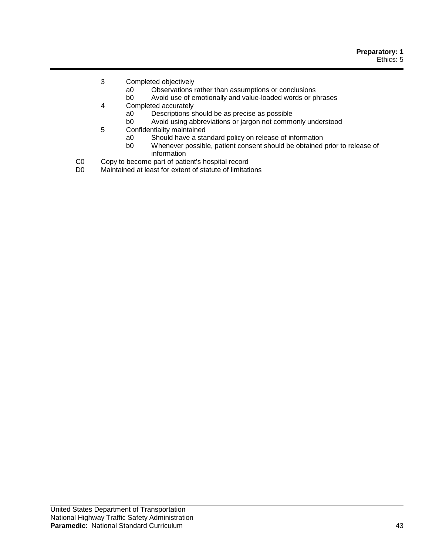- 3 Completed objectively
	- a0 Observations rather than assumptions or conclusions
	- b0 Avoid use of emotionally and value-loaded words or phrases
- 4 Completed accurately
	- a0 Descriptions should be as precise as possible<br>b0 Avoid using abbreviations or jargon not commo
	- Avoid using abbreviations or jargon not commonly understood
- 5 Confidentiality maintained
	- a0 Should have a standard policy on release of information
	- Whenever possible, patient consent should be obtained prior to release of information
- C0 Copy to become part of patient's hospital record<br>D0 Maintained at least for extent of statute of limitation
- Maintained at least for extent of statute of limitations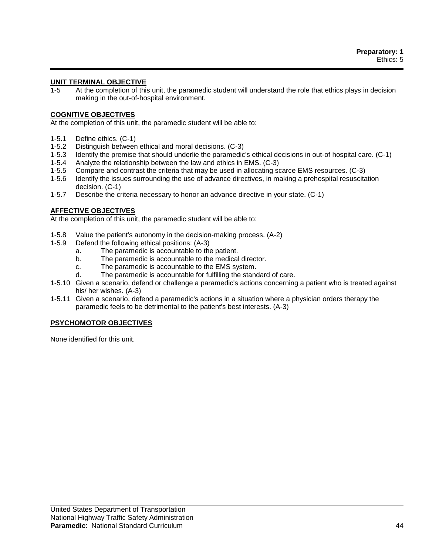# **UNIT TERMINAL OBJECTIVE**

1-5 At the completion of this unit, the paramedic student will understand the role that ethics plays in decision making in the out-of-hospital environment.

#### **COGNITIVE OBJECTIVES**

At the completion of this unit, the paramedic student will be able to:

- 1-5.1 Define ethics. (C-1)
- 1-5.2 Distinguish between ethical and moral decisions. (C-3)
- 1-5.3 Identify the premise that should underlie the paramedic's ethical decisions in out-of hospital care. (C-1)
- 1-5.4 Analyze the relationship between the law and ethics in EMS. (C-3)
- 1-5.5 Compare and contrast the criteria that may be used in allocating scarce EMS resources. (C-3)
- 1-5.6 Identify the issues surrounding the use of advance directives, in making a prehospital resuscitation decision. (C-1)
- 1-5.7 Describe the criteria necessary to honor an advance directive in your state. (C-1)

# **AFFECTIVE OBJECTIVES**

At the completion of this unit, the paramedic student will be able to:

- 1-5.8 Value the patient's autonomy in the decision-making process. (A-2)
- 1-5.9 Defend the following ethical positions: (A-3)
	- a. The paramedic is accountable to the patient.
	- b. The paramedic is accountable to the medical director.
	- c. The paramedic is accountable to the EMS system.
	- d. The paramedic is accountable for fulfilling the standard of care.
- 1-5.10 Given a scenario, defend or challenge a paramedic's actions concerning a patient who is treated against his/ her wishes. (A-3)
- 1-5.11 Given a scenario, defend a paramedic's actions in a situation where a physician orders therapy the paramedic feels to be detrimental to the patient's best interests. (A-3)

#### **PSYCHOMOTOR OBJECTIVES**

None identified for this unit.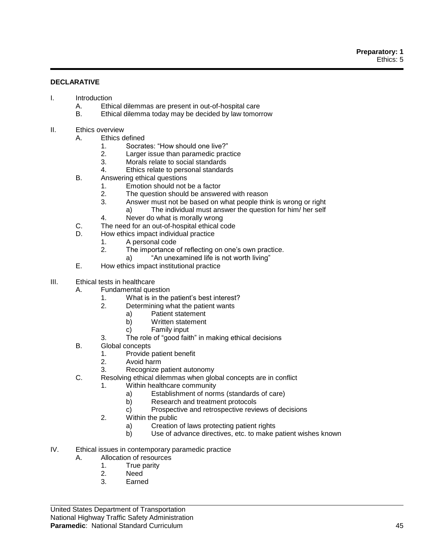# **DECLARATIVE**

- I. Introduction
	- A. Ethical dilemmas are present in out-of-hospital care
	- B. Ethical dilemma today may be decided by law tomorrow
- II. Ethics overview
	- A. Ethics defined
		- 1. Socrates: "How should one live?"
		- 2. Larger issue than paramedic practice
		- 3. Morals relate to social standards
		- 4. Ethics relate to personal standards
	- B. Answering ethical questions
		- 1. Emotion should not be a factor
		- 2. The question should be answered with reason
		- 3. Answer must not be based on what people think is wrong or right
			- a) The individual must answer the question for him/ her self
		- 4. Never do what is morally wrong
	- C. The need for an out-of-hospital ethical code
	- D. How ethics impact individual practice
		- 1. A personal code
		- 2. The importance of reflecting on one's own practice.
			- a) "An unexamined life is not worth living"
	- E. How ethics impact institutional practice
- III. Ethical tests in healthcare
	- A. Fundamental question
		- 1. What is in the patient's best interest?
		- 2. Determining what the patient wants
			- a) Patient statement
			- b) Written statement
			- c) Family input
		- 3. The role of "good faith" in making ethical decisions
	- B. Global concepts
		- 1. Provide patient benefit
		- 2. Avoid harm
		- 3. Recognize patient autonomy
	- C. Resolving ethical dilemmas when global concepts are in conflict
		- 1. Within healthcare community
			- a) Establishment of norms (standards of care)
			- b) Research and treatment protocols
			- c) Prospective and retrospective reviews of decisions
			- 2. Within the public
				- a) Creation of laws protecting patient rights
				- b) Use of advance directives, etc. to make patient wishes known
- IV. Ethical issues in contemporary paramedic practice
	- A. Allocation of resources
		- 1. True parity
		- 2. Need
		- 3. Earned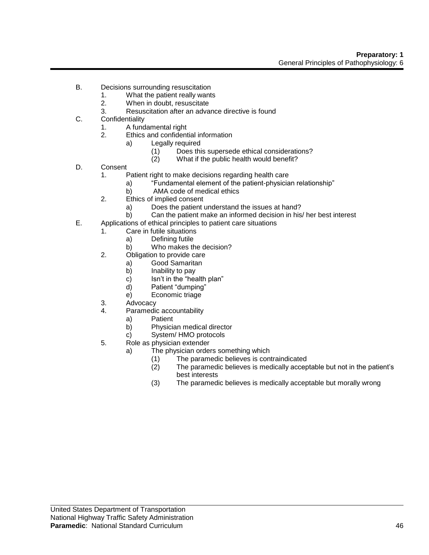- B. Decisions surrounding resuscitation
	- 1. What the patient really wants
	- 2. When in doubt, resuscitate
	- 3. Resuscitation after an advance directive is found
- C. Confidentiality
	- 1. A fundamental right
	- 2. Ethics and confidential information
		- a) Legally required
			- (1) Does this supersede ethical considerations?
			- (2) What if the public health would benefit?
- D. Consent
	- 1. Patient right to make decisions regarding health care
		- a) "Fundamental element of the patient-physician relationship"
		- b) AMA code of medical ethics
	- 2. Ethics of implied consent
		- a) Does the patient understand the issues at hand?
		- b) Can the patient make an informed decision in his/ her best interest
- E. Applications of ethical principles to patient care situations
	- 1. Care in futile situations
		- a) Defining futile
		- b) Who makes the decision?
	- 2. Obligation to provide care
		- a) Good Samaritan
			- b) Inability to pay
			- c) Isn't in the "health plan"
			- d) Patient "dumping"
			- e) Economic triage
	- 3. Advocacy
	- 4. Paramedic accountability
		- a) Patient
			- b) Physician medical director
			- c) System/ HMO protocols
	- 5. Role as physician extender
		- a) The physician orders something which
			- (1) The paramedic believes is contraindicated
			- (2) The paramedic believes is medically acceptable but not in the patient's best interests
			- (3) The paramedic believes is medically acceptable but morally wrong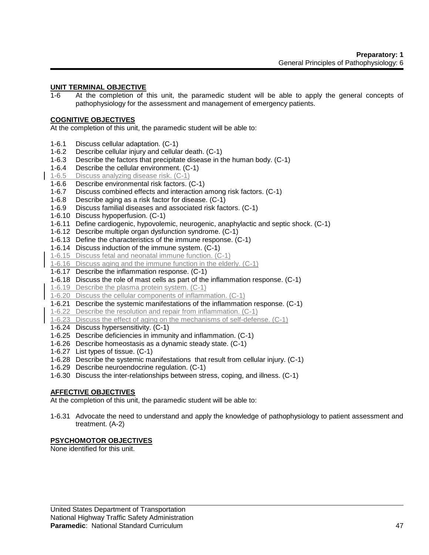# **UNIT TERMINAL OBJECTIVE**

1-6 At the completion of this unit, the paramedic student will be able to apply the general concepts of pathophysiology for the assessment and management of emergency patients.

### **COGNITIVE OBJECTIVES**

At the completion of this unit, the paramedic student will be able to:

- 1-6.1 Discuss cellular adaptation. (C-1)
- 1-6.2 Describe cellular injury and cellular death. (C-1)
- 1-6.3 Describe the factors that precipitate disease in the human body. (C-1)
- 1-6.4 Describe the cellular environment. (C-1)
- 1-6.5 Discuss analyzing disease risk. (C-1)
- 1-6.6 Describe environmental risk factors. (C-1)
- 1-6.7 Discuss combined effects and interaction among risk factors. (C-1)
- 1-6.8 Describe aging as a risk factor for disease. (C-1)
- 1-6.9 Discuss familial diseases and associated risk factors. (C-1)
- 1-6.10 Discuss hypoperfusion. (C-1)
- 1-6.11 Define cardiogenic, hypovolemic, neurogenic, anaphylactic and septic shock. (C-1)
- 1-6.12 Describe multiple organ dysfunction syndrome. (C-1)
- 1-6.13 Define the characteristics of the immune response. (C-1)
- 1-6.14 Discuss induction of the immune system. (C-1)
- 1-6.15 Discuss fetal and neonatal immune function. (C-1)
- 1-6.16 Discuss aging and the immune function in the elderly. (C-1)
- 1-6.17 Describe the inflammation response. (C-1)
- 1-6.18 Discuss the role of mast cells as part of the inflammation response. (C-1)
- 1-6.19 Describe the plasma protein system. (C-1)
- 1-6.20 Discuss the cellular components of inflammation. (C-1)
- 1-6.21 Describe the systemic manifestations of the inflammation response. (C-1)
- 1-6.22 Describe the resolution and repair from inflammation. (C-1)
- 1-6.23 Discuss the effect of aging on the mechanisms of self-defense. (C-1)
- 1-6.24 Discuss hypersensitivity. (C-1)
- 1-6.25 Describe deficiencies in immunity and inflammation. (C-1)
- 1-6.26 Describe homeostasis as a dynamic steady state. (C-1)
- 1-6.27 List types of tissue. (C-1)
- 1-6.28 Describe the systemic manifestations that result from cellular injury. (C-1)
- 1-6.29 Describe neuroendocrine regulation. (C-1)
- 1-6.30 Discuss the inter-relationships between stress, coping, and illness. (C-1)

# **AFFECTIVE OBJECTIVES**

At the completion of this unit, the paramedic student will be able to:

1-6.31 Advocate the need to understand and apply the knowledge of pathophysiology to patient assessment and treatment. (A-2)

# **PSYCHOMOTOR OBJECTIVES**

None identified for this unit.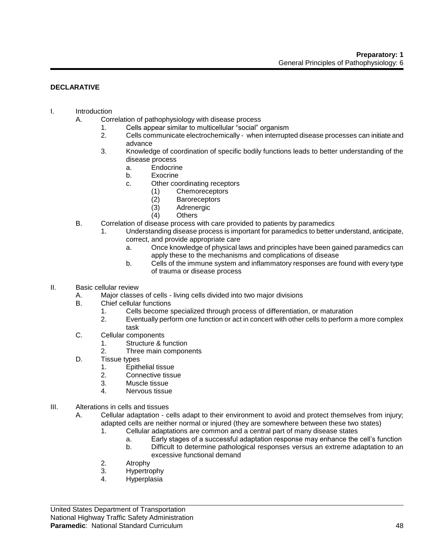# **DECLARATIVE**

# I. Introduction

- A. Correlation of pathophysiology with disease process
	- 1. Cells appear similar to multicellular "social" organism
	- 2. Cells communicate electrochemically when interrupted disease processes can initiate and advance
	- 3. Knowledge of coordination of specific bodily functions leads to better understanding of the disease process
		- a. Endocrine
		- b. Exocrine
		- c. Other coordinating receptors
			- (1) Chemoreceptors
			- (2) Baroreceptors
			- (3) Adrenergic
			- (4) Others
- B. Correlation of disease process with care provided to patients by paramedics
	- 1. Understanding disease process is important for paramedics to better understand, anticipate, correct, and provide appropriate care
		- a. Once knowledge of physical laws and principles have been gained paramedics can apply these to the mechanisms and complications of disease
		- b. Cells of the immune system and inflammatory responses are found with every type of trauma or disease process

#### II. Basic cellular review

- A. Major classes of cells living cells divided into two major divisions
- B. Chief cellular functions
	- 1. Cells become specialized through process of differentiation, or maturation
	- 2. Eventually perform one function or act in concert with other cells to perform a more complex task
- C. Cellular components
	- 1. Structure & function
	- 2. Three main components
- D. Tissue types
	- 1. Epithelial tissue
	- 2. Connective tissue
	- 3. Muscle tissue
	- 4. Nervous tissue
- III. Alterations in cells and tissues
	- A. Cellular adaptation cells adapt to their environment to avoid and protect themselves from injury; adapted cells are neither normal or injured (they are somewhere between these two states)
		- 1. Cellular adaptations are common and a central part of many disease states
			- a. Early stages of a successful adaptation response may enhance the cell's function
			- b. Difficult to determine pathological responses versus an extreme adaptation to an excessive functional demand
		- 2. Atrophy
		- 3. Hypertrophy
		- 4. Hyperplasia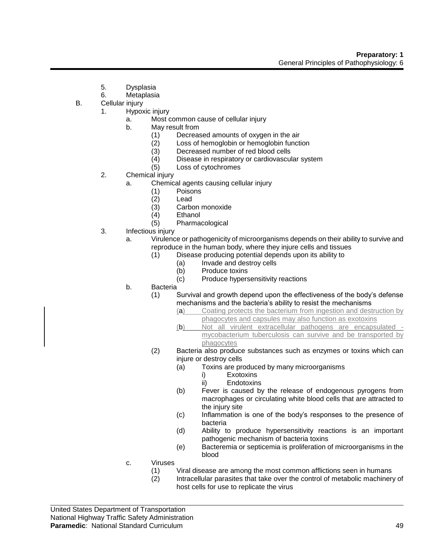- 5. Dysplasia
- 6. Metaplasia
- B. Cellular injury
	- 1. Hypoxic injury
		- a. Most common cause of cellular injury
		- b. May result from
			- (1) Decreased amounts of oxygen in the air<br>(2) Loss of hemoglobin or hemoglobin functi
			- $(2)$  Loss of hemoglobin or hemoglobin function<br> $(3)$  Decreased number of red blood cells
			- (3) Decreased number of red blood cells<br>(4) Disease in respiratory or cardiovascul
			- Disease in respiratory or cardiovascular system
			- (5) Loss of cytochromes
	- 2. Chemical injury
		- a. Chemical agents causing cellular injury
			- (1) Poisons
			- (2) Lead
			- (3) Carbon monoxide
			- (4) Ethanol
			- (5) Pharmacological
	- 3. Infectious injury
		- a. Virulence or pathogenicity of microorganisms depends on their ability to survive and reproduce in the human body, where they injure cells and tissues
			- (1) Disease producing potential depends upon its ability to
				- (a) Invade and destroy cells
				- (b) Produce toxins
				- (c) Produce hypersensitivity reactions
		- b. Bacteria
			- (1) Survival and growth depend upon the effectiveness of the body's defense mechanisms and the bacteria's ability to resist the mechanisms
				- (a) Coating protects the bacterium from ingestion and destruction by phagocytes and capsules may also function as exotoxins
				- (b) Not all virulent extracellular pathogens are encapsulated mycobacterium tuberculosis can survive and be transported by phagocytes
			- (2) Bacteria also produce substances such as enzymes or toxins which can injure or destroy cells
				- (a) Toxins are produced by many microorganisms
					- i) Exotoxins
					- ii) Endotoxins
				- (b) Fever is caused by the release of endogenous pyrogens from macrophages or circulating white blood cells that are attracted to the injury site
				- (c) Inflammation is one of the body's responses to the presence of bacteria
				- (d) Ability to produce hypersensitivity reactions is an important pathogenic mechanism of bacteria toxins
				- (e) Bacteremia or septicemia is proliferation of microorganisms in the blood
		- c. Viruses
			- (1) Viral disease are among the most common afflictions seen in humans<br>(2) Intracellular parasites that take over the control of metabolic machiner
			- Intracellular parasites that take over the control of metabolic machinery of host cells for use to replicate the virus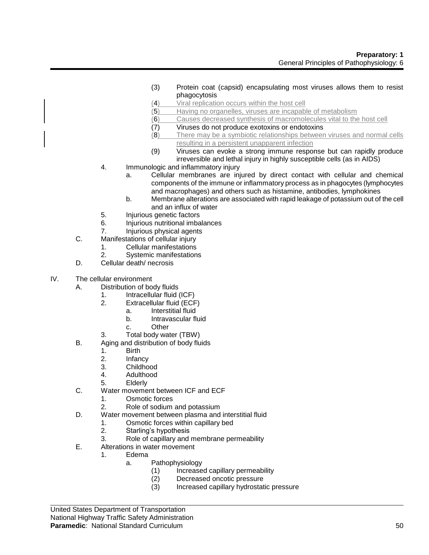- (3) Protein coat (capsid) encapsulating most viruses allows them to resist phagocytosis
- (4) Viral replication occurs within the host cell
- (5) Having no organelles, viruses are incapable of metabolism
- (6) Causes decreased synthesis of macromolecules vital to the host cell
- (7) Viruses do not produce exotoxins or endotoxins
- (8) There may be a symbiotic relationships between viruses and normal cells resulting in a persistent unapparent infection
- (9) Viruses can evoke a strong immune response but can rapidly produce irreversible and lethal injury in highly susceptible cells (as in AIDS)
- 4. Immunologic and inflammatory injury
	- a. Cellular membranes are injured by direct contact with cellular and chemical components of the immune or inflammatory process as in phagocytes (lymphocytes and macrophages) and others such as histamine, antibodies, lymphokines
	- b. Membrane alterations are associated with rapid leakage of potassium out of the cell and an influx of water
- 5. Injurious genetic factors
- 6. Injurious nutritional imbalances
- 7. Injurious physical agents
- C. Manifestations of cellular injury
	- 1. Cellular manifestations
	- 2. Systemic manifestations
- D. Cellular death/ necrosis
- IV. The cellular environment
	- A. Distribution of body fluids
		- 1. Intracellular fluid (ICF)
		- 2. Extracellular fluid (ECF)
			- a. Interstitial fluid
				- b. Intravascular fluid
				- c. Other
		- 3. Total body water (TBW)
	- B. Aging and distribution of body fluids
		- 1. Birth
		- 2. Infancy
		- 3. Childhood
		- 4. Adulthood
		- 5. Elderly
	- C. Water movement between ICF and ECF
		- 1. Osmotic forces
		- 2. Role of sodium and potassium
	- D. Water movement between plasma and interstitial fluid
		- 1. Osmotic forces within capillary bed
			- 2. Starling's hypothesis
			- 3. Role of capillary and membrane permeability
	- E. Alterations in water movement
		- 1. Edema
			- a. Pathophysiology
				- (1) Increased capillary permeability<br>(2) Decreased oncotic pressure
				- Decreased oncotic pressure
				- (3) Increased capillary hydrostatic pressure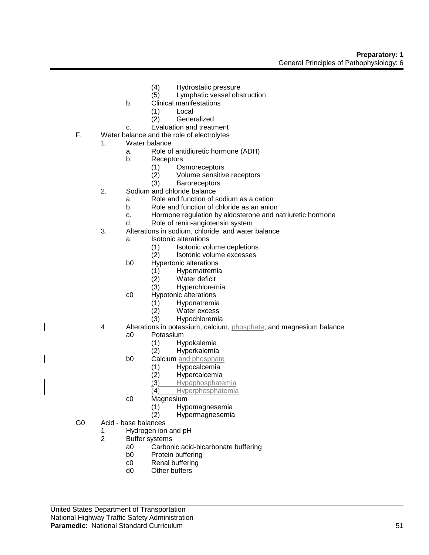- (4) Hydrostatic pressure
- (5) Lymphatic vessel obstruction
- b. Clinical manifestations
	- (1) Local
	- (2) Generalized
- c. Evaluation and treatment
- F. Water balance and the role of electrolytes
	- 1. Water balance
		- a. Role of antidiuretic hormone (ADH)
		- b. Receptors
			- (1) Osmoreceptors
			- (2) Volume sensitive receptors
			- (3) Baroreceptors
	- 2. Sodium and chloride balance
		- a. Role and function of sodium as a cation
		- b. Role and function of chloride as an anion
		- c. Hormone regulation by aldosterone and natriuretic hormone
		- d. Role of renin-angiotensin system
	- 3. Alterations in sodium, chloride, and water balance
		- a. Isotonic alterations
			- (1) Isotonic volume depletions
			- (2) Isotonic volume excesses
		- b0 Hypertonic alterations
			- (1) Hypernatremia
			- Water deficit
			- (3) Hyperchloremia
		- c0 Hypotonic alterations
			- (1) Hyponatremia
			- (2) Water excess
			- (3) Hypochloremia
	- 4 Alterations in potassium, calcium, phosphate, and magnesium balance a0 Potassium
		- - (1) Hypokalemia Hyperkalemia
		- b0 Calcium and phosphate
			- - (1) Hypocalcemia Hypercalcemia
				- (3) Hypophosphatemia
				- (4) Hyperphosphatemia
		- c0 Magnesium
			- (1) Hypomagnesemia
			- (2) Hypermagnesemia
- G0 Acid base balances
	- 1 Hydrogen ion and pH
		- 2 Buffer systems
			- a0 Carbonic acid-bicarbonate buffering
			- b0 Protein buffering
			- c0 Renal buffering
			- d0 Other buffers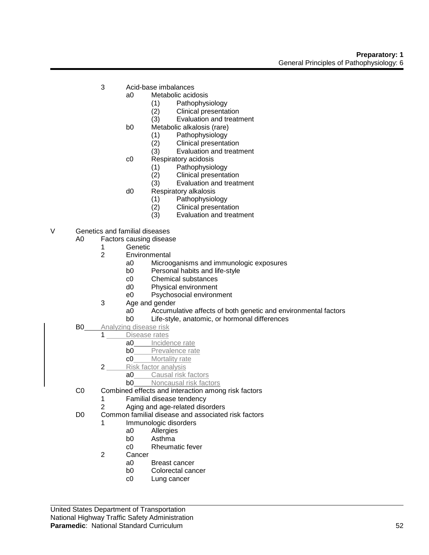- 3 Acid-base imbalances
	- a0 Metabolic acidosis
		- (1) Pathophysiology
		- (2) Clinical presentation
		- (3) Evaluation and treatment
	- b0 Metabolic alkalosis (rare)
		- (1) Pathophysiology
		- (2) Clinical presentation<br>(3) Evaluation and treatr
		- Evaluation and treatment
		- c0 Respiratory acidosis
			-
			- (1) Pathophysiology Clinical presentation
			- (3) Evaluation and treatment
	- d0 Respiratory alkalosis
		- (1) Pathophysiology
		- (2) Clinical presentation
		- (3) Evaluation and treatment
- V Genetics and familial diseases
	- A0 Factors causing disease
		- - 1 Genetic<br>2 Environn **Environmental** 
				- a0 Microoganisms and immunologic exposures
				- b0 Personal habits and life-style
				- c0 Chemical substances
				- d0 Physical environment
				- e0 Psychosocial environment
			- 3 Age and gender
				- a0 Accumulative affects of both genetic and environmental factors
				- b0 Life-style, anatomic, or hormonal differences
	- **B0** Analyzing disease risk
	- 1 Disease rates
		- a0 Incidence rate<br>b0 Prevalence rate
		- Prevalence rate
		- c0 Mortality rate
		- 2 Risk factor analysis
			- a0 Causal risk factors
			- **b0** Noncausal risk factors
	- C0 Combined effects and interaction among risk factors
		- 1 Familial disease tendency
		- 2 Aging and age-related disorders
	- D0 Common familial disease and associated risk factors
		- 1 Immunologic disorders
			- a0 Allergies
			- b0 Asthma
			- c0 Rheumatic fever
		- 2 Cancer
			- a0 Breast cancer
			- b0 Colorectal cancer
			- c0 Lung cancer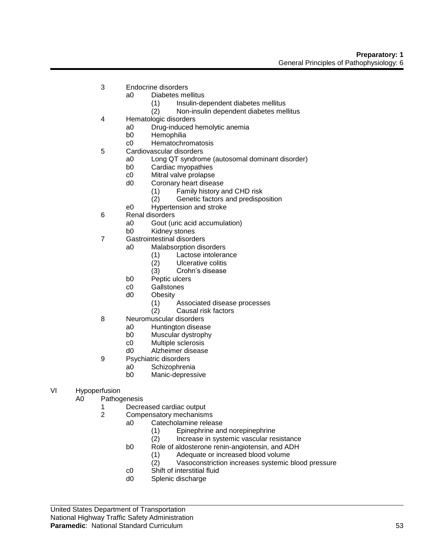- 3 Endocrine disorders
	- a0 Diabetes mellitus
		- (1) Insulin-dependent diabetes mellitus
		- (2) Non-insulin dependent diabetes mellitus
- 4 Hematologic disorders
	- a0 Drug-induced hemolytic anemia
	- b0 Hemophilia
	- c0 Hematochromatosis
- 5 Cardiovascular disorders
	- a0 Long QT syndrome (autosomal dominant disorder)
		- b0 Cardiac myopathies
		- c0 Mitral valve prolapse
		- d0 Coronary heart disease
			- (1) Family history and CHD risk
			- (2) Genetic factors and predisposition
		- e0 Hypertension and stroke
- 6 Renal disorders
	- a0 Gout (uric acid accumulation)
	- b0 Kidney stones
- 7 Gastrointestinal disorders
	- a0 Malabsorption disorders
		- (1) Lactose intolerance
		- (2) Ulcerative colitis
		- (3) Crohn's disease
	- b0 Peptic ulcers
	- c0 Gallstones
	- d0 Obesity
		- (1) Associated disease processes
		- (2) Causal risk factors
- 8 Neuromuscular disorders
	- a0 Huntington disease
	- b0 Muscular dystrophy
	- c0 Multiple sclerosis
	- d0 Alzheimer disease
- 9 Psychiatric disorders
	- a0 Schizophrenia
		- b0 Manic-depressive
- VI Hypoperfusion
	- A0 Pathogenesis
		- 1 Decreased cardiac output
		- 2 Compensatory mechanisms
			- a0 Catecholamine release
				- (1) Epinephrine and norepinephrine
				- (2) Increase in systemic vascular resistance
			- b0 Role of aldosterone renin-angiotensin, and ADH
				- (1) Adequate or increased blood volume
				- (2) Vasoconstriction increases systemic blood pressure
			- c0 Shift of interstitial fluid
			- d0 Splenic discharge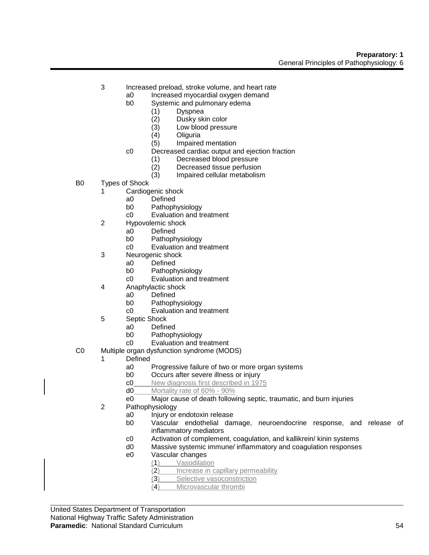- 3 Increased preload, stroke volume, and heart rate
	- a0 Increased myocardial oxygen demand
	- b0 Systemic and pulmonary edema
		- (1) Dyspnea
		- (2) Dusky skin color
		- (3) Low blood pressure
		-
		- (4) Oliguria (5) Impaired mentation
	- c0 Decreased cardiac output and ejection fraction
		- (1) Decreased blood pressure
		- (2) Decreased tissue perfusion
		- (3) Impaired cellular metabolism
- B0 Types of Shock
	- 1 Cardiogenic shock
		- a0 Defined
		- b0 Pathophysiology
		- c0 Evaluation and treatment
	- 2 Hypovolemic shock
		- a0 Defined
		- b0 Pathophysiology
		- c0 Evaluation and treatment
	- 3 Neurogenic shock
		- a0 Defined
			- b0 Pathophysiology
			- c0 Evaluation and treatment
	- 4 Anaphylactic shock
		- a0 Defined
		- b0 Pathophysiology
		- c0 Evaluation and treatment
	- 5 Septic Shock
		- a0 Defined
		- b0 Pathophysiology
		- c0 Evaluation and treatment
- C0 Multiple organ dysfunction syndrome (MODS)
	- 1 Defined
		- a0 Progressive failure of two or more organ systems
		- b0 Occurs after severe illness or injury
		- c0 New diagnosis first described in 1975
		- d0 Mortality rate of 60% 90%
		- e0 Major cause of death following septic, traumatic, and burn injuries
	- 2 Pathophysiology
		- a0 Injury or endotoxin release
		- b0 Vascular endothelial damage, neuroendocrine response, and release of inflammatory mediators
		- c0 Activation of complement, coagulation, and kallikrein/ kinin systems
		- d0 Massive systemic immune/ inflammatory and coagulation responses
		- e0 Vascular changes
			- (1) Vasodilation
				- (2) Increase in capillary permeability
				- (3) Selective vasoconstriction
				- (4) Microvascular thrombi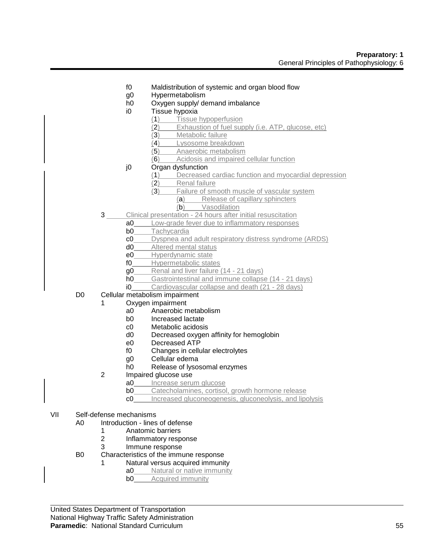- f0 Maldistribution of systemic and organ blood flow
- g0 Hypermetabolism
- h0 Oxygen supply/ demand imbalance
- i0 Tissue hypoxia
	- (1) Tissue hypoperfusion
	- (2) Exhaustion of fuel supply (i.e. ATP, glucose, etc)
	- (3) Metabolic failure
	- (4) Lysosome breakdown
	- (5) Anaerobic metabolism
	- (6) Acidosis and impaired cellular function
- j0 Organ dysfunction
	- (1) Decreased cardiac function and myocardial depression
	- (2) Renal failure
	- (3) Failure of smooth muscle of vascular system
		- (a) Release of capillary sphincters
		- (b) Vasodilation
- 3 Clinical presentation 24 hours after initial resuscitation
	- a0 Low-grade fever due to inflammatory responses
	- b0 Tachycardia
	- c0 Dyspnea and adult respiratory distress syndrome (ARDS)
	- d0 Altered mental status
	- e0 Hyperdynamic state
	- f0 Hypermetabolic states
	- g0 Renal and liver failure (14 21 days)
	- h0 Gastrointestinal and immune collapse (14 21 days)
	- i0 Cardiovascular collapse and death (21 28 days)
- D0 Cellular metabolism impairment
	- 1 Oxygen impairment
		- a0 Anaerobic metabolism
		- b0 Increased lactate
		- c0 Metabolic acidosis
		- d0 Decreased oxygen affinity for hemoglobin
		- e0 Decreased ATP
		- f0 Changes in cellular electrolytes
		- g0 Cellular edema
		- h0 Release of lysosomal enzymes
		- 2 Impaired glucose use
			- a0 Increase serum glucose
			- **b0** Catecholamines, cortisol, growth hormone release
			- c0 Increased gluconeogenesis, gluconeolysis, and lipolysis
- VII Self-defense mechanisms
	- A0 Introduction lines of defense
		- 1 Anatomic barriers
		- 2 Inflammatory response
		- 3 Immune response
	- B0 Characteristics of the immune response
		- Natural versus acquired immunity
			- a0 Natural or native immunity
				- **b0** Acquired immunity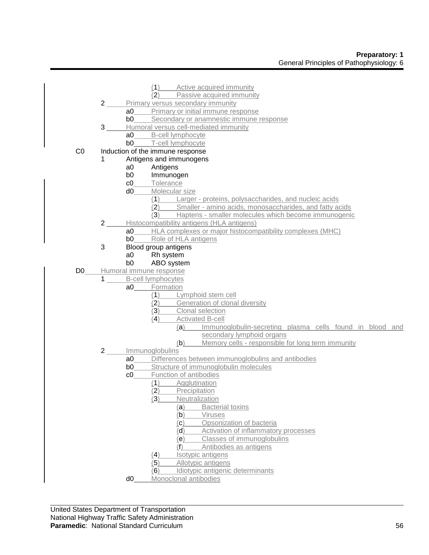|                |                 |                         | Active acquired immunity<br>(1)                                 |  |  |  |  |  |
|----------------|-----------------|-------------------------|-----------------------------------------------------------------|--|--|--|--|--|
|                |                 |                         | Passive acquired immunity<br>(2)                                |  |  |  |  |  |
|                | $2\overline{)}$ |                         | Primary versus secondary immunity                               |  |  |  |  |  |
|                |                 | a0                      | Primary or initial immune response                              |  |  |  |  |  |
|                |                 | b0                      | Secondary or anamnestic immune response                         |  |  |  |  |  |
|                | $\mathbf{3}$    |                         | Humoral versus cell-mediated immunity                           |  |  |  |  |  |
|                |                 | a <sub>0</sub>          | B-cell lymphocyte                                               |  |  |  |  |  |
|                |                 | b <sub>0</sub>          | T-cell lymphocyte                                               |  |  |  |  |  |
| CO             |                 |                         | Induction of the immune response                                |  |  |  |  |  |
|                |                 | Antigens and immunogens |                                                                 |  |  |  |  |  |
|                |                 | a <sub>0</sub>          | Antigens                                                        |  |  |  |  |  |
|                |                 | b <sub>0</sub>          | Immunogen                                                       |  |  |  |  |  |
|                |                 | c0                      | Tolerance                                                       |  |  |  |  |  |
|                |                 | d0                      | Molecular size                                                  |  |  |  |  |  |
|                |                 |                         | Larger - proteins, polysaccharides, and nucleic acids<br>(1)    |  |  |  |  |  |
|                |                 |                         | Smaller - amino acids, monosaccharides, and fatty acids<br>(2)  |  |  |  |  |  |
|                |                 |                         | Haptens - smaller molecules which become immunogenic<br>(3)     |  |  |  |  |  |
|                | $2^{\circ}$     |                         | Histocompatibility antigens (HLA antigens)                      |  |  |  |  |  |
|                |                 | a0                      | HLA complexes or major histocompatibility complexes (MHC)       |  |  |  |  |  |
|                |                 | b <sub>0</sub>          | Role of HLA antigens                                            |  |  |  |  |  |
|                | 3               |                         | Blood group antigens                                            |  |  |  |  |  |
|                |                 | a <sub>0</sub>          | Rh system                                                       |  |  |  |  |  |
|                |                 | b <sub>0</sub>          | ABO system                                                      |  |  |  |  |  |
| D <sub>0</sub> |                 |                         | Humoral immune response                                         |  |  |  |  |  |
|                | $\mathbf 1$     |                         | <b>B-cell lymphocytes</b>                                       |  |  |  |  |  |
|                |                 | a0                      | Formation                                                       |  |  |  |  |  |
|                |                 |                         | Lymphoid stem cell<br>(1)                                       |  |  |  |  |  |
|                |                 |                         | Generation of clonal diversity<br>(2)                           |  |  |  |  |  |
|                |                 |                         | (3)<br>Clonal selection                                         |  |  |  |  |  |
|                |                 |                         | (4)<br><b>Activated B-cell</b>                                  |  |  |  |  |  |
|                |                 |                         | (a)<br>Immunoglobulin-secreting plasma cells found in blood and |  |  |  |  |  |
|                |                 |                         | secondary lymphoid organs                                       |  |  |  |  |  |
|                |                 |                         | Memory cells - responsible for long term immunity<br>(b)        |  |  |  |  |  |
|                | $2\overline{ }$ |                         | Immunoglobulins                                                 |  |  |  |  |  |
|                |                 | a0                      | Differences between immunoglobulins and antibodies              |  |  |  |  |  |
|                |                 | b <sub>0</sub>          | Structure of immunoglobulin molecules                           |  |  |  |  |  |
|                |                 | c0                      | Function of antibodies                                          |  |  |  |  |  |
|                |                 |                         | (1)<br>Agglutination                                            |  |  |  |  |  |
|                |                 |                         | (2)<br>Precipitation                                            |  |  |  |  |  |
|                |                 |                         | (3)<br>Neutralization                                           |  |  |  |  |  |
|                |                 |                         | (a)<br><b>Bacterial toxins</b>                                  |  |  |  |  |  |
|                |                 |                         | (b)<br>Viruses                                                  |  |  |  |  |  |
|                |                 |                         | Opsonization of bacteria<br>(c)                                 |  |  |  |  |  |
|                |                 |                         | (d)<br>Activation of inflammatory processes                     |  |  |  |  |  |
|                |                 |                         | Classes of immunoglobulins<br>(e)                               |  |  |  |  |  |
|                |                 |                         | Antibodies as antigens<br>(1)                                   |  |  |  |  |  |
|                |                 |                         | Isotypic antigens<br>(4)                                        |  |  |  |  |  |
|                |                 |                         | (5)<br>Allotypic antigens                                       |  |  |  |  |  |
|                |                 | d <sub>0</sub>          | Idiotypic antigenic determinants<br>(6)                         |  |  |  |  |  |
|                |                 |                         | Monoclonal antibodies                                           |  |  |  |  |  |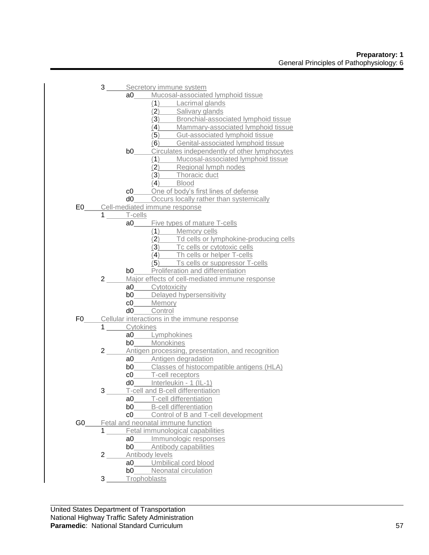|      |                   | 3 _____ Secretory immune system |                                                                                                                 |  |
|------|-------------------|---------------------------------|-----------------------------------------------------------------------------------------------------------------|--|
|      |                   |                                 | a0_____Mucosal-associated lymphoid tissue                                                                       |  |
|      |                   |                                 | (1) Lacrimal glands                                                                                             |  |
|      |                   |                                 | (2) Salivary glands                                                                                             |  |
|      |                   |                                 | (3) Bronchial-associated lymphoid tissue                                                                        |  |
|      |                   |                                 | (4) Mammary-associated lymphoid tissue                                                                          |  |
|      |                   |                                 | (5) Gut-associated lymphoid tissue                                                                              |  |
|      |                   |                                 | (6) Genital-associated lymphoid tissue                                                                          |  |
|      |                   |                                 | <b>b0</b> Circulates independently of other lymphocytes                                                         |  |
|      |                   |                                 |                                                                                                                 |  |
|      |                   |                                 |                                                                                                                 |  |
|      |                   |                                 | (1) Mucosal-associated lymphoid tissue<br>(2) Regional lymph nodes<br>(3) Thoracic duct                         |  |
|      |                   |                                 | $\overline{A}$ Blood                                                                                            |  |
|      |                   |                                 | c0______One of body's first lines of defense                                                                    |  |
|      |                   |                                 | d0 Occurs locally rather than systemically                                                                      |  |
|      |                   |                                 | E0 Cell-mediated immune response                                                                                |  |
|      | $1 \qquad \qquad$ | T-cells                         |                                                                                                                 |  |
|      |                   | a0                              | <b>Example 5 Five types of mature T-cells</b>                                                                   |  |
|      |                   |                                 | $(1)$ Memory cells                                                                                              |  |
|      |                   |                                 |                                                                                                                 |  |
|      |                   |                                 | (2) Td cells or lymphokine-producing cells<br>(3) Tc cells or cytotoxic cells<br>(4) Th cells or helper T-cells |  |
|      |                   |                                 |                                                                                                                 |  |
|      |                   |                                 | $\overline{(\overline{5})}$ Ts cells or suppressor T-cells                                                      |  |
|      |                   |                                 | <b>b0</b> Proliferation and differentiation                                                                     |  |
|      | $2 \_$            |                                 | Major effects of cell-mediated immune response                                                                  |  |
|      |                   |                                 | a0_____Cytotoxicity                                                                                             |  |
|      |                   |                                 | <b>b0</b> Delayed hypersensitivity                                                                              |  |
|      |                   |                                 | c0_____Memory                                                                                                   |  |
|      |                   |                                 | d0_____Control                                                                                                  |  |
|      |                   |                                 | F0 Cellular interactions in the immune response                                                                 |  |
|      |                   | 1 Cytokines                     |                                                                                                                 |  |
|      |                   |                                 | a0_____Lymphokines                                                                                              |  |
|      |                   |                                 | b0______Monokines                                                                                               |  |
|      | $2 \_$            |                                 | Antigen processing, presentation, and recognition                                                               |  |
|      |                   |                                 | a0 Antigen degradation                                                                                          |  |
|      |                   |                                 | <b>b0</b> Classes of histocompatible antigens (HLA)                                                             |  |
|      |                   |                                 | c0______T-cell receptors                                                                                        |  |
|      |                   |                                 | d0______ Interleukin - 1 (IL-1)                                                                                 |  |
|      | $3 \_$            |                                 | T-cell and B-cell differentiation                                                                               |  |
|      |                   |                                 | a0_____T-cell differentiation                                                                                   |  |
|      |                   | b0 l                            | <b>B-cell differentiation</b>                                                                                   |  |
|      |                   | c0                              | Control of B and T-cell development                                                                             |  |
| G0 l |                   |                                 | Fetal and neonatal immune function                                                                              |  |
|      | 1                 |                                 | Fetal immunological capabilities                                                                                |  |
|      |                   | a0                              | Immunologic responses                                                                                           |  |
|      |                   | b0                              | Antibody capabilities                                                                                           |  |
|      | $2\overline{)}$   |                                 | Antibody levels                                                                                                 |  |
|      |                   | a <sub>0</sub>                  | Umbilical cord blood                                                                                            |  |
|      |                   | b0                              | Neonatal circulation                                                                                            |  |
|      | 3                 | Trophoblasts                    |                                                                                                                 |  |
|      |                   |                                 |                                                                                                                 |  |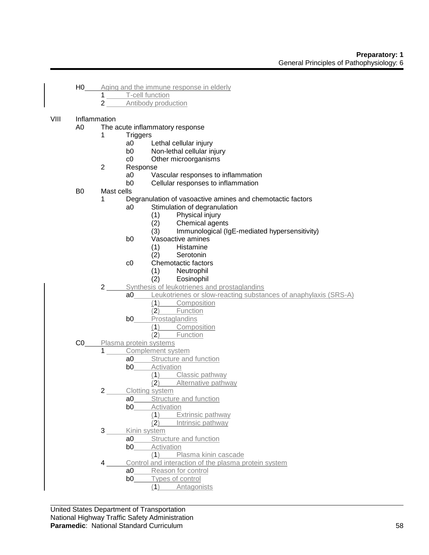- H0 Aging and the immune response in elderly
	- 1 T-cell function
	- 2 Antibody production

# VIII Inflammation

- A0 The acute inflammatory response
	- 1 Triggers
		- a0 Lethal cellular injury<br>b0 Non-lethal cellular in
		- Non-lethal cellular injury
		- c0 Other microorganisms
	- 2 Response
		- a0 Vascular responses to inflammation
		- b0 Cellular responses to inflammation
- B0 Mast cells
	- 1 Degranulation of vasoactive amines and chemotactic factors
		- a0 Stimulation of degranulation
			- (1) Physical injury
			-
			- (2) Chemical agents<br>(3) Immunological (Ig Immunological (IgE-mediated hypersensitivity)
		- b0 Vasoactive amines
			- (1) Histamine
			- (2) Serotonin
		- c0 Chemotactic factors
			-
			- (1) Neutrophil **Eosinophil**
	- 2 Synthesis of leukotrienes and prostaglandins
		- a0 Leukotrienes or slow-reacting substances of anaphylaxis (SRS-A)
			- (1) Composition
			- (2) Function
			- **b0** Prostaglandins
				- (1) Composition
				- (2) Function
- C0 Plasma protein systems
	- 1 Complement system
		- a0 Structure and function
		- **b0** Activation
			- (1) Classic pathway
				- (2) Alternative pathway
		- 2 Clotting system
			- a0 Structure and function
				- **b0** Activation
					- (1) Extrinsic pathway
						- (2) Intrinsic pathway
		- 3 Kinin system
			- a0 Structure and function
			- **b0** Activation
				- (1) Plasma kinin cascade
		- Control and interaction of the plasma protein system
			- a0 Reason for control
			- b0 Types of control
				- (1) Antagonists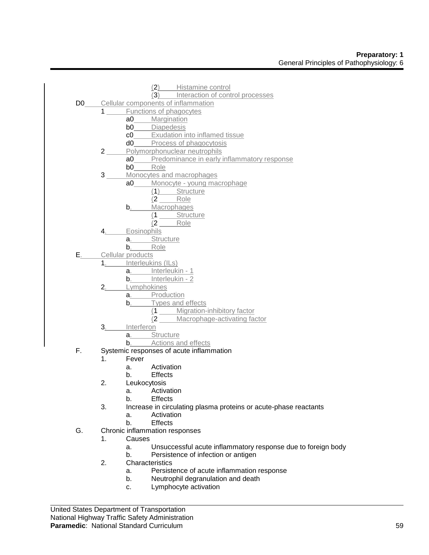|    |                                        | (2) Histamine control                                                              |
|----|----------------------------------------|------------------------------------------------------------------------------------|
|    |                                        | (3) Interaction of control processes<br>D0_____Cellular components of inflammation |
|    |                                        | Functions of phagocytes                                                            |
|    |                                        | a0 Margination                                                                     |
|    |                                        | b0_____Diapedesis                                                                  |
|    |                                        | c0_____ Exudation into inflamed tissue                                             |
|    |                                        | d0_____Process of phagocytosis                                                     |
|    | $2 \overline{\phantom{a} \phantom{a}}$ | Polymorphonuclear neutrophils                                                      |
|    |                                        |                                                                                    |
|    |                                        | <b>a0</b> Predominance in early inflammatory response<br><b>b0</b> Role            |
|    | 3 <sup>7</sup>                         | Monocytes and macrophages                                                          |
|    |                                        | a0_____ Monocyte - young macrophage                                                |
|    |                                        | (1) Structure                                                                      |
|    |                                        | $(2$ Role                                                                          |
|    |                                        | Macrophages                                                                        |
|    |                                        | $b_{\cdot}$                                                                        |
|    |                                        | (1 Structure                                                                       |
|    |                                        | $(2$ Role                                                                          |
|    | $4 \_$                                 | Eosinophils                                                                        |
|    |                                        | a. Structure<br>b. Role                                                            |
|    |                                        |                                                                                    |
|    |                                        | E <sub>.</sub> Cellular products                                                   |
|    |                                        | 1. Interleukins (ILs)                                                              |
|    |                                        | a. Interleukin - 1                                                                 |
|    |                                        | b. Interleukin - 2                                                                 |
|    |                                        | 2. Lymphokines                                                                     |
|    |                                        | a. Production                                                                      |
|    |                                        | b. Types and effects                                                               |
|    |                                        | (1 _____ Migration-inhibitory factor<br>(2 ____ Macrophage-activating factor       |
|    |                                        |                                                                                    |
|    | $3_{\dots}$                            | Interferon<br>a. Structure                                                         |
|    |                                        |                                                                                    |
|    |                                        | b. Actions and effects                                                             |
| F. | 1 <sub>1</sub>                         | Systemic responses of acute inflammation<br>Fever                                  |
|    |                                        | a. Activation                                                                      |
|    |                                        |                                                                                    |
|    | 2.                                     | b. Effects                                                                         |
|    |                                        | Leukocytosis<br>Activation                                                         |
|    |                                        | a.                                                                                 |
|    |                                        | b.<br><b>Effects</b>                                                               |
|    | 3.                                     | Increase in circulating plasma proteins or acute-phase reactants                   |
|    |                                        | Activation<br>a.                                                                   |
|    |                                        | b.<br><b>Effects</b>                                                               |
| G. |                                        | Chronic inflammation responses                                                     |
|    | 1.                                     | Causes                                                                             |
|    |                                        | Unsuccessful acute inflammatory response due to foreign body<br>a.                 |
|    |                                        | Persistence of infection or antigen<br>b.                                          |
|    | 2.                                     | Characteristics                                                                    |
|    |                                        | Persistence of acute inflammation response<br>a.                                   |
|    |                                        | Neutrophil degranulation and death<br>b.                                           |
|    |                                        | Lymphocyte activation<br>c.                                                        |
|    |                                        |                                                                                    |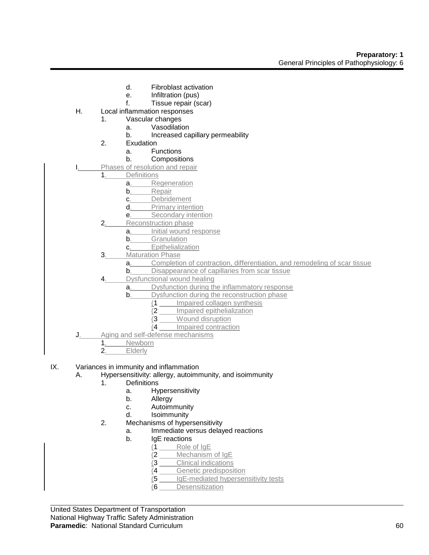- d. Fibroblast activation
- e. Infiltration (pus)
- f. Tissue repair (scar)
- H. Local inflammation responses
	- 1. Vascular changes
		- a. Vasodilation
		- b. Increased capillary permeability
	- 2. Exudation
		- a. Functions
		- b. Compositions
- Phases of resolution and repair
	- 1. Definitions
		- a. Regeneration
		- b. Repair
		- c. Debridement
		- d. Primary intention
		- e. **Secondary intention**
		- 2. Reconstruction phase
			- a. Initial wound response
			- b. Granulation
			- c. Epithelialization
		- 3. Maturation Phase
			- a. Completion of contraction, differentiation, and remodeling of scar tissue
			- **b**. Disappearance of capillaries from scar tissue
		- 4. Dysfunctional wound healing
			- a. Dysfunction during the inflammatory response
			- **b.** Dysfunction during the reconstruction phase
				- (1 Impaired collagen synthesis
				- (2 Impaired epithelialization
				- (3 Wound disruption
				- (4 Impaired contraction
- J. Aging and self-defense mechanisms<br>1. Newborn
	- 1. Newborn<br>2. Elderly
		- **Elderly**
- IX. Variances in immunity and inflammation
	- A. Hypersensitivity: allergy, autoimmunity, and isoimmunity
		- 1. Definitions
			- a. Hypersensitivity
			- b. Allergy
			- c. Autoimmunity
			- d. Isoimmunity
		- 2. Mechanisms of hypersensitivity
			- a. Immediate versus delayed reactions
			- b. IgE reactions
				- (1 Role of IgE
				- (2 Mechanism of IgE
				- (3 Clinical indications
				- (4 Genetic predisposition
				- (5 IgE-mediated hypersensitivity tests
				- (6 Desensitization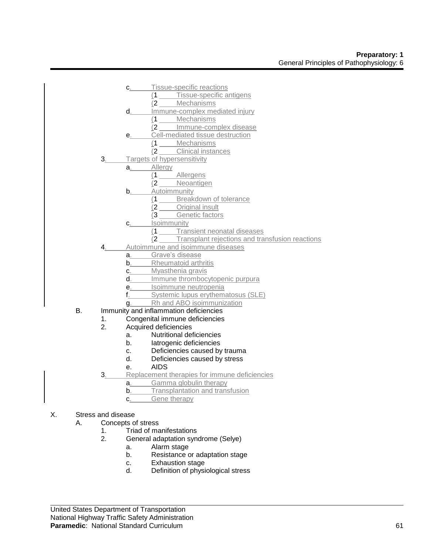- c. Tissue-specific reactions
	- (1 Tissue-specific antigens
	- (2 Mechanisms
- d. Immune-complex mediated injury
	- (1 Mechanisms
	- (2 Immune-complex disease
- e. Cell-mediated tissue destruction
	- $\frac{(1 \text{Mechanisms})}{(2 \text{ Clinical instar})}$
	- Clinical instances
- 3. Targets of hypersensitivity
	- a. Allergy
		- (1 Allergens
		- (2 Neoantigen
		- **b.** Autoimmunity
			- (1 Breakdown of tolerance
			- (2 Original insult
			- (3 Genetic factors
		- c. Isoimmunity
			- (1 Transient neonatal diseases
			- (2 Transplant rejections and transfusion reactions
- 4. Autoimmune and isoimmune diseases
	- a. Grave's disease
	- **b.** Rheumatoid arthritis
	- c. Myasthenia gravis
	- d. Immune thrombocytopenic purpura
	- e. Isoimmune neutropenia
	- f. Systemic lupus erythematosus (SLE)
	- g. Rh and ABO isoimmunization
- B. Immunity and inflammation deficiencies
	- 1. Congenital immune deficiencies
	- 2. Acquired deficiencies
		- a. Nutritional deficiencies
		- b. Iatrogenic deficiencies
		- c. Deficiencies caused by trauma
		- d. Deficiencies caused by stress
		- e. AIDS
	- 3. Replacement therapies for immune deficiencies
		- a. Gamma globulin therapy
		- **b**. Transplantation and transfusion
		- c. Gene therapy
- X. Stress and disease
	- A. Concepts of stress
		- 1. Triad of manifestations
		- 2. General adaptation syndrome (Selye)
			- a. Alarm stage
			- b. Resistance or adaptation stage
			- c. Exhaustion stage
			- d. Definition of physiological stress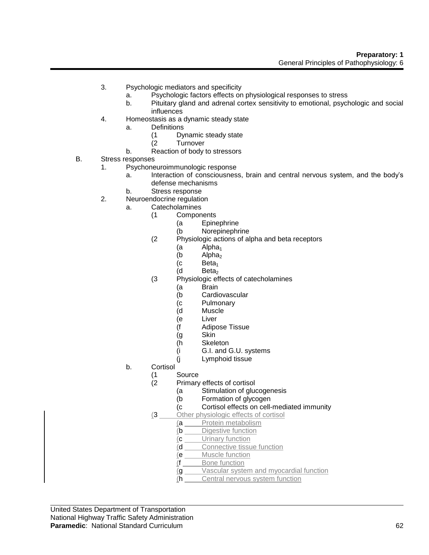- 3. Psychologic mediators and specificity
	- a. Psychologic factors effects on physiological responses to stress
	- b. Pituitary gland and adrenal cortex sensitivity to emotional, psychologic and social influences
- 4. Homeostasis as a dynamic steady state
	- a. Definitions
		- (1 Dynamic steady state
		- **Turnover**
	- b. Reaction of body to stressors
- B. Stress responses
	- 1. Psychoneuroimmunologic response
		- a. Interaction of consciousness, brain and central nervous system, and the body's defense mechanisms
		- b. Stress response
	- 2. Neuroendocrine regulation
		- a. Catecholamines
			- (1 Components
				- (a Epinephrine
				- (b Norepinephrine
			- (2 Physiologic actions of alpha and beta receptors
				- (a Alpha<sub>1</sub>)<br>(b Alpha<sub>2</sub>)
				- (b  $Alpha<sub>2</sub>$  (c Beta<sub>1</sub>
				- (c Beta<sub>1</sub>)<br>(d Beta<sub>2</sub>)
				- Beta<sub>2</sub>
			- (3 Physiologic effects of catecholamines
				- (a Brain
				- (b Cardiovascular
				- (c Pulmonary
				- (d Muscle
				- (e Liver
				- (f Adipose Tissue
				- (g Skin
				- (h Skeleton
				- (i G.I. and G.U. systems
				- (j Lymphoid tissue
		- b. Cortisol
			-
			- (1 Source Primary effects of cortisol
				- (a Stimulation of glucogenesis
				- (b Formation of glycogen
				- (c Cortisol effects on cell-mediated immunity
			- (3 Other physiologic effects of cortisol
				- (a Protein metabolism
					- (b Digestive function
					- (c Urinary function
					- (d Connective tissue function
					- (e Muscle function
					- (f Bone function
					- (g Vascular system and myocardial function
					- (h Central nervous system function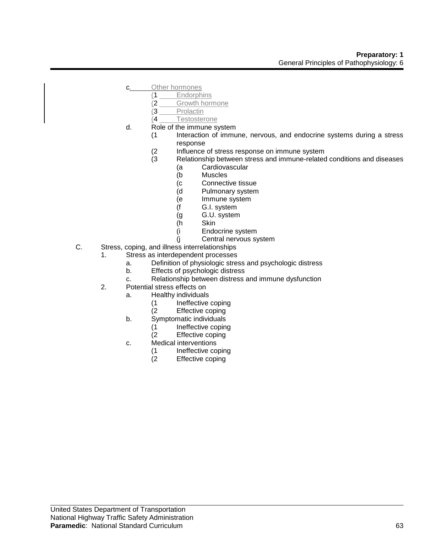- c. Other hormones
	- (1 Endorphins
		- (2 Growth hormone
	- (3 Prolactin
	- (4 Testosterone
- d. Role of the immune system
	- (1 Interaction of immune, nervous, and endocrine systems during a stress response
		- (2 Influence of stress response on immune system<br>(3 Relationship between stress and immune-related
		- Relationship between stress and immune-related conditions and diseases
			- (a Cardiovascular
			- (b Muscles
			- (c Connective tissue
			- (d Pulmonary system
			- (e Immune system
			- (f G.I. system
			- (g G.U. system
			- (h Skin
			- (i Endocrine system
			- (j Central nervous system
- C. Stress, coping, and illness interrelationships
	- 1. Stress as interdependent processes
		- a. Definition of physiologic stress and psychologic distress
		- b. Effects of psychologic distress
		- c. Relationship between distress and immune dysfunction
	- 2. Potential stress effects on
		- a. Healthy individuals
			- (1 Ineffective coping
			- (2 Effective coping
		- b. Symptomatic individuals
			- (1 Ineffective coping<br>(2 Effective coping
			- Effective coping
		- c. Medical interventions
			- (1 Ineffective coping<br>(2 Effective coping
			- Effective coping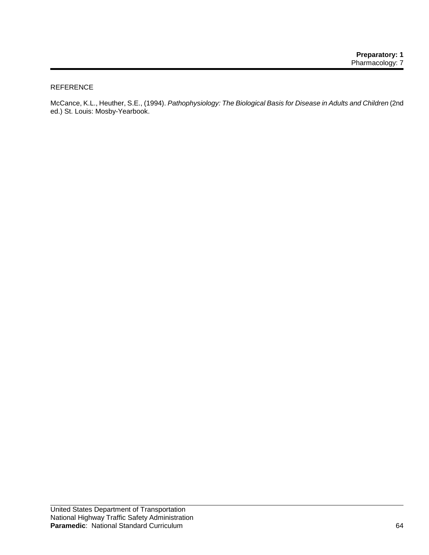### REFERENCE

McCance, K.L., Heuther, S.E., (1994). *Pathophysiology: The Biological Basis for Disease in Adults and Children* (2nd ed.) St. Louis: Mosby-Yearbook.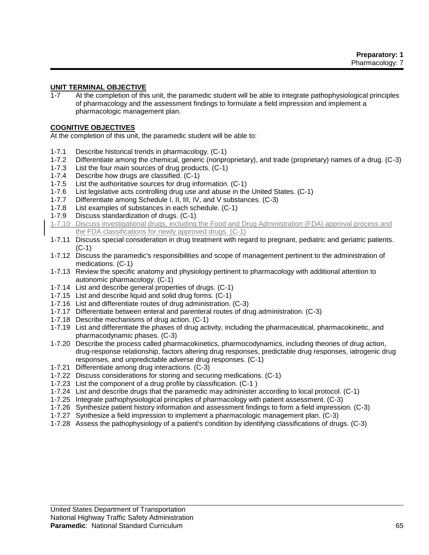# **UNIT TERMINAL OBJECTIVE**

1-7 At the completion of this unit, the paramedic student will be able to integrate pathophysiological principles of pharmacology and the assessment findings to formulate a field impression and implement a pharmacologic management plan.

#### **COGNITIVE OBJECTIVES**

At the completion of this unit, the paramedic student will be able to:

- 1-7.1 Describe historical trends in pharmacology. (C-1)
- 1-7.2 Differentiate among the chemical, generic (nonproprietary), and trade (proprietary) names of a drug. (C-3)
- 1-7.3 List the four main sources of drug products. (C-1)
- 1-7.4 Describe how drugs are classified. (C-1)
- 1-7.5 List the authoritative sources for drug information. (C-1)
- 1-7.6 List legislative acts controlling drug use and abuse in the United States. (C-1)
- 1-7.7 Differentiate among Schedule I, II, III, IV, and V substances. (C-3)
- 1-7.8 List examples of substances in each schedule. (C-1)
- 1-7.9 Discuss standardization of drugs. (C-1)
- 1-7.10 Discuss investigational drugs, including the Food and Drug Administration (FDA) approval process and the FDA classifications for newly approved drugs. (C-1)
- 1-7.11 Discuss special consideration in drug treatment with regard to pregnant, pediatric and geriatric patients. (C-1)
- 1-7.12 Discuss the paramedic's responsibilities and scope of management pertinent to the administration of medications. (C-1)
- 1-7.13 Review the specific anatomy and physiology pertinent to pharmacology with additional attention to autonomic pharmacology. (C-1)
- 1-7.14 List and describe general properties of drugs. (C-1)
- 1-7.15 List and describe liquid and solid drug forms. (C-1)
- 1-7.16 List and differentiate routes of drug administration. (C-3)
- 1-7.17 Differentiate between enteral and parenteral routes of drug administration. (C-3)
- 1-7.18 Describe mechanisms of drug action. (C-1)
- 1-7.19 List and differentiate the phases of drug activity, including the pharmaceutical, pharmacokinetic, and pharmacodynamic phases. (C-3)
- 1-7.20 Describe the process called pharmacokinetics, pharmocodynamics, including theories of drug action, drug-response relationship, factors altering drug responses, predictable drug responses, iatrogenic drug responses, and unpredictable adverse drug responses. (C-1)
- 1-7.21 Differentiate among drug interactions. (C-3)
- 1-7.22 Discuss considerations for storing and securing medications. (C-1)
- 1-7.23 List the component of a drug profile by classification. (C-1 )
- 1-7.24 List and describe drugs that the paramedic may administer according to local protocol. (C-1)
- 1-7.25 Integrate pathophysiological principles of pharmacology with patient assessment. (C-3)
- 1-7.26 Synthesize patient history information and assessment findings to form a field impression. (C-3)
- 1-7.27 Synthesize a field impression to implement a pharmacologic management plan. (C-3)
- 1-7.28 Assess the pathophysiology of a patient's condition by identifying classifications of drugs. (C-3)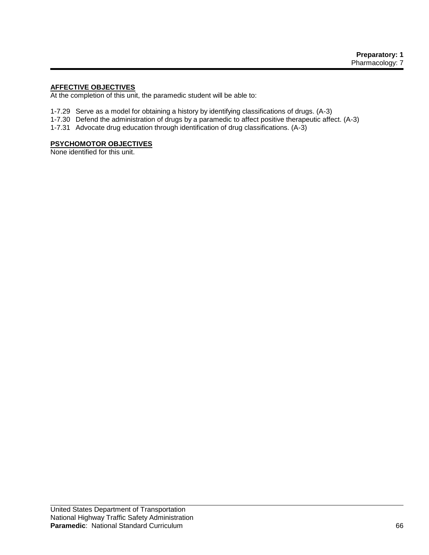# **AFFECTIVE OBJECTIVES**

At the completion of this unit, the paramedic student will be able to:

- 1-7.29 Serve as a model for obtaining a history by identifying classifications of drugs. (A-3)
- 1-7.30 Defend the administration of drugs by a paramedic to affect positive therapeutic affect. (A-3)
- 1-7.31 Advocate drug education through identification of drug classifications. (A-3)

# **PSYCHOMOTOR OBJECTIVES**

None identified for this unit.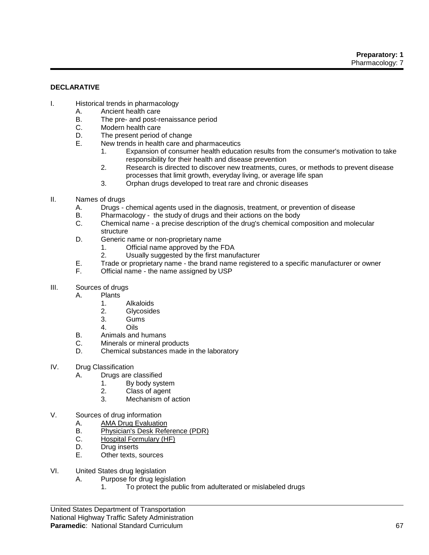### **DECLARATIVE**

- I. Historical trends in pharmacology
	- A. Ancient health care<br>B. The pre- and post-re
	- The pre- and post-renaissance period
	- C. Modern health care
	- D. The present period of change
	- E. New trends in health care and pharmaceutics
		- 1. Expansion of consumer health education results from the consumer's motivation to take responsibility for their health and disease prevention
		- 2. Research is directed to discover new treatments, cures, or methods to prevent disease processes that limit growth, everyday living, or average life span
		- 3. Orphan drugs developed to treat rare and chronic diseases
- II. Names of drugs
	- A. Drugs chemical agents used in the diagnosis, treatment, or prevention of disease
	- B. Pharmacology the study of drugs and their actions on the body
	- C. Chemical name a precise description of the drug's chemical composition and molecular structure
	- D. Generic name or non-proprietary name
		- 1. Official name approved by the FDA
		- 2. Usually suggested by the first manufacturer
	- E. Trade or proprietary name the brand name registered to a specific manufacturer or owner<br>F. Chicial name the name assigned by USP
	- Official name the name assigned by USP
- III. Sources of drugs
	- A. Plants
		- 1. Alkaloids
		- 2. Glycosides
		- 3. Gums
		- 4. Oils
	- B. Animals and humans
	- C. Minerals or mineral products
	- D. Chemical substances made in the laboratory
- IV. Drug Classification
	- A. Drugs are classified
		- 1. By body system
		- 2. Class of agent
		- 3. Mechanism of action
- V. Sources of drug information
	- A. AMA Drug Evaluation
	- B. Physician's Desk Reference (PDR)<br>C. Hospital Formulary (HF)
	- C. Hospital Formulary (HF)<br>D. Drug inserts
	- Drug inserts
	- E. Other texts, sources
- VI. United States drug legislation
	- A. Purpose for drug legislation
		- 1. To protect the public from adulterated or mislabeled drugs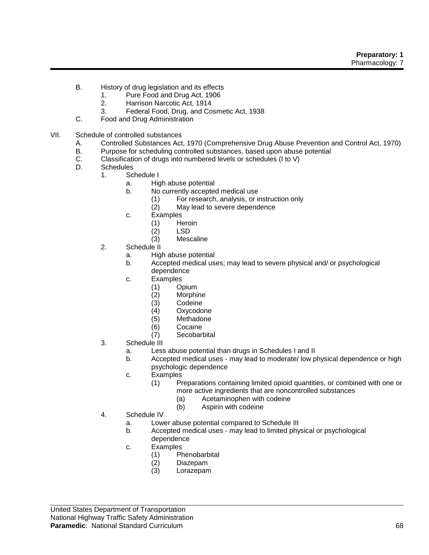- B. History of drug legislation and its effects
	- 1. Pure Food and Drug Act, 1906
	- 2. Harrison Narcotic Act, 1914
	- 3. Federal Food, Drug, and Cosmetic Act, 1938
- C. Food and Drug Administration
- VII. Schedule of controlled substances
	- A. Controlled Substances Act, 1970 (Comprehensive Drug Abuse Prevention and Control Act, 1970)
	- B. Purpose for scheduling controlled substances, based upon abuse potential C. Classification of drugs into numbered levels or schedules (1 to V)
	- Classification of drugs into numbered levels or schedules (I to V)
	- D. Schedules
		- 1. Schedule I
			- a. High abuse potential
			- b. No currently accepted medical use
				- (1) For research, analysis, or instruction only
				- (2) May lead to severe dependence
			- c. Examples
				- (1) Heroin
				- (2) LSD
				- (3) Mescaline
		- 2. Schedule II
			- a. High abuse potential
			- b. Accepted medical uses; may lead to severe physical and/ or psychological dependence
			- c. Examples
				- (1) Opium
				- (2) Morphine
				- Codeine
				- (4) Oxycodone
				- (5) Methadone
				- (6) Cocaine
				- (7) Secobarbital
		- 3. Schedule III
			- a. Less abuse potential than drugs in Schedules I and II
			- b. Accepted medical uses may lead to moderate/ low physical dependence or high psychologic dependence
			- c. Examples
				- (1) Preparations containing limited opioid quantities, or combined with one or more active ingredients that are noncontrolled substances
					- (a) Acetaminophen with codeine
					- (b) Aspirin with codeine
		- 4. Schedule IV
			- a. Lower abuse potential compared to Schedule III
			- b. Accepted medical uses may lead to limited physical or psychological dependence
			- c. Examples
				- (1) Phenobarbital
				- (2) Diazepam
				- Lorazepam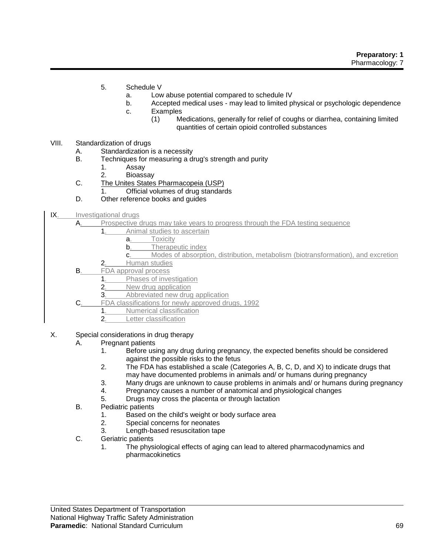- 5. Schedule V
	- a. Low abuse potential compared to schedule IV
	- b. Accepted medical uses may lead to limited physical or psychologic dependence
	- c. Examples
		- (1) Medications, generally for relief of coughs or diarrhea, containing limited quantities of certain opioid controlled substances
- VIII. Standardization of drugs
	- A. Standardization is a necessity
	- B. Techniques for measuring a drug's strength and purity
		- 1. Assay
		- 2. Bioassay
	- C. The Unites States Pharmacopeia (USP)
		- 1. Official volumes of drug standards
	- D. Other reference books and guides
- IX. Investigational drugs
	- A. Prospective drugs may take years to progress through the FDA testing sequence
		- 1. Animal studies to ascertain
			- a. Toxicity
			- **b.** Therapeutic index
			- c. Modes of absorption, distribution, metabolism (biotransformation), and excretion
		- 2. Human studies
	- B. FDA approval process
		- 1. Phases of investigation
		- 2. New drug application
		- 3. Abbreviated new drug application
	- C. FDA classifications for newly approved drugs, 1992
		- 1. Numerical classification
		- 2. Letter classification
- X. Special considerations in drug therapy
	- A. Pregnant patients
		- 1. Before using any drug during pregnancy, the expected benefits should be considered against the possible risks to the fetus
		- 2. The FDA has established a scale (Categories A, B, C, D, and X) to indicate drugs that may have documented problems in animals and/ or humans during pregnancy
		- 3. Many drugs are unknown to cause problems in animals and/ or humans during pregnancy
		- 4. Pregnancy causes a number of anatomical and physiological changes
		- 5. Drugs may cross the placenta or through lactation
	- B. Pediatric patients
		- 1. Based on the child's weight or body surface area
		- 2. Special concerns for neonates
		- 3. Length-based resuscitation tape
	- C. Geriatric patients
		- 1. The physiological effects of aging can lead to altered pharmacodynamics and pharmacokinetics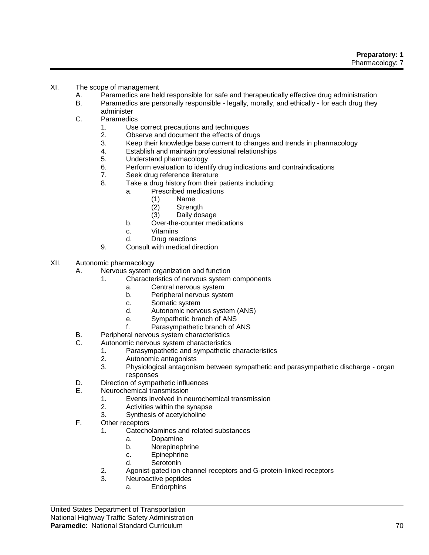- XI. The scope of management
	- A. Paramedics are held responsible for safe and therapeutically effective drug administration
	- B. Paramedics are personally responsible legally, morally, and ethically for each drug they administer
	- C. Paramedics
		- 1. Use correct precautions and techniques
		- 2. Observe and document the effects of drugs<br>3. Keep their knowledge base current to chang
		- 3. Keep their knowledge base current to changes and trends in pharmacology
		- Establish and maintain professional relationships
		- 5. Understand pharmacology
		- 6. Perform evaluation to identify drug indications and contraindications
		- 7. Seek drug reference literature
		- 8. Take a drug history from their patients including:
			- a. Prescribed medications
				- (1) Name
				- (2) Strength
				- (3) Daily dosage
				- b. Over-the-counter medications
				- c. Vitamins
				- d. Drug reactions
		- 9. Consult with medical direction
- XII. Autonomic pharmacology
	- A. Nervous system organization and function
		- 1. Characteristics of nervous system components
			- a. Central nervous system
			- b. Peripheral nervous system
			- c. Somatic system
			- d. Autonomic nervous system (ANS)
			- e. Sympathetic branch of ANS
			- f. Parasympathetic branch of ANS
	- B. Peripheral nervous system characteristics<br>C. Autonomic nervous system characteristics
	- Autonomic nervous system characteristics
		- 1. Parasympathetic and sympathetic characteristics
		- 2. Autonomic antagonists
		- 3. Physiological antagonism between sympathetic and parasympathetic discharge organ responses
	- D. Direction of sympathetic influences
	- E. Neurochemical transmission
		- 1. Events involved in neurochemical transmission
		- 2. Activities within the synapse
		- 3. Synthesis of acetylcholine
	- F. Other receptors
		- 1. Catecholamines and related substances
			- a. Dopamine
			- b. Norepinephrine
			- c. Epinephrine
			- d. Serotonin
		- 2. Agonist-gated ion channel receptors and G-protein-linked receptors
		- 3. Neuroactive peptides
			- a. Endorphins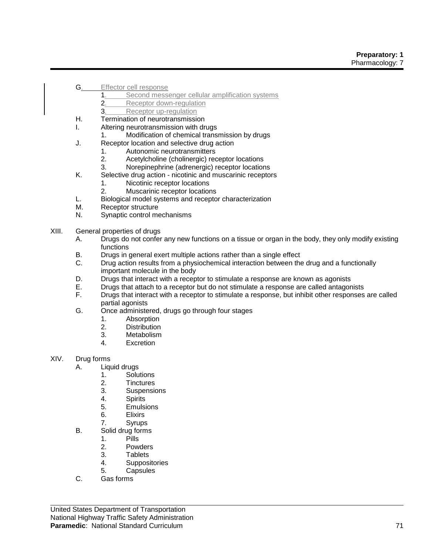- G. Effector cell response
	- 1. Second messenger cellular amplification systems
	- 2. Receptor down-regulation
	- 3. Receptor up-regulation
- H. Termination of neurotransmission
- I. Altering neurotransmission with drugs
	- 1. Modification of chemical transmission by drugs
- J. Receptor location and selective drug action
	- 1. Autonomic neurotransmitters
	- 2. Acetylcholine (cholinergic) receptor locations
	- 3. Norepinephrine (adrenergic) receptor locations
- K. Selective drug action nicotinic and muscarinic receptors
	- 1. Nicotinic receptor locations
	- 2. Muscarinic receptor locations
- L. Biological model systems and receptor characterization
- M. Receptor structure
- N. Synaptic control mechanisms
- XIII. General properties of drugs
	- A. Drugs do not confer any new functions on a tissue or organ in the body, they only modify existing functions
	- B. Drugs in general exert multiple actions rather than a single effect
	- C. Drug action results from a physiochemical interaction between the drug and a functionally important molecule in the body
	- D. Drugs that interact with a receptor to stimulate a response are known as agonists
	- E. Drugs that attach to a receptor but do not stimulate a response are called antagonists
	- F. Drugs that interact with a receptor to stimulate a response, but inhibit other responses are called partial agonists
	- G. Once administered, drugs go through four stages
		- 1. Absorption
			- 2. Distribution
			- 3. Metabolism
			- 4. Excretion
- XIV. Drug forms
	- A. Liquid drugs
		- 1. Solutions
		- 2. Tinctures
		- 3. Suspensions
		- 4. Spirits
		- 5. Emulsions
		- 6. Elixirs
		- 7. Syrups
	- B. Solid drug forms
		- 1. Pills
		- 2. Powders<br>3. Tablets
		- **Tablets**
		- 4. Suppositories
		- 5. Capsules
	- C. Gas forms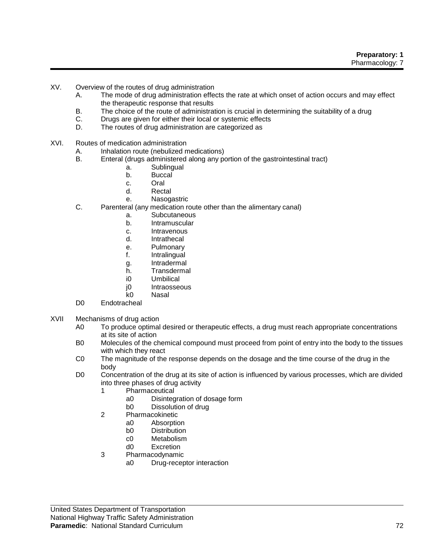**Preparatory: 1** Pharmacology: 7

- XV. Overview of the routes of drug administration
	- A. The mode of drug administration effects the rate at which onset of action occurs and may effect the therapeutic response that results
	- B. The choice of the route of administration is crucial in determining the suitability of a drug
	- C. Drugs are given for either their local or systemic effects
	- D. The routes of drug administration are categorized as
- XVI. Routes of medication administration
	- A. Inhalation route (nebulized medications)<br>B. Enteral (drugs administered along any po
		- Enteral (drugs administered along any portion of the gastrointestinal tract)
			- a. Sublingual
			- b. Buccal
			- c. Oral
			- d. Rectal
			- e. Nasogastric
	- C. Parenteral (any medication route other than the alimentary canal)
		- a. Subcutaneous
		- b. Intramuscular
		- c. Intravenous
		- d. Intrathecal
		- e. Pulmonary
		- f. Intralingual
		- g. Intradermal
		- h. Transdermal
		- i0 Umbilical
		- j0 Intraosseous
		- k0 Nasal
	- D0 Endotracheal
- XVII Mechanisms of drug action
	- A0 To produce optimal desired or therapeutic effects, a drug must reach appropriate concentrations at its site of action
	- B0 Molecules of the chemical compound must proceed from point of entry into the body to the tissues with which they react
	- C0 The magnitude of the response depends on the dosage and the time course of the drug in the body
	- D0 Concentration of the drug at its site of action is influenced by various processes, which are divided into three phases of drug activity
		- 1 Pharmaceutical
			- a0 Disintegration of dosage form
			- b0 Dissolution of drug
		- 2 Pharmacokinetic
			- a0 Absorption
			- b0 Distribution
			- c0 Metabolism
			- d0 Excretion
		- 3 Pharmacodynamic
			- a0 Drug-receptor interaction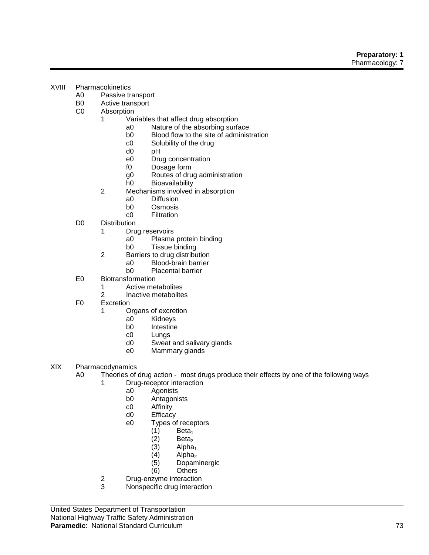- XVIII Pharmacokinetics
	- A0 Passive transport
	- B0 Active transport
	- C0 Absorption
		- 1 Variables that affect drug absorption
			- a0 Nature of the absorbing surface
			- b0 Blood flow to the site of administration<br>c0 Solubility of the drug
			- c0 Solubility of the drug<br>d0 pH
			- $pH$
			- e0 Drug concentration
			- f0 Dosage form
			- g0 Routes of drug administration
			- h0 Bioavailability
		- 2 Mechanisms involved in absorption
			- a0 Diffusion
			- b0 Osmosis
			- c0 Filtration
	- D0 Distribution
		- 1 Drug reservoirs
			- a0 Plasma protein binding
				- b0 Tissue binding
		- 2 Barriers to drug distribution
			- a0 Blood-brain barrier<br>b0 Placental barrier
				- Placental barrier
	- E0 Biotransformation
		- 1 Active metabolites
		- 2 Inactive metabolites
	- F0 Excretion
		- 1 Organs of excretion<br>a0 Kidneys
			- **Kidneys** 
				- b0 Intestine
				- c0 Lungs<br>d0 Sweat
				- Sweat and salivary glands
				- e0 Mammary glands
- XIX Pharmacodynamics
	- A0 Theories of drug action most drugs produce their effects by one of the following ways
		- 1 Drug-receptor interaction
			- a0 Agonists
			- b0 Antagonists
			- c0 Affinity
			- d0 Efficacy
			- e0 Types of receptors
				- (1) Beta<sub>1</sub><br>(2) Beta<sub>2</sub>
				- (2)  $Beta<sub>2</sub>$ <br>(3) Alpha
				- (3)  $Alpha<sub>1</sub>$ <br>(4)  $Alpha<sub>2</sub>$
				- (4)  $Alpha<sub>2</sub>$ <br>(5) Dopam
				- Dopaminergic
				- (6) Others
		- 2 Drug-enzyme interaction
		- 3 Nonspecific drug interaction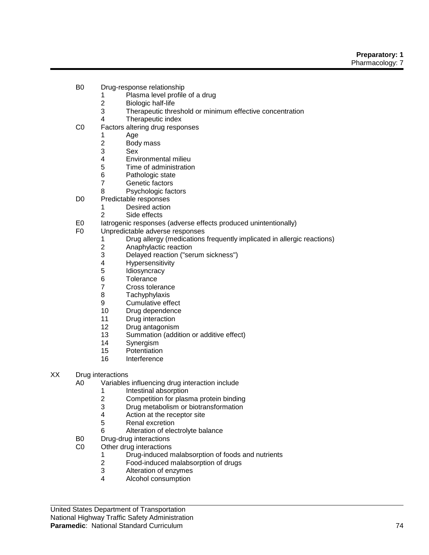- B0 Drug-response relationship
	- 1 Plasma level profile of a drug
	- 2 Biologic half-life
	- 3 Therapeutic threshold or minimum effective concentration
	- 4 Therapeutic index
- C0 Factors altering drug responses
- 1 Age
	- 2 Body mass<br>3 Sex
	- **Sex**
	- 4 Environmental milieu
	- 5 Time of administration
	- 6 Pathologic state<br>7 Genetic factors
	- Genetic factors
	- 8 Psychologic factors
- D0 Predictable responses
	- 1 Desired action
	- 2 Side effects
- E0 Iatrogenic responses (adverse effects produced unintentionally)
- F0 Unpredictable adverse responses
	- 1 Drug allergy (medications frequently implicated in allergic reactions)
	- 2 Anaphylactic reaction<br>3 Delaved reaction ("ser
	- Delayed reaction ("serum sickness")
	- 4 Hypersensitivity<br>5 Idiosyncracy
	- 5 Idiosyncracy<br>6 Tolerance
	- Tolerance
	- 7 Cross tolerance
	- 8 Tachyphylaxis
	- 9 Cumulative effect
	- 10 Drug dependence
	- 11 Drug interaction
	- 12 Drug antagonism
	- 13 Summation (addition or additive effect)
	- 14 Synergism<br>15 Potentiation
	- Potentiation
	- 16 Interference
- XX Drug interactions
	- A0 Variables influencing drug interaction include
		- 1 Intestinal absorption
		- 2 Competition for plasma protein binding
		- 3 Drug metabolism or biotransformation
		- 4 Action at the receptor site
		- 5 Renal excretion
		- 6 Alteration of electrolyte balance
	- B0 Drug-drug interactions
	- C0 Other drug interactions
		- 1 Drug-induced malabsorption of foods and nutrients
		- 2 Food-induced malabsorption of drugs
		- 3 Alteration of enzymes<br>4 Alcohol consumption
		- 4 Alcohol consumption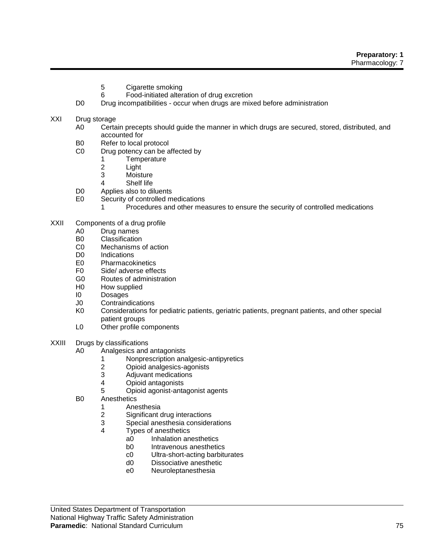- 5 Cigarette smoking
- 6 Food-initiated alteration of drug excretion
- D0 Drug incompatibilities occur when drugs are mixed before administration
- XXI Drug storage
	- A0 Certain precepts should guide the manner in which drugs are secured, stored, distributed, and accounted for
	- B0 Refer to local protocol<br>C0 Drug potency can be a
		- Drug potency can be affected by
			- 1 Temperature
			- 2 Light<br>3 Moist
			- **Moisture**
			- 4 Shelf life
	- D0 Applies also to diluents
	- E0 Security of controlled medications
		- 1 Procedures and other measures to ensure the security of controlled medications
- XXII Components of a drug profile
	- A0 Drug names
	- B0 Classification
	- C0 Mechanisms of action
	- D0 Indications
	- E0 Pharmacokinetics
	- F0 Side/ adverse effects
	- G0 Routes of administration
	- H0 How supplied
	- I0 Dosages
	- J0 Contraindications
	- K0 Considerations for pediatric patients, geriatric patients, pregnant patients, and other special patient groups
	- L0 Other profile components
- XXIII Drugs by classifications
	- A0 Analgesics and antagonists
		- 1 Nonprescription analgesic-antipyretics
		- 2 Opioid analgesics-agonists<br>3 Adiuvant medications
		- 3 Adjuvant medications<br>4 Opioid antagonists
		- 4 Opioid antagonists
		- 5 Opioid agonist-antagonist agents
	- B0 Anesthetics
		- 1 Anesthesia
		- 2 Significant drug interactions
		- 3 Special anesthesia considerations
		- 4 Types of anesthetics
			- a0 Inhalation anesthetics
			- b0 Intravenous anesthetics
			- c0 Ultra-short-acting barbiturates
			- d0 Dissociative anesthetic
			- e0 Neuroleptanesthesia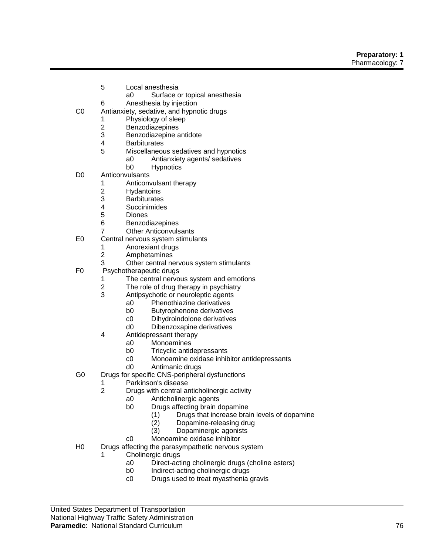- 5 Local anesthesia
	- a0 Surface or topical anesthesia
- 6 Anesthesia by injection
- C0 Antianxiety, sedative, and hypnotic drugs
	- 1 Physiology of sleep<br>2 Benzodiazepines
	- **Benzodiazepines**
	- 3 Benzodiazepine antidote
	- 4 Barbiturates
	- Miscellaneous sedatives and hypnotics a0 Antianxiety agents/ sedatives
		- b0 Hypnotics
- D0 Anticonvulsants
	- 1 Anticonvulsant therapy
	- 2 Hydantoins
	- 3 Barbiturates
	- 4 Succinimides
	- 5 Diones
	- 6 Benzodiazepines
	- 7 Other Anticonvulsants
- E0 Central nervous system stimulants
	- 1 Anorexiant drugs<br>2 Amphetamines
	- **Amphetamines**
	- 3 Other central nervous system stimulants
- F0 Psychotherapeutic drugs
	- 1 The central nervous system and emotions
	- 2 The role of drug therapy in psychiatry
	- 3 Antipsychotic or neuroleptic agents
		- a0 Phenothiazine derivatives
		- b0 Butyrophenone derivatives
		- c0 Dihydroindolone derivatives
		- d0 Dibenzoxapine derivatives
	- 4 Antidepressant therapy
		- a0 Monoamines<br>b0 Tricvclic antid
		- **Tricyclic antidepressants**
		- c0 Monoamine oxidase inhibitor antidepressants
		- d0 Antimanic drugs
- G0 Drugs for specific CNS-peripheral dysfunctions
	- 1 Parkinson's disease
	- 2 Drugs with central anticholinergic activity
		- a0 Anticholinergic agents
		- b0 Drugs affecting brain dopamine
			- (1) Drugs that increase brain levels of dopamine
			- (2) Dopamine-releasing drug
			- (3) Dopaminergic agonists
		- c0 Monoamine oxidase inhibitor
- H0 Drugs affecting the parasympathetic nervous system
	- 1 Cholinergic drugs
		- a0 Direct-acting cholinergic drugs (choline esters)
		- Indirect-acting cholinergic drugs
		- c0 Drugs used to treat myasthenia gravis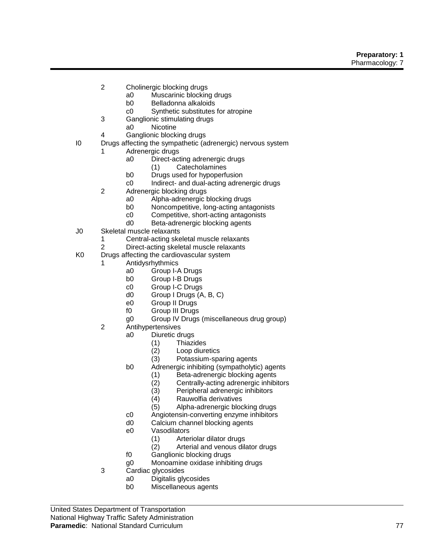- 2 Cholinergic blocking drugs
	- a0 Muscarinic blocking drugs
	- b0 Belladonna alkaloids
	- c0 Synthetic substitutes for atropine
- 3 Ganglionic stimulating drugs
	- a0 Nicotine
- 4 Ganglionic blocking drugs
- I0 Drugs affecting the sympathetic (adrenergic) nervous system
	- 1 Adrenergic drugs
		- a0 Direct-acting adrenergic drugs
			- (1) Catecholamines
		- b0 Drugs used for hypoperfusion
		- c0 Indirect- and dual-acting adrenergic drugs
		- 2 Adrenergic blocking drugs
			- a0 Alpha-adrenergic blocking drugs
			- b0 Noncompetitive, long-acting antagonists
			- c0 Competitive, short-acting antagonists
			- d0 Beta-adrenergic blocking agents
- J0 Skeletal muscle relaxants
	- 1 Central-acting skeletal muscle relaxants
	- 2 Direct-acting skeletal muscle relaxants
- K0 Drugs affecting the cardiovascular system
	- **Antidysrhythmics** 
		- a0 Group I-A Drugs
		- b0 Group I-B Drugs
		- c0 Group I-C Drugs
		- d0 Group I Drugs (A, B, C)
		- e0 Group II Drugs
		- f0 Group III Drugs
		- g0 Group IV Drugs (miscellaneous drug group)
		- 2 Antihypertensives
			- a0 Diuretic drugs
				- (1) Thiazides
				- (2) Loop diuretics<br>(3) Potassium-spa
				- Potassium-sparing agents
			- b0 Adrenergic inhibiting (sympatholytic) agents
				- (1) Beta-adrenergic blocking agents
				- (2) Centrally-acting adrenergic inhibitors
				- (3) Peripheral adrenergic inhibitors
				- (4) Rauwolfia derivatives
				- (5) Alpha-adrenergic blocking drugs
			- c0 Angiotensin-converting enzyme inhibitors
			- d0 Calcium channel blocking agents
			- e0 Vasodilators
				- (1) Arteriolar dilator drugs
				- (2) Arterial and venous dilator drugs
			- f0 Ganglionic blocking drugs
			- g0 Monoamine oxidase inhibiting drugs
		- 3 Cardiac glycosides
			- a0 Digitalis glycosides
			- b0 Miscellaneous agents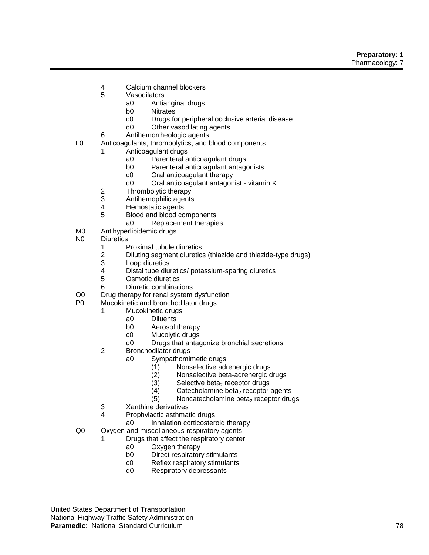#### **Preparatory: 1** Pharmacology: 7

- 4 Calcium channel blockers
- 5 Vasodilators
	- a0 Antianginal drugs
	- b0 Nitrates
	- c0 Drugs for peripheral occlusive arterial disease
	- d0 Other vasodilating agents
- 6 Antihemorrheologic agents
- L0 Anticoagulants, thrombolytics, and blood components
	- 1 Anticoagulant drugs
		- a0 Parenteral anticoagulant drugs
		- b0 Parenteral anticoagulant antagonists
		- c0 Oral anticoagulant therapy
		- d0 Oral anticoagulant antagonist vitamin K
	- 2 Thrombolytic therapy
	- 3 Antihemophilic agents
	- 4 Hemostatic agents
	- 5 Blood and blood components
		- a0 Replacement therapies
- M0 Antihyperlipidemic drugs
- N0 Diuretics
	- 1 Proximal tubule diuretics<br>2 Diluting segment diuretic
	- 2 Diluting segment diuretics (thiazide and thiazide-type drugs)
	- 3 Loop diuretics<br>4 Distal tube diu
	- 4 Distal tube diuretics/ potassium-sparing diuretics
	- Osmotic diuretics
	- 6 Diuretic combinations
- O0 Drug therapy for renal system dysfunction<br>
P0 Mucokinetic and bronchodilator drugs
- Mucokinetic and bronchodilator drugs
	- 1 Mucokinetic drugs
		- a0 Diluents
			- b0 Aerosol therapy
			- c0 Mucolytic drugs
			- d0 Drugs that antagonize bronchial secretions
	- 2 Bronchodilator drugs
		- a0 Sympathomimetic drugs
			-
			- (1) Nonselective adrenergic drugs<br>(2) Nonselective beta-adrenergic c Nonselective beta-adrenergic drugs
			- (3) Selective beta<sub>2</sub> receptor drugs<br>(4) Catecholamine beta<sub>2</sub> receptor
			- (4) Catecholamine beta<sub>2</sub> receptor agents<br>(5) Noncatecholamine beta<sub>2</sub> receptor drug
			- Noncatecholamine beta<sub>2</sub> receptor drugs
	- 3 Xanthine derivatives
	- 4 Prophylactic asthmatic drugs
		- a0 Inhalation corticosteroid therapy
- Q0 Oxygen and miscellaneous respiratory agents
	- 1 Drugs that affect the respiratory center
		- a0 Oxygen therapy
		- b0 Direct respiratory stimulants
		- c0 Reflex respiratory stimulants
		- d0 Respiratory depressants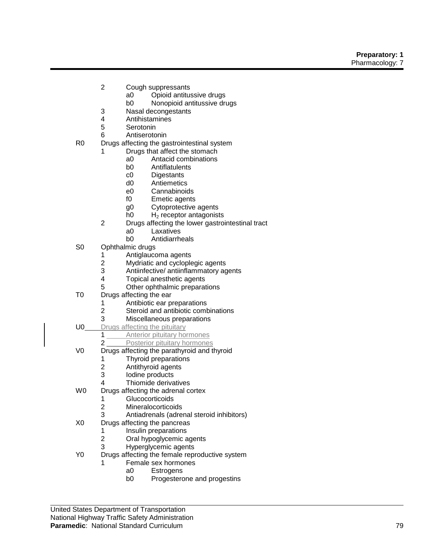- 2 Cough suppressants
	- a0 Opioid antitussive drugs
	- b0 Nonopioid antitussive drugs
- 3 Nasal decongestants
- 4 Antihistamines
- **Serotonin**
- 6 Antiserotonin
- R0 Drugs affecting the gastrointestinal system
	- 1 Drugs that affect the stomach
		- a0 Antacid combinations
		- b0 Antiflatulents
		- c0 Digestants
		- d0 Antiemetics
		- e0 Cannabinoids
		- f0 Emetic agents
		- g0 Cytoprotective agents
		- $h$ 0 H<sub>2</sub> receptor antagonists
	- 2 Drugs affecting the lower gastrointestinal tract
		- a0 Laxatives
			- b0 Antidiarrheals
- S0 Ophthalmic drugs
	- 1 Antiglaucoma agents
	- 2 Mydriatic and cycloplegic agents<br>3 Antiinfective/ antiinflammatory ac
	- 3 Antiinfective/ antiinflammatory agents<br>4 Topical anesthetic agents
	- Topical anesthetic agents
	- 5 Other ophthalmic preparations
- T0 Drugs affecting the ear
	- 1 Antibiotic ear preparations
	- 2 Steroid and antibiotic combinations
	- 3 Miscellaneous preparations
- U0 Drugs affecting the pituitary
	- 1 Anterior pituitary hormones
		- 2 **Posterior pituitary hormones**
- V0 Drugs affecting the parathyroid and thyroid
	- 1 Thyroid preparations
	-
	- 2 Antithyroid agents<br>3 Iodine products lodine products
	- 4 Thiomide derivatives
- W0 Drugs affecting the adrenal cortex
	- 1 Glucocorticoids
		- 2 Mineralocorticoids
	- 3 Antiadrenals (adrenal steroid inhibitors)
- X0 Drugs affecting the pancreas
	- 1 Insulin preparations
	- 2 Oral hypoglycemic agents
	- 3 Hyperglycemic agents
- Y0 Drugs affecting the female reproductive system
	- 1 Female sex hormones
		- a0 Estrogens<br>b0 Progestero
		- Progesterone and progestins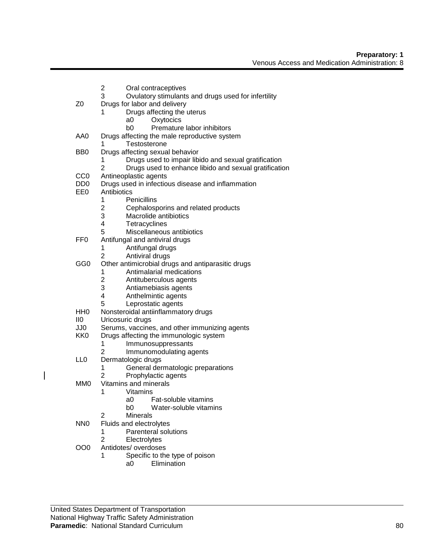- 2 Oral contraceptives
- 3 Ovulatory stimulants and drugs used for infertility
- Z0 Drugs for labor and delivery
	- 1 Drugs affecting the uterus
		- a0 Oxytocics
		- b0 Premature labor inhibitors
- AA0 Drugs affecting the male reproductive system
	- 1 Testosterone
- BB0 Drugs affecting sexual behavior
	- 1 Drugs used to impair libido and sexual gratification
	- 2 Drugs used to enhance libido and sexual gratification
- CC0 Antineoplastic agents
- DD0 Drugs used in infectious disease and inflammation<br>EE0 Antibiotics
- **Antibiotics** 
	- 1 Penicillins<br>2 Cephalosp
	- 2 Cephalosporins and related products<br>3 Macrolide antibiotics
	- Macrolide antibiotics
	- 4 Tetracyclines
	- 5 Miscellaneous antibiotics
- FF0 Antifungal and antiviral drugs
	- 1 Antifungal drugs
	- 2 Antiviral drugs
- GG0 Other antimicrobial drugs and antiparasitic drugs
	- 1 Antimalarial medications
	- 2 Antituberculous agents
	- 3 Antiamebiasis agents
	- 4 Anthelmintic agents
	- 5 Leprostatic agents
- HH0 Nonsteroidal antiinflammatory drugs
- II0 Uricosuric drugs
- JJ0 Serums, vaccines, and other immunizing agents<br>KK0 Drugs affecting the immunologic system
	- Drugs affecting the immunologic system
		- 1 Immunosuppressants
		- 2 Immunomodulating agents
- LL0 Dermatologic drugs
	- 1 General dermatologic preparations
	- 2 Prophylactic agents
- MM0 Vitamins and minerals
	- 1 Vitamins
		- a0 Fat-soluble vitamins
		- b0 Water-soluble vitamins
- 2 Minerals
- NN0 Fluids and electrolytes
	- 1 Parenteral solutions
	- 2 Electrolytes
- OO0 Antidotes/ overdoses
	- 1 Specific to the type of poison
		- a0 Elimination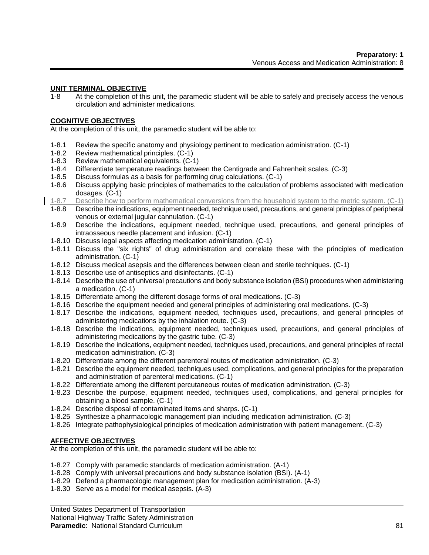#### **UNIT TERMINAL OBJECTIVE**

1-8 At the completion of this unit, the paramedic student will be able to safely and precisely access the venous circulation and administer medications.

#### **COGNITIVE OBJECTIVES**

At the completion of this unit, the paramedic student will be able to:

- 1-8.1 Review the specific anatomy and physiology pertinent to medication administration. (C-1)
- 1-8.2 Review mathematical principles. (C-1)
- 1-8.3 Review mathematical equivalents. (C-1)
- 1-8.4 Differentiate temperature readings between the Centigrade and Fahrenheit scales. (C-3)
- 1-8.5 Discuss formulas as a basis for performing drug calculations. (C-1)
- 1-8.6 Discuss applying basic principles of mathematics to the calculation of problems associated with medication dosages. (C-1)
- 1-8.7 Describe how to perform mathematical conversions from the household system to the metric system. (C-1)
- 1-8.8 Describe the indications, equipment needed, technique used, precautions, and general principles of peripheral venous or external jugular cannulation. (C-1)
- 1-8.9 Describe the indications, equipment needed, technique used, precautions, and general principles of intraosseous needle placement and infusion. (C-1)
- 1-8.10 Discuss legal aspects affecting medication administration. (C-1)
- 1-8.11 Discuss the "six rights" of drug administration and correlate these with the principles of medication administration. (C-1)
- 1-8.12 Discuss medical asepsis and the differences between clean and sterile techniques. (C-1)
- 1-8.13 Describe use of antiseptics and disinfectants. (C-1)
- 1-8.14 Describe the use of universal precautions and body substance isolation (BSI) procedures when administering a medication. (C-1)
- 1-8.15 Differentiate among the different dosage forms of oral medications. (C-3)
- 1-8.16 Describe the equipment needed and general principles of administering oral medications. (C-3)
- 1-8.17 Describe the indications, equipment needed, techniques used, precautions, and general principles of administering medications by the inhalation route. (C-3)
- 1-8.18 Describe the indications, equipment needed, techniques used, precautions, and general principles of administering medications by the gastric tube. (C-3)
- 1-8.19 Describe the indications, equipment needed, techniques used, precautions, and general principles of rectal medication administration. (C-3)
- 1-8.20 Differentiate among the different parenteral routes of medication administration. (C-3)
- 1-8.21 Describe the equipment needed, techniques used, complications, and general principles for the preparation and administration of parenteral medications. (C-1)
- 1-8.22 Differentiate among the different percutaneous routes of medication administration. (C-3)
- 1-8.23 Describe the purpose, equipment needed, techniques used, complications, and general principles for obtaining a blood sample. (C-1)
- 1-8.24 Describe disposal of contaminated items and sharps. (C-1)
- 1-8.25 Synthesize a pharmacologic management plan including medication administration. (C-3)
- 1-8.26 Integrate pathophysiological principles of medication administration with patient management. (C-3)

# **AFFECTIVE OBJECTIVES**

At the completion of this unit, the paramedic student will be able to:

- 1-8.27 Comply with paramedic standards of medication administration. (A-1)
- 1-8.28 Comply with universal precautions and body substance isolation (BSI). (A-1)
- 1-8.29 Defend a pharmacologic management plan for medication administration. (A-3)
- 1-8.30 Serve as a model for medical asepsis. (A-3)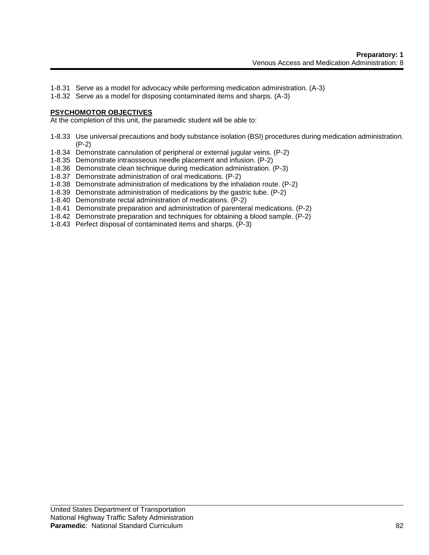- 1-8.31 Serve as a model for advocacy while performing medication administration. (A-3)
- 1-8.32 Serve as a model for disposing contaminated items and sharps. (A-3)

#### **PSYCHOMOTOR OBJECTIVES**

At the completion of this unit, the paramedic student will be able to:

- 1-8.33 Use universal precautions and body substance isolation (BSI) procedures during medication administration. (P-2)
- 1-8.34 Demonstrate cannulation of peripheral or external jugular veins. (P-2)
- 1-8.35 Demonstrate intraosseous needle placement and infusion. (P-2)
- 1-8.36 Demonstrate clean technique during medication administration. (P-3)
- 1-8.37 Demonstrate administration of oral medications. (P-2)
- 1-8.38 Demonstrate administration of medications by the inhalation route. (P-2)
- 1-8.39 Demonstrate administration of medications by the gastric tube. (P-2)
- 1-8.40 Demonstrate rectal administration of medications. (P-2)
- 1-8.41 Demonstrate preparation and administration of parenteral medications. (P-2)
- 1-8.42 Demonstrate preparation and techniques for obtaining a blood sample. (P-2)
- 1-8.43 Perfect disposal of contaminated items and sharps. (P-3)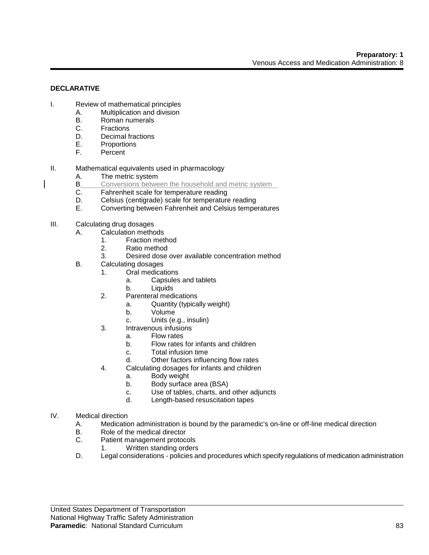# **DECLARATIVE**

- I. Review of mathematical principles
	- A. Multiplication and division
	- B. Roman numerals<br>C. Fractions
	- C. Fractions<br>D. Decimal f
	- Decimal fractions
	- E. Proportions
	- F. Percent
- II. Mathematical equivalents used in pharmacology
	- A. The metric system
	- **B.** Conversions between the household and metric system
	- C. Fahrenheit scale for temperature reading
	- D. Celsius (centigrade) scale for temperature reading<br>E. Converting between Fahrenheit and Celsius tempe
	- Converting between Fahrenheit and Celsius temperatures
- III. Calculating drug dosages
	- A. Calculation methods
		- 1. Fraction method
			- 2. Ratio method
		- 3. Desired dose over available concentration method
	- B. Calculating dosages
		- 1. Oral medications
			- a. Capsules and tablets
			- b. Liquids
		- 2. Parenteral medications
			- a. Quantity (typically weight)
			- b. Volume
			- c. Units (e.g., insulin)
		- 3. Intravenous infusions
			- a. Flow rates
			- b. Flow rates for infants and children
			- c. Total infusion time
			- d. Other factors influencing flow rates
		- 4. Calculating dosages for infants and children
			- a. Body weight
				- b. Body surface area (BSA)
				- c. Use of tables, charts, and other adjuncts
				- d. Length-based resuscitation tapes
- IV. Medical direction
	- A. Medication administration is bound by the paramedic's on-line or off-line medical direction
	- B. Role of the medical director
	- C. Patient management protocols
		- 1. Written standing orders
	- D. Legal considerations policies and procedures which specify regulations of medication administration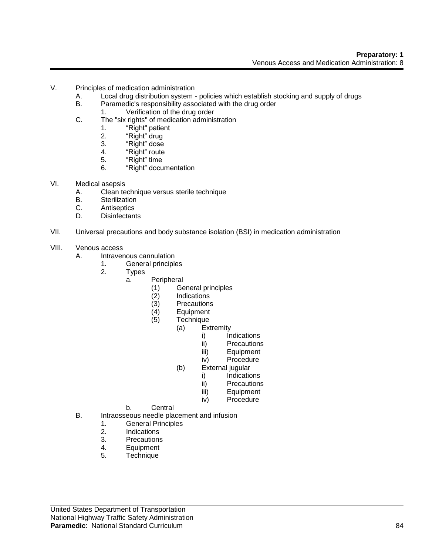- V. Principles of medication administration
	- A. Local drug distribution system policies which establish stocking and supply of drugs
	- B. Paramedic's responsibility associated with the drug order
		- 1. Verification of the drug order
	- C. The "six rights" of medication administration
		- 1. "Right" patient
		- 2. "Right" drug
		- 3. "Right" dose
		- 4. "Right" route
		- 5. "Right" time
		- 6. "Right" documentation
- VI. Medical asepsis
	- A. Clean technique versus sterile technique
	- B. Sterilization<br>C. Antiseptics
	- C. Antiseptics<br>D. Disinfectant
	- **Disinfectants**
- VII. Universal precautions and body substance isolation (BSI) in medication administration
- VIII. Venous access
	- A. Intravenous cannulation
		- 1. General principles
		- 2. Types
			- a. Peripheral
				- (1) General principles
				- **Indications**
				-
				- (3) Precautions<br>(4) Equipment
				- (4) Equipment Technique
					- (a) Extremity
						- i) Indications
						- ii) Precautions
						- iii) Equipment
						- iv) Procedure
					- (b) External jugular
						- i) Indications
						- ii) Precautions
						- iii) Equipment
						- iv) Procedure
				- b. Central
	- B. Intraosseous needle placement and infusion
		- 1. General Principles<br>2. Indications
		- 2. Indications<br>3. Precautions
		- **Precautions**
		- 4. Equipment
		- 5. Technique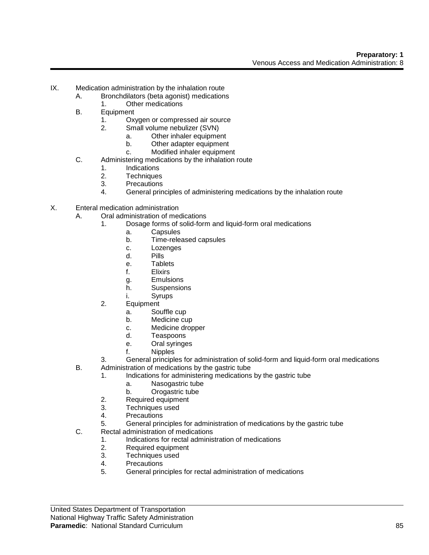- IX. Medication administration by the inhalation route
	- A. Bronchdilators (beta agonist) medications
		- 1. Other medications
	- B. Equipment
		- 1. Oxygen or compressed air source
		- 2. Small volume nebulizer (SVN)
			- a. Other inhaler equipment
				- b. Other adapter equipment
				- c. Modified inhaler equipment
	- C. Administering medications by the inhalation route
		- 1. Indications
		- 2. Techniques
		- 3. Precautions
		- 4. General principles of administering medications by the inhalation route
- X. Enteral medication administration
	- A. Oral administration of medications
		- 1. Dosage forms of solid-form and liquid-form oral medications
			- a. Capsules
			- b. Time-released capsules
			- c. Lozenges
			- d. Pills
			- e. Tablets
			- f. Elixirs
			- g. Emulsions
			- h. Suspensions
			- i. Syrups
		- 2. Equipment
			- a. Souffle cup
			- b. Medicine cup
			- c. Medicine dropper
			- d. Teaspoons
			- e. Oral syringes
			- f. Nipples
		- 3. General principles for administration of solid-form and liquid-form oral medications
	- B. Administration of medications by the gastric tube
		- 1. Indications for administering medications by the gastric tube
			- a. Nasogastric tube
			- b. Orogastric tube
		- 2. Required equipment
		- 3. Techniques used
		- 4. Precautions
		- 5. General principles for administration of medications by the gastric tube
	- C. Rectal administration of medications
		- 1. Indications for rectal administration of medications<br>2. Required equipment
		- Required equipment
		- 3. Techniques used
		- 4. Precautions
		- 5. General principles for rectal administration of medications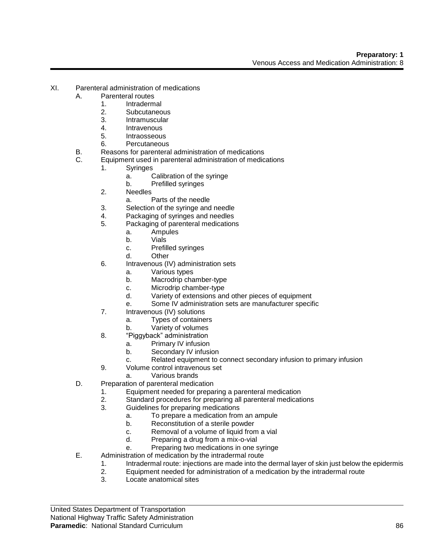- XI. Parenteral administration of medications
	- A. Parenteral routes
		- 1. Intradermal
		- 2. Subcutaneous
		- 3. Intramuscular
		- 4. Intravenous
		- 5. Intraosseous
		- 6. Percutaneous
	- B. Reasons for parenteral administration of medications
	- C. Equipment used in parenteral administration of medications
		- 1. Syringes
			- a. Calibration of the syringe
			- b. Prefilled syringes
			- 2. Needles
				- a. Parts of the needle
			- 3. Selection of the syringe and needle
			- 4. Packaging of syringes and needles
			- 5. Packaging of parenteral medications
				- a. Ampules<br>b. Vials
				- **Vials**
				- c. Prefilled syringes
				- d. Other
			- 6. Intravenous (IV) administration sets
				- a. Various types
				- b. Macrodrip chamber-type
				- c. Microdrip chamber-type
				- d. Variety of extensions and other pieces of equipment
				- e. Some IV administration sets are manufacturer specific
			- 7. Intravenous (IV) solutions
				- a. Types of containers
				- b. Variety of volumes
			- 8. "Piggyback" administration
				- a. Primary IV infusion
				- b. Secondary IV infusion
				- c. Related equipment to connect secondary infusion to primary infusion
			- 9. Volume control intravenous set
				- a. Various brands
	- D. Preparation of parenteral medication
		- 1. Equipment needed for preparing a parenteral medication
		- 2. Standard procedures for preparing all parenteral medications
		- 3. Guidelines for preparing medications
			- a. To prepare a medication from an ampule
			- b. Reconstitution of a sterile powder
			- c. Removal of a volume of liquid from a vial
			- d. Preparing a drug from a mix-o-vial
			- e. Preparing two medications in one syringe
	- E. Administration of medication by the intradermal route
		- 1. Intradermal route: injections are made into the dermal layer of skin just below the epidermis
		- 2. Equipment needed for administration of a medication by the intradermal route
		- 3. Locate anatomical sites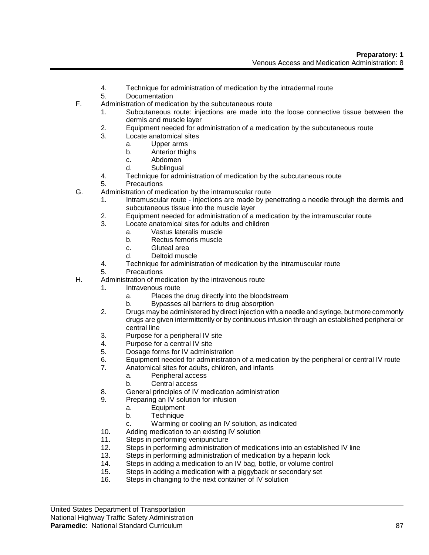- 4. Technique for administration of medication by the intradermal route
- 5. Documentation
- F. Administration of medication by the subcutaneous route
	- 1. Subcutaneous route: injections are made into the loose connective tissue between the dermis and muscle layer
	- 2. Equipment needed for administration of a medication by the subcutaneous route
	- 3. Locate anatomical sites
		- a. Upper arms
		- b. Anterior thighs
		- c. Abdomen
		- d. Sublingual
	- 4. Technique for administration of medication by the subcutaneous route
	- 5. Precautions
- G. Administration of medication by the intramuscular route
	- 1. Intramuscular route injections are made by penetrating a needle through the dermis and subcutaneous tissue into the muscle layer
	- 2. Equipment needed for administration of a medication by the intramuscular route
	- 3. Locate anatomical sites for adults and children
		- a. Vastus lateralis muscle
		- b. Rectus femoris muscle
		- c. Gluteal area
		- d. Deltoid muscle
	- 4. Technique for administration of medication by the intramuscular route
	- 5. Precautions
- H. Administration of medication by the intravenous route
	- 1. Intravenous route
		- a. Places the drug directly into the bloodstream
		- b. Bypasses all barriers to drug absorption
	- 2. Drugs may be administered by direct injection with a needle and syringe, but more commonly drugs are given intermittently or by continuous infusion through an established peripheral or central line
	- 3. Purpose for a peripheral IV site
	- 4. Purpose for a central IV site
	- 5. Dosage forms for IV administration
	- 6. Equipment needed for administration of a medication by the peripheral or central IV route
	- 7. Anatomical sites for adults, children, and infants
		- a. Peripheral access
		- b. Central access
	- 8. General principles of IV medication administration
	- 9. Preparing an IV solution for infusion
		- a. Equipment
		- b. Technique
		- c. Warming or cooling an IV solution, as indicated
	- 10. Adding medication to an existing IV solution
	- 11. Steps in performing venipuncture
	- 12. Steps in performing administration of medications into an established IV line
	- 13. Steps in performing administration of medication by a heparin lock
	- 14. Steps in adding a medication to an IV bag, bottle, or volume control
	- 15. Steps in adding a medication with a piggyback or secondary set
	- 16. Steps in changing to the next container of IV solution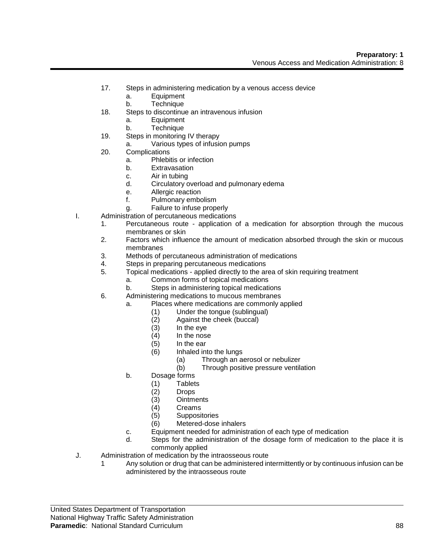- 17. Steps in administering medication by a venous access device
	- a. Equipment
	- b. Technique
- 18. Steps to discontinue an intravenous infusion
	- a. Equipment
	- b. Technique
- 19. Steps in monitoring IV therapy
	- a. Various types of infusion pumps
- 20. Complications
	- a. Phlebitis or infection
	- b. Extravasation
	- c. Air in tubing
	- d. Circulatory overload and pulmonary edema
	- e. Allergic reaction
	- f. Pulmonary embolism
	- g. Failure to infuse properly
- I. Administration of percutaneous medications
	- 1. Percutaneous route application of a medication for absorption through the mucous membranes or skin
	- 2. Factors which influence the amount of medication absorbed through the skin or mucous membranes
	- 3. Methods of percutaneous administration of medications
	- 4. Steps in preparing percutaneous medications
	- 5. Topical medications applied directly to the area of skin requiring treatment
		- a. Common forms of topical medications
		- b. Steps in administering topical medications
	- 6. Administering medications to mucous membranes
		- a. Places where medications are commonly applied
			- (1) Under the tongue (sublingual)
			- (2) Against the cheek (buccal)
			- $(3)$  In the eye<br> $(4)$  In the nose
			- In the nose
			- (5) In the ear
			- (6) Inhaled into the lungs
				- (a) Through an aerosol or nebulizer
				- (b) Through positive pressure ventilation
		- b. Dosage forms
			- (1) Tablets
			- (2) Drops
			- (3) Ointments
			- (4) Creams
			- (5) Suppositories
			- (6) Metered-dose inhalers
		- c. Equipment needed for administration of each type of medication
		- d. Steps for the administration of the dosage form of medication to the place it is commonly applied
- J. Administration of medication by the intraosseous route
	- 1 Any solution or drug that can be administered intermittently or by continuous infusion can be administered by the intraosseous route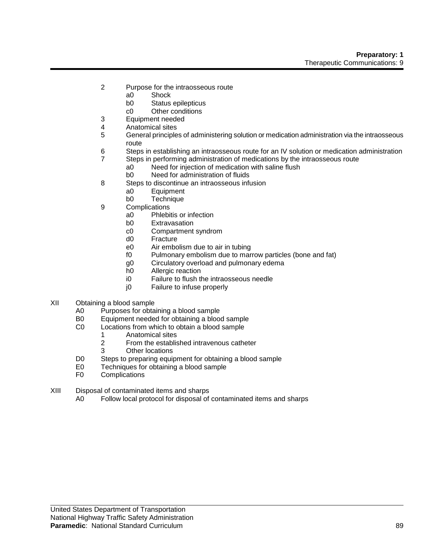- 2 Purpose for the intraosseous route
	- a0 Shock
		- b0 Status epilepticus
	- c0 Other conditions
- 3 Equipment needed
- 4 Anatomical sites
- 5 General principles of administering solution or medication administration via the intraosseous route
- 6 Steps in establishing an intraosseous route for an IV solution or medication administration
- 7 Steps in performing administration of medications by the intraosseous route
	- a0 Need for injection of medication with saline flush<br>b0 Need for administration of fluids
	- Need for administration of fluids
- 8 Steps to discontinue an intraosseous infusion
	- a0 Equipment
	- b0 Technique
- 9 Complications
	- a0 Phlebitis or infection
	- b0 Extravasation
	- c0 Compartment syndrom
	- d0 Fracture
	- e0 Air embolism due to air in tubing
	- f0 Pulmonary embolism due to marrow particles (bone and fat)
	- g0 Circulatory overload and pulmonary edema
	- h0 Allergic reaction
	- i0 Failure to flush the intraosseous needle
	- j0 Failure to infuse properly
- XII Obtaining a blood sample
	- A0 Purposes for obtaining a blood sample
	- B0 Equipment needed for obtaining a blood sample
	- C0 Locations from which to obtain a blood sample
		- 1 Anatomical sites<br>2 From the establis
		- 2 From the established intravenous catheter
		- 3 Other locations
	- D0 Steps to preparing equipment for obtaining a blood sample
	- E0 Techniques for obtaining a blood sample<br>F0 Complications
	- **Complications**
- XIII Disposal of contaminated items and sharps
	- A0 Follow local protocol for disposal of contaminated items and sharps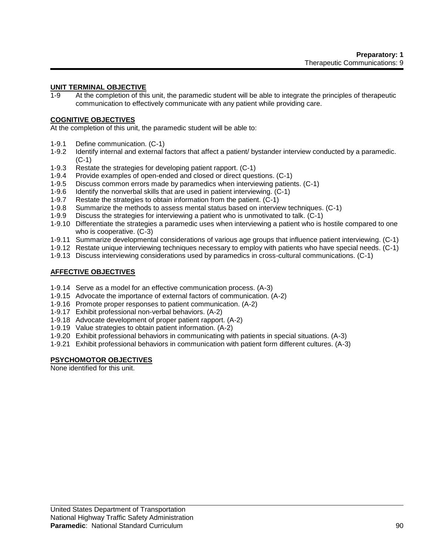# **UNIT TERMINAL OBJECTIVE**

1-9 At the completion of this unit, the paramedic student will be able to integrate the principles of therapeutic communication to effectively communicate with any patient while providing care.

#### **COGNITIVE OBJECTIVES**

At the completion of this unit, the paramedic student will be able to:

- 1-9.1 Define communication. (C-1)
- 1-9.2 Identify internal and external factors that affect a patient/ bystander interview conducted by a paramedic. (C-1)
- 1-9.3 Restate the strategies for developing patient rapport. (C-1)
- 1-9.4 Provide examples of open-ended and closed or direct questions. (C-1)
- 1-9.5 Discuss common errors made by paramedics when interviewing patients. (C-1)
- 1-9.6 Identify the nonverbal skills that are used in patient interviewing. (C-1)
- 1-9.7 Restate the strategies to obtain information from the patient. (C-1)
- 1-9.8 Summarize the methods to assess mental status based on interview techniques. (C-1)
- 1-9.9 Discuss the strategies for interviewing a patient who is unmotivated to talk. (C-1)
- 1-9.10 Differentiate the strategies a paramedic uses when interviewing a patient who is hostile compared to one who is cooperative. (C-3)
- 1-9.11 Summarize developmental considerations of various age groups that influence patient interviewing. (C-1)
- 1-9.12 Restate unique interviewing techniques necessary to employ with patients who have special needs. (C-1)
- 1-9.13 Discuss interviewing considerations used by paramedics in cross-cultural communications. (C-1)

# **AFFECTIVE OBJECTIVES**

- 1-9.14 Serve as a model for an effective communication process. (A-3)
- 1-9.15 Advocate the importance of external factors of communication. (A-2)
- 1-9.16 Promote proper responses to patient communication. (A-2)
- 1-9.17 Exhibit professional non-verbal behaviors. (A-2)
- 1-9.18 Advocate development of proper patient rapport. (A-2)
- 1-9.19 Value strategies to obtain patient information. (A-2)
- 1-9.20 Exhibit professional behaviors in communicating with patients in special situations. (A-3)
- 1-9.21 Exhibit professional behaviors in communication with patient form different cultures. (A-3)

# **PSYCHOMOTOR OBJECTIVES**

None identified for this unit.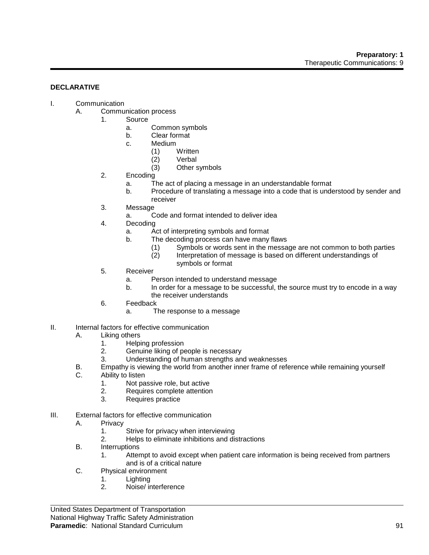#### **DECLARATIVE**

- I. Communication
	- A. Communication process
		- 1. Source
			- a. Common symbols
			- b. Clear format
			- c. Medium
				- (1) Written
				- (2) Verbal
				- (3) Other symbols
		- 2. Encoding
			- a. The act of placing a message in an understandable format
			- b. Procedure of translating a message into a code that is understood by sender and receiver
		- 3. Message
			- a. Code and format intended to deliver idea
		- 4. Decoding
			- a. Act of interpreting symbols and format
			- b. The decoding process can have many flaws
				- (1) Symbols or words sent in the message are not common to both parties
				- (2) Interpretation of message is based on different understandings of symbols or format
		- 5. Receiver
			- a. Person intended to understand message
			- b. In order for a message to be successful, the source must try to encode in a way the receiver understands
		- 6. Feedback
			- a. The response to a message
- II. Internal factors for effective communication
	- A. Liking others
		- 1. Helping profession
		- 2. Genuine liking of people is necessary
		- 3. Understanding of human strengths and weaknesses
	- B. Empathy is viewing the world from another inner frame of reference while remaining yourself
	- C. Ability to listen
		- 1. Not passive role, but active
		- 2. Requires complete attention
		- 3. Requires practice
- III. External factors for effective communication
	- A. Privacy
		- 1. Strive for privacy when interviewing
		- 2. Helps to eliminate inhibitions and distractions
	- B. Interruptions
		- 1. Attempt to avoid except when patient care information is being received from partners and is of a critical nature
	- C. Physical environment
		- 1. Lighting
		- 2. Noise/ interference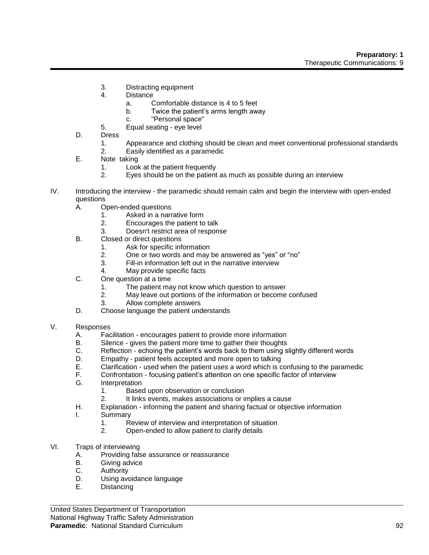- 3. Distracting equipment
- 4. Distance
	- a. Comfortable distance is 4 to 5 feet
	- b. Twice the patient's arms length away
	- c. "Personal space"
- 5. Equal seating eye level
- D. Dress
	- 1. Appearance and clothing should be clean and meet conventional professional standards
	- 2. Easily identified as a paramedic
- E. Note taking
	- 1. Look at the patient frequently
	- 2. Eyes should be on the patient as much as possible during an interview
- IV. Introducing the interview the paramedic should remain calm and begin the interview with open-ended questions
	- A. Open-ended questions
		- 1. Asked in a narrative form
		- 2. Encourages the patient to talk
		- 3. Doesn't restrict area of response
	- B. Closed or direct questions
		- 1. Ask for specific information
		- 2. One or two words and may be answered as "yes" or "no"
		- 3. Fill-in information left out in the narrative interview
		- 4. May provide specific facts
	- C. One question at a time
		- 1. The patient may not know which question to answer
		- 2. May leave out portions of the information or become confused
		- 3. Allow complete answers
	- D. Choose language the patient understands
- V. Responses
	- A. Facilitation encourages patient to provide more information<br>B. Silence gives the patient more time to gather their thoughts
	- B. Silence gives the patient more time to gather their thoughts<br>C. Reflection echoing the patient's words back to them using s
	- C. Reflection echoing the patient's words back to them using slightly different words
	- Empathy patient feels accepted and more open to talking
	- E. Clarification used when the patient uses a word which is confusing to the paramedic
	- Confrontation focusing patient's attention on one specific factor of interview
	- G. Interpretation
		- 1. Based upon observation or conclusion
		- 2. It links events, makes associations or implies a cause
	- H. Explanation informing the patient and sharing factual or objective information
	- I. Summary
		- 1. Review of interview and interpretation of situation
		- 2. Open-ended to allow patient to clarify details
- VI. Traps of interviewing
	- A. Providing false assurance or reassurance<br>B. Giving advice
	- B. Giving advice<br>C. Authority
	- Authority
	- D. Using avoidance language
	- E. Distancing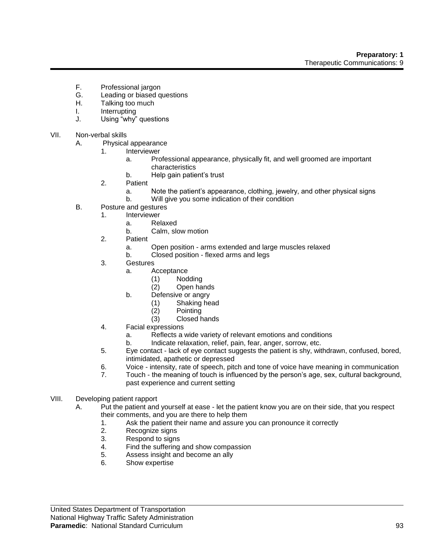- F. Professional jargon
- G. Leading or biased questions<br>H. Talking too much
- Talking too much
- I. Interrupting
- J. Using "why" questions
- VII. Non-verbal skills
	- A. Physical appearance
		- 1. Interviewer
			- a. Professional appearance, physically fit, and well groomed are important characteristics
			- b. Help gain patient's trust
		- 2. Patient
			- a. Note the patient's appearance, clothing, jewelry, and other physical signs
			- b. Will give you some indication of their condition
	- B. Posture and gestures
		- 1. Interviewer
			- a. Relaxed
			- b. Calm, slow motion
			- 2. Patient
				- a. Open position arms extended and large muscles relaxed
				- b. Closed position flexed arms and legs
			- 3. Gestures
				- a. Acceptance
					- (1) Nodding
					- (2) Open hands
				- b. Defensive or angry
					- (1) Shaking head
					- (2) Pointing
					- (3) Closed hands
			- 4. Facial expressions
				- a. Reflects a wide variety of relevant emotions and conditions
				- b. Indicate relaxation, relief, pain, fear, anger, sorrow, etc.
			- 5. Eye contact lack of eye contact suggests the patient is shy, withdrawn, confused, bored, intimidated, apathetic or depressed
			- 6. Voice intensity, rate of speech, pitch and tone of voice have meaning in communication
			- 7. Touch the meaning of touch is influenced by the person's age, sex, cultural background, past experience and current setting
- VIII. Developing patient rapport
	- A. Put the patient and yourself at ease let the patient know you are on their side, that you respect their comments, and you are there to help them
		- 1. Ask the patient their name and assure you can pronounce it correctly
		- 2. Recognize signs
		- 3. Respond to signs
		- 4. Find the suffering and show compassion
		- 5. Assess insight and become an ally
		- 6. Show expertise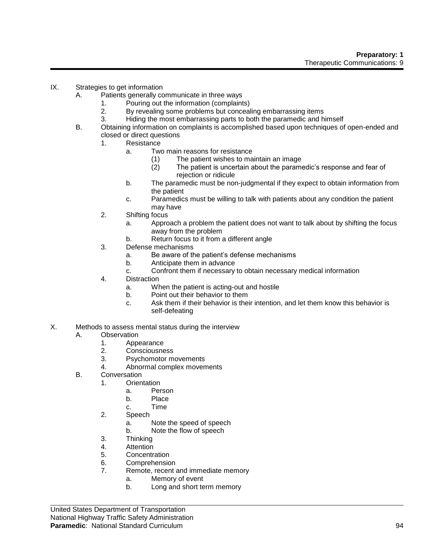- IX. Strategies to get information
	- A. Patients generally communicate in three ways
		- 1. Pouring out the information (complaints)
		- 2. By revealing some problems but concealing embarrassing items
		- 3. Hiding the most embarrassing parts to both the paramedic and himself
	- B. Obtaining information on complaints is accomplished based upon techniques of open-ended and closed or direct questions
		- 1. Resistance
			- a. Two main reasons for resistance
				- (1) The patient wishes to maintain an image
				- (2) The patient is uncertain about the paramedic's response and fear of rejection or ridicule
			- b. The paramedic must be non-judgmental if they expect to obtain information from the patient
			- c. Paramedics must be willing to talk with patients about any condition the patient may have
		- 2. Shifting focus
			- a. Approach a problem the patient does not want to talk about by shifting the focus away from the problem
			- b. Return focus to it from a different angle
		- 3. Defense mechanisms
			- a. Be aware of the patient's defense mechanisms
			- b. Anticipate them in advance
			- c. Confront them if necessary to obtain necessary medical information
		- 4. Distraction
			- a. When the patient is acting-out and hostile
			- b. Point out their behavior to them
			- c. Ask them if their behavior is their intention, and let them know this behavior is self-defeating
- X. Methods to assess mental status during the interview

# A. Observation

- 1. Appearance<br>2. Consciousne
- 2. Consciousness<br>3. Psychomotor m
- Psychomotor movements
- 4. Abnormal complex movements
- B. Conversation
	- 1. Orientation
		- a. Person
		- b. Place
		- c. Time
	- 2. Speech
		- a. Note the speed of speech
		- b. Note the flow of speech
	- 3. Thinking
	- 4. Attention
	- 5. Concentration
	- 6. Comprehension
	- 7. Remote, recent and immediate memory
		- a. Memory of event
		- b. Long and short term memory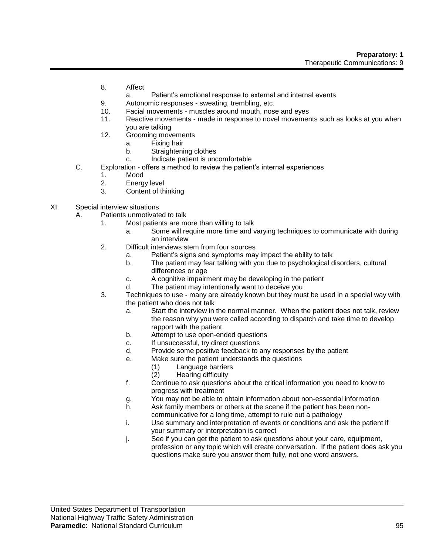- 8. Affect
	- a. Patient's emotional response to external and internal events
- 9. Autonomic responses sweating, trembling, etc.
- 10. Facial movements muscles around mouth, nose and eyes
- 11. Reactive movements made in response to novel movements such as looks at you when you are talking
- 12. Grooming movements
	- a. Fixing hair
	- b. Straightening clothes
	- c. Indicate patient is uncomfortable
- C. Exploration offers a method to review the patient's internal experiences
	- 1. Mood
	- 2. Energy level
	- 3. Content of thinking
- XI. Special interview situations
	- A. Patients unmotivated to talk
		- 1. Most patients are more than willing to talk
			- a. Some will require more time and varying techniques to communicate with during an interview
		- 2. Difficult interviews stem from four sources
			- a. Patient's signs and symptoms may impact the ability to talk
			- b. The patient may fear talking with you due to psychological disorders, cultural differences or age
			- c. A cognitive impairment may be developing in the patient
			- d. The patient may intentionally want to deceive you
		- 3. Techniques to use many are already known but they must be used in a special way with the patient who does not talk
			- a. Start the interview in the normal manner. When the patient does not talk, review the reason why you were called according to dispatch and take time to develop rapport with the patient.
			- b. Attempt to use open-ended questions
			- c. If unsuccessful, try direct questions
			- d. Provide some positive feedback to any responses by the patient
			- e. Make sure the patient understands the questions
				- (1) Language barriers
					- Hearing difficulty
			- f. Continue to ask questions about the critical information you need to know to progress with treatment
			- g. You may not be able to obtain information about non-essential information
			- h. Ask family members or others at the scene if the patient has been noncommunicative for a long time, attempt to rule out a pathology
			- i. Use summary and interpretation of events or conditions and ask the patient if your summary or interpretation is correct
			- j. See if you can get the patient to ask questions about your care, equipment, profession or any topic which will create conversation. If the patient does ask you questions make sure you answer them fully, not one word answers.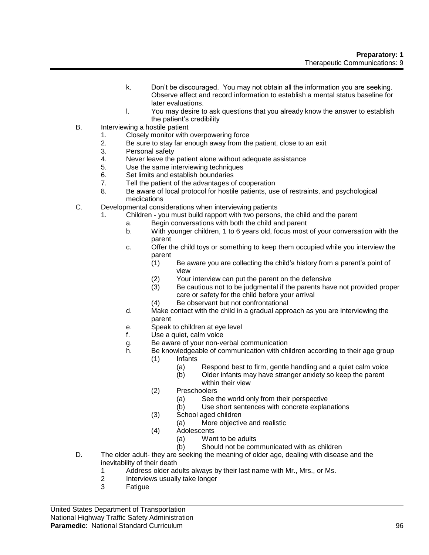- k. Don't be discouraged. You may not obtain all the information you are seeking. Observe affect and record information to establish a mental status baseline for later evaluations.
- l. You may desire to ask questions that you already know the answer to establish the patient's credibility
- B. Interviewing a hostile patient
	- 1. Closely monitor with overpowering force
	- 2. Be sure to stay far enough away from the patient, close to an exit
	- 3. Personal safety
	- 4. Never leave the patient alone without adequate assistance
	- 5. Use the same interviewing techniques
	- 6. Set limits and establish boundaries
	- 7. Tell the patient of the advantages of cooperation
	- 8. Be aware of local protocol for hostile patients, use of restraints, and psychological medications
- C. Developmental considerations when interviewing patients
	- 1. Children you must build rapport with two persons, the child and the parent
		- a. Begin conversations with both the child and parent
		- b. With younger children, 1 to 6 years old, focus most of your conversation with the parent
		- c. Offer the child toys or something to keep them occupied while you interview the parent
			- (1) Be aware you are collecting the child's history from a parent's point of view
			- (2) Your interview can put the parent on the defensive
			- (3) Be cautious not to be judgmental if the parents have not provided proper care or safety for the child before your arrival
			- (4) Be observant but not confrontational
		- d. Make contact with the child in a gradual approach as you are interviewing the parent
		- e. Speak to children at eye level
		- f. Use a quiet, calm voice
		- g. Be aware of your non-verbal communication
		- h. Be knowledgeable of communication with children according to their age group (1) Infants
			- (a) Respond best to firm, gentle handling and a quiet calm voice
			- (b) Older infants may have stranger anxiety so keep the parent within their view
			- (2) Preschoolers
				- (a) See the world only from their perspective
				- (b) Use short sentences with concrete explanations
			- (3) School aged children
				- (a) More objective and realistic
			- (4) Adolescents
				- (a) Want to be adults
				- (b) Should not be communicated with as children
- D. The older adult- they are seeking the meaning of older age, dealing with disease and the inevitability of their death
	- 1 Address older adults always by their last name with Mr., Mrs., or Ms.<br>2 Interviews usually take longer
	- Interviews usually take longer
	- 3 Fatigue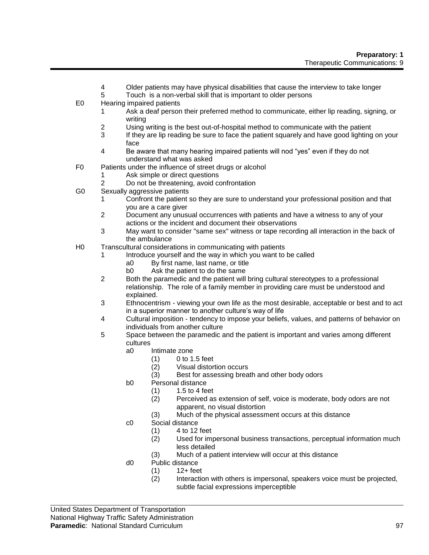- 4 Older patients may have physical disabilities that cause the interview to take longer
- 5 Touch is a non-verbal skill that is important to older persons
- E0 Hearing impaired patients
	- 1 Ask a deaf person their preferred method to communicate, either lip reading, signing, or writing
	- 2 Using writing is the best out-of-hospital method to communicate with the patient
	- 3 If they are lip reading be sure to face the patient squarely and have good lighting on your face
	- 4 Be aware that many hearing impaired patients will nod "yes" even if they do not understand what was asked
- F0 Patients under the influence of street drugs or alcohol
	- 1 Ask simple or direct questions
	- 2 Do not be threatening, avoid confrontation
- G0 Sexually aggressive patients
	- 1 Confront the patient so they are sure to understand your professional position and that you are a care giver
	- 2 Document any unusual occurrences with patients and have a witness to any of your actions or the incident and document their observations
	- 3 May want to consider "same sex" witness or tape recording all interaction in the back of the ambulance
- H0 Transcultural considerations in communicating with patients
	- 1 Introduce yourself and the way in which you want to be called
		- a0 By first name, last name, or title
		- b0 Ask the patient to do the same
	- 2 Both the paramedic and the patient will bring cultural stereotypes to a professional relationship. The role of a family member in providing care must be understood and explained.
	- 3 Ethnocentrism viewing your own life as the most desirable, acceptable or best and to act in a superior manner to another culture's way of life
	- 4 Cultural imposition tendency to impose your beliefs, values, and patterns of behavior on individuals from another culture
	- 5 Space between the paramedic and the patient is important and varies among different cultures
		- a0 Intimate zone
			- (1) 0 to 1.5 feet
			- (2) Visual distortion occurs
			- (3) Best for assessing breath and other body odors
		- b0 Personal distance
			- $(1) 1.5$  to 4 feet
			- (2) Perceived as extension of self, voice is moderate, body odors are not apparent, no visual distortion
			- (3) Much of the physical assessment occurs at this distance
		- c0 Social distance
			- $(1)$  4 to 12 feet
			- (2) Used for impersonal business transactions, perceptual information much less detailed
			- (3) Much of a patient interview will occur at this distance
		- d0 Public distance
			- (1) 12+ feet
				- Interaction with others is impersonal, speakers voice must be projected, subtle facial expressions imperceptible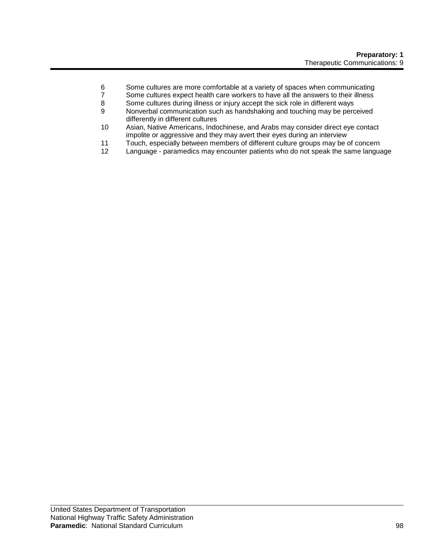- 6 Some cultures are more comfortable at a variety of spaces when communicating
- 7 Some cultures expect health care workers to have all the answers to their illness<br>8 Some cultures during illness or iniury accept the sick role in different ways
- Some cultures during illness or injury accept the sick role in different ways
- 9 Nonverbal communication such as handshaking and touching may be perceived differently in different cultures
- 10 Asian, Native Americans, Indochinese, and Arabs may consider direct eye contact impolite or aggressive and they may avert their eyes during an interview
- 11 Touch, especially between members of different culture groups may be of concern
- Language paramedics may encounter patients who do not speak the same language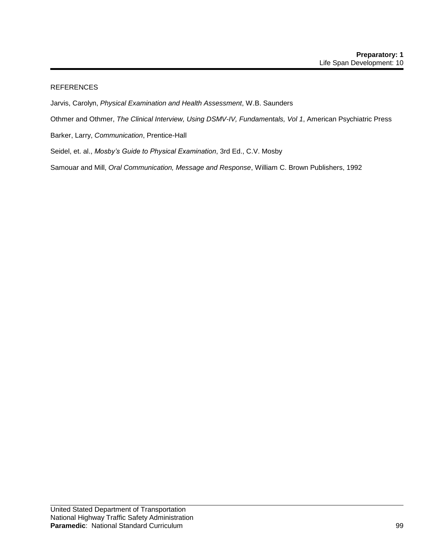# REFERENCES

- Jarvis, Carolyn, *Physical Examination and Health Assessment*, W.B. Saunders
- Othmer and Othmer, *The Clinical Interview, Using DSMV-IV, Fundamentals, Vol 1*, American Psychiatric Press
- Barker, Larry, *Communication*, Prentice-Hall
- Seidel, et. al., *Mosby's Guide to Physical Examination*, 3rd Ed., C.V. Mosby

Samouar and Mill, *Oral Communication, Message and Response*, William C. Brown Publishers, 1992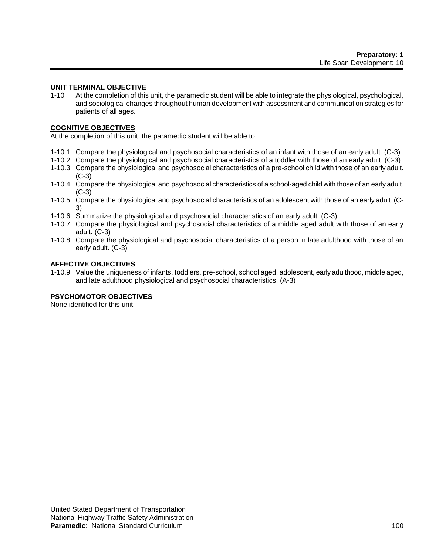#### **UNIT TERMINAL OBJECTIVE**

1-10 At the completion of this unit, the paramedic student will be able to integrate the physiological, psychological, and sociological changes throughout human development with assessment and communication strategies for patients of all ages.

# **COGNITIVE OBJECTIVES**

At the completion of this unit, the paramedic student will be able to:

- 1-10.1 Compare the physiological and psychosocial characteristics of an infant with those of an early adult. (C-3)
- 1-10.2 Compare the physiological and psychosocial characteristics of a toddler with those of an early adult. (C-3)
- 1-10.3 Compare the physiological and psychosocial characteristics of a pre-school child with those of an early adult. (C-3)
- 1-10.4 Compare the physiological and psychosocial characteristics of a school-aged child with those of an early adult. (C-3)
- 1-10.5 Compare the physiological and psychosocial characteristics of an adolescent with those of an early adult. (C-3)
- 1-10.6 Summarize the physiological and psychosocial characteristics of an early adult. (C-3)
- 1-10.7 Compare the physiological and psychosocial characteristics of a middle aged adult with those of an early adult. (C-3)
- 1-10.8 Compare the physiological and psychosocial characteristics of a person in late adulthood with those of an early adult. (C-3)

#### **AFFECTIVE OBJECTIVES**

1-10.9 Value the uniqueness of infants, toddlers, pre-school, school aged, adolescent, early adulthood, middle aged, and late adulthood physiological and psychosocial characteristics. (A-3)

# **PSYCHOMOTOR OBJECTIVES**

None identified for this unit.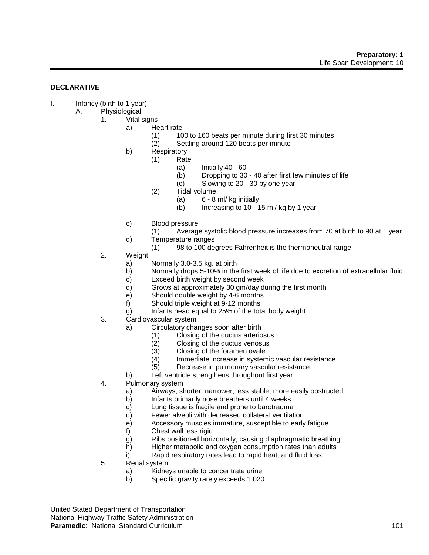#### **DECLARATIVE**

- I. Infancy (birth to 1 year)
	- A. Physiological
		- 1. Vital signs
			- a) Heart rate
				- (1) 100 to 160 beats per minute during first 30 minutes
				- (2) Settling around 120 beats per minute
				- b) Respiratory
					- (1) Rate
						- $(a)$  Initially 40 60
						- (b) Dropping to 30 40 after first few minutes of life
						- (c) Slowing to 20 30 by one year
					- (2) Tidal volume
						- $(a)$  6 8 ml/kg initially
						- (b) Increasing to 10 15 ml/ kg by 1 year
				- c) Blood pressure
					- (1) Average systolic blood pressure increases from 70 at birth to 90 at 1 year
				- d) Temperature ranges
					- (1) 98 to 100 degrees Fahrenheit is the thermoneutral range
		- 2. Weight
			- a) Normally 3.0-3.5 kg. at birth
			- b) Normally drops 5-10% in the first week of life due to excretion of extracellular fluid
			- c) Exceed birth weight by second week
			- d) Grows at approximately 30 gm/day during the first month
			- e) Should double weight by 4-6 months
			- f) Should triple weight at 9-12 months
			- g) Infants head equal to 25% of the total body weight
		- 3. Cardiovascular system
			- a) Circulatory changes soon after birth
				- (1) Closing of the ductus arteriosus
				- (2) Closing of the ductus venosus<br>(3) Closing of the foramen ovale
				- Closing of the foramen ovale
				- (4) Immediate increase in systemic vascular resistance<br>(5) Decrease in pulmonary vascular resistance
				- Decrease in pulmonary vascular resistance
			- b) Left ventricle strengthens throughout first year
		- 4. Pulmonary system
			- a) Airways, shorter, narrower, less stable, more easily obstructed
			- b) Infants primarily nose breathers until 4 weeks
			- c) Lung tissue is fragile and prone to barotrauma
			- d) Fewer alveoli with decreased collateral ventilation
			- e) Accessory muscles immature, susceptible to early fatigue
			- f) Chest wall less rigid
			- g) Ribs positioned horizontally, causing diaphragmatic breathing
			- h) Higher metabolic and oxygen consumption rates than adults
			- i) Rapid respiratory rates lead to rapid heat, and fluid loss
		- 5. Renal system
			- a) Kidneys unable to concentrate urine
			- b) Specific gravity rarely exceeds 1.020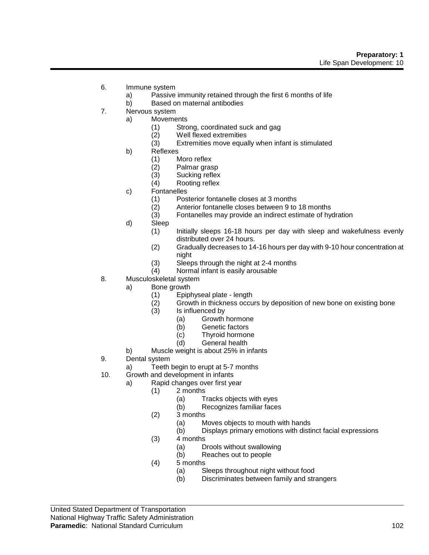- 6. Immune system
	- a) Passive immunity retained through the first 6 months of life
	- b) Based on maternal antibodies
- 7. Nervous system
	- a) Movements
		- (1) Strong, coordinated suck and gag
		-
		- (2) Well flexed extremities<br>(3) Extremities move equa Extremities move equally when infant is stimulated
		- b) Reflexes
			- (1) Moro reflex
			- (2) Palmar grasp
			- (3) Sucking reflex
			- (4) Rooting reflex
		- c) Fontanelles
			- (1) Posterior fontanelle closes at 3 months
			- (2) Anterior fontanelle closes between 9 to 18 months
			- (3) Fontanelles may provide an indirect estimate of hydration
		- d) Sleep
			- (1) Initially sleeps 16-18 hours per day with sleep and wakefulness evenly distributed over 24 hours.
			- (2) Gradually decreases to 14-16 hours per day with 9-10 hour concentration at night
			- (3) Sleeps through the night at 2-4 months
			- (4) Normal infant is easily arousable
- 8. Musculoskeletal system
	- a) Bone growth
		- (1) Epiphyseal plate length
		- (2) Growth in thickness occurs by deposition of new bone on existing bone
		- (3) Is influenced by
			- (a) Growth hormone
			- (b) Genetic factors
			- (c) Thyroid hormone
			- (d) General health
	- b) Muscle weight is about 25% in infants
- 9. Dental system
	- a) Teeth begin to erupt at 5-7 months
- 10. Growth and development in infants
	- a) Rapid changes over first year
		- (1) 2 months
			- (a) Tracks objects with eyes
			- (b) Recognizes familiar faces
		- (2) 3 months
			- (a) Moves objects to mouth with hands
			- (b) Displays primary emotions with distinct facial expressions
		- $(3)$  4 months
			- (a) Drools without swallowing
			- (b) Reaches out to people
		- (4) 5 months
			- (a) Sleeps throughout night without food
			- (b) Discriminates between family and strangers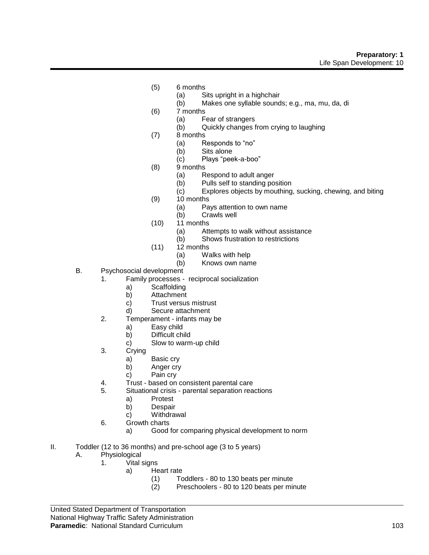- (5) 6 months
	- (a) Sits upright in a highchair
	- (b) Makes one syllable sounds; e.g., ma, mu, da, di
- (6) 7 months
	- (a) Fear of strangers
	- (b) Quickly changes from crying to laughing
- (7) 8 months
	- (a) Responds to "no"<br>(b) Sits alone
	- Sits alone
	- (c) Plays "peek-a-boo"
- (8) 9 months
	- (a) Respond to adult anger
	- (b) Pulls self to standing position
	- (c) Explores objects by mouthing, sucking, chewing, and biting
- (9) 10 months
	- (a) Pays attention to own name<br>(b) Crawls well
	- Crawls well
- (10) 11 months
	- (a) Attempts to walk without assistance<br>(b) Shows frustration to restrictions
	- Shows frustration to restrictions
- (11) 12 months
	- (a) Walks with help
	- (b) Knows own name
- B. Psychosocial development
	- 1. Family processes reciprocal socialization
		- a) Scaffolding
		- b) Attachment
		- c) Trust versus mistrust
		- d) Secure attachment
	- 2. Temperament infants may be
		- a) Easy child
		- b) Difficult child
		- c) Slow to warm-up child
	- 3. Crying
		- a) Basic cry
		- b) Anger cry
		- c) Pain cry
	- 4. Trust based on consistent parental care
	- 5. Situational crisis parental separation reactions
		- a) Protest
			- b) Despair
		- c) Withdrawal
	- 6. Growth charts
		- a) Good for comparing physical development to norm
- II. Toddler (12 to 36 months) and pre-school age (3 to 5 years)
	- A. Physiological
		- 1. Vital signs
			- a) Heart rate
				- (1) Toddlers 80 to 130 beats per minute
				- (2) Preschoolers 80 to 120 beats per minute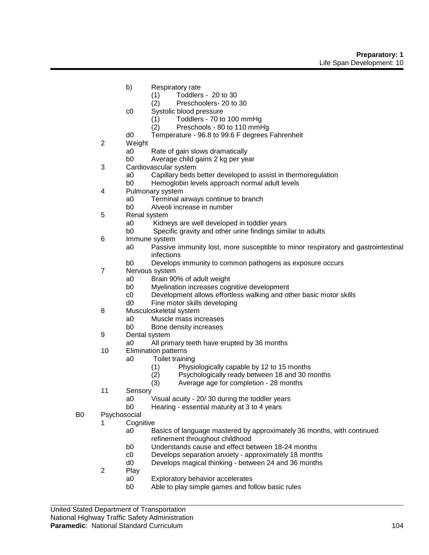- b) Respiratory rate
	- (1) Toddlers 20 to 30
	- (2) Preschoolers- 20 to 30
- c0 Systolic blood pressure
	- (1) Toddlers 70 to 100 mmHg
	- (2) Preschools 80 to 110 mmHg
- d0 Temperature 96.8 to 99.6 F degrees Fahrenheit
- 2 Weight
	- a0 Rate of gain slows dramatically
	- b0 Average child gains 2 kg per year
- 3 Cardiovascular system
	- a0 Capillary beds better developed to assist in thermoregulation
	- b0 Hemoglobin levels approach normal adult levels
- 4 Pulmonary system
	- a0 Terminal airways continue to branch
	- b0 Alveoli increase in number
- 5 Renal system
	- a0 Kidneys are well developed in toddler years
	- b0 Specific gravity and other urine findings similar to adults
- 6 Immune system
	- a0 Passive immunity lost, more susceptible to minor respiratory and gastrointestinal infections
	- b0 Develops immunity to common pathogens as exposure occurs
- 7 Nervous system
	- a0 Brain 90% of adult weight
	- b0 Myelination increases cognitive development
	- c0 Development allows effortless walking and other basic motor skills
	- d0 Fine motor skills developing
- 8 Musculoskeletal system
	- a0 Muscle mass increases
		- b0 Bone density increases
- 9 Dental system
	- a0 All primary teeth have erupted by 36 months
- 10 Elimination patterns
	- a0 Toilet training
		- (1) Physiologically capable by 12 to 15 months
		- Psychologically ready between 18 and 30 months
		- (3) Average age for completion 28 months
- 11 Sensory
	- a0 Visual acuity 20/ 30 during the toddler years
	- b0 Hearing essential maturity at 3 to 4 years
- B0 Psychosocial
	- 1 Cognitive
		- a0 Basics of language mastered by approximately 36 months, with continued refinement throughout childhood
		- b0 Understands cause and effect between 18-24 months
		- c0 Develops separation anxiety approximately 18 months
		- d0 Develops magical thinking between 24 and 36 months
	- 2 Play
		- a0 Exploratory behavior accelerates
		- b0 Able to play simple games and follow basic rules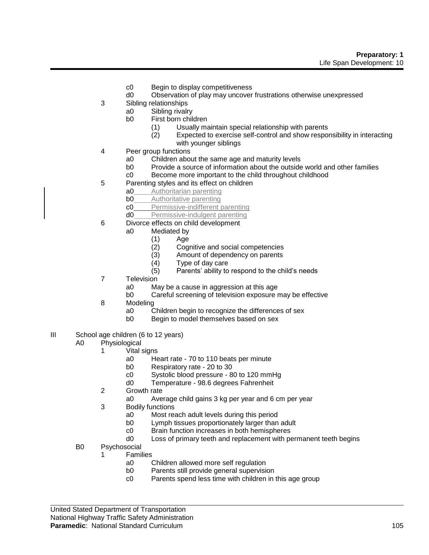- c0 Begin to display competitiveness
- d0 Observation of play may uncover frustrations otherwise unexpressed
- 3 Sibling relationships
	- a0 Sibling rivalry
		- b0 First born children
			- (1) Usually maintain special relationship with parents
			- (2) Expected to exercise self-control and show responsibility in interacting with younger siblings
- 4 Peer group functions
	- a0 Children about the same age and maturity levels
	- b0 Provide a source of information about the outside world and other families
	- c0 Become more important to the child throughout childhood
- 5 Parenting styles and its effect on children
	- a0 **Authoritarian parenting**
	- **b0** Authoritative parenting
	- c0 Permissive-indifferent parenting
	- d0 Permissive-indulgent parenting
- 6 Divorce effects on child development
	- a0 Mediated by
		- (1) Age
		- (2) Cognitive and social competencies
		- (3) Amount of dependency on parents
		- (4) Type of day care
		- (5) Parents' ability to respond to the child's needs
- 7 Television
	- a0 May be a cause in aggression at this age
	- b0 Careful screening of television exposure may be effective
- 8 Modeling
	- a0 Children begin to recognize the differences of sex
	- b0 Begin to model themselves based on sex
- III School age children (6 to 12 years)
	- A0 Physiological
		- 1 Vital signs
			- a0 Heart rate 70 to 110 beats per minute
			- b0 Respiratory rate 20 to 30
			- c0 Systolic blood pressure 80 to 120 mmHg
			- d0 Temperature 98.6 degrees Fahrenheit
		- 2 Growth rate
			- a0 Average child gains 3 kg per year and 6 cm per year
		- 3 Bodily functions
			- a0 Most reach adult levels during this period
			- b0 Lymph tissues proportionately larger than adult
			- c0 Brain function increases in both hemispheres
			- d0 Loss of primary teeth and replacement with permanent teeth begins
	- B0 Psychosocial
		- 1 Families
			- a0 Children allowed more self regulation
			- b0 Parents still provide general supervision
			- c0 Parents spend less time with children in this age group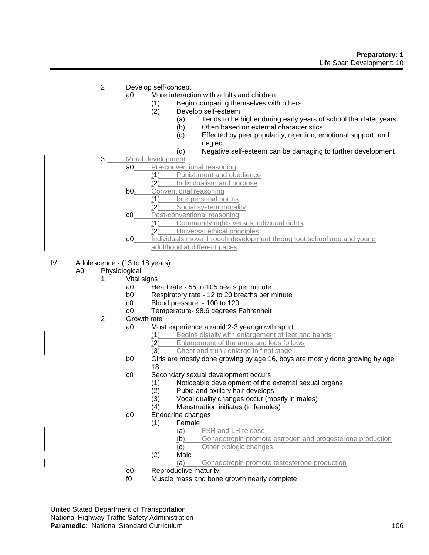- 2 Develop self-concept
	- a0 More interaction with adults and children
		- (1) Begin comparing themselves with others
		- (2) Develop self-esteem
			- (a) Tends to be higher during early years of school than later years
			- (b) Often based on external characteristics
			- (c) Effected by peer popularity, rejection, emotional support, and neglect
			- (d) Negative self-esteem can be damaging to further development
- 3 Moral development
	- a0 Pre-conventional reasoning
		- (1) Punishment and obedience
		- (2) Individualism and purpose
		- **b0** Conventional reasoning
			- (1) Interpersonal norms
			- (2) Social system morality
		- c0 Post-conventional reasoning
			- (1) Community rights versus individual rights
			- (2) Universal ethical principles
		- d0 Individuals move through development throughout school age and young adulthood at different paces
- IV Adolescence (13 to 18 years)
	- A0 Physiological
		- 1 Vital signs
			- a0 Heart rate 55 to 105 beats per minute
			- b0 Respiratory rate 12 to 20 breaths per minute
			- c0 Blood pressure 100 to 120
			- d0 Temperature- 98.6 degrees Fahrenheit
		- 2 Growth rate
			- a0 Most experience a rapid 2-3 year growth spurt
				- (1) Begins distally with enlargement of feet and hands
				- (2) Enlargement of the arms and legs follows
				- (3) Chest and trunk enlarge in final stage
			- b0 Girls are mostly done growing by age 16, boys are mostly done growing by age 18
			- c0 Secondary sexual development occurs
				- (1) Noticeable development of the external sexual organs
				- (2) Pubic and axillary hair develops
				- (3) Vocal quality changes occur (mostly in males)
				- (4) Menstruation initiates (in females)
			- d0 Endocrine changes
				- (1) Female
					- (a) FSH and LH release
					- (b) Gonadotropin promote estrogen and progesterone production
					- (c) Other biologic changes
					- (2) Male
						- (a) Gonadotropin promote testosterone production
			- e0 Reproductive maturity<br>f0 Muscle mass and bone
			- Muscle mass and bone growth nearly complete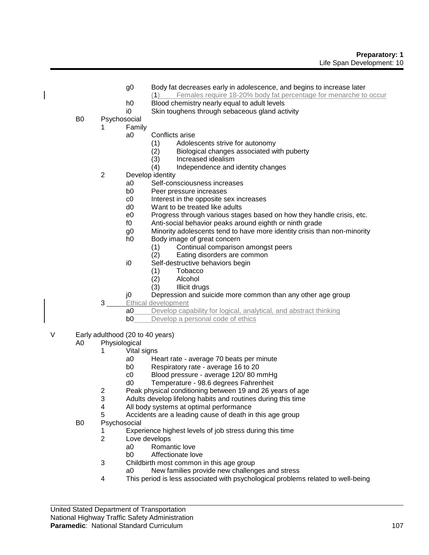- g0 Body fat decreases early in adolescence, and begins to increase later
	- (1) Females require 18-20% body fat percentage for menarche to occur
- h0 Blood chemistry nearly equal to adult levels
- i0 Skin toughens through sebaceous gland activity
- B0 Psychosocial
	- 1 Family
		- a0 Conflicts arise
			- (1) Adolescents strive for autonomy<br>(2) Biological changes associated wi
			- (2) Biological changes associated with puberty
			- Increased idealism
			- (4) Independence and identity changes
	- 2 Develop identity
		- a0 Self-consciousness increases
		- b0 Peer pressure increases
		- c0 Interest in the opposite sex increases
		- d0 Want to be treated like adults
		- e0 Progress through various stages based on how they handle crisis, etc.
		- f0 Anti-social behavior peaks around eighth or ninth grade
		- g0 Minority adolescents tend to have more identity crisis than non-minority
		- h0 Body image of great concern
			- (1) Continual comparison amongst peers
			- (2) Eating disorders are common
		- i0 Self-destructive behaviors begin
			- (1) Tobacco
			- **Alcohol**
			- (3) Illicit drugs
		- j0 Depression and suicide more common than any other age group
	- 3 Ethical development
		- a0 Develop capability for logical, analytical, and abstract thinking
		- **b0** Develop a personal code of ethics
- V Early adulthood (20 to 40 years)
	- A0 Physiological
		- 1 Vital signs
			- a0 Heart rate average 70 beats per minute
			- b0 Respiratory rate average 16 to 20
			- c0 Blood pressure average 120/ 80 mmHg
			- d0 Temperature 98.6 degrees Fahrenheit
		- 2 Peak physical conditioning between 19 and 26 years of age
		- 3 Adults develop lifelong habits and routines during this time
		- 4 All body systems at optimal performance
		- 5 Accidents are a leading cause of death in this age group
	- B0 Psychosocial
		- 1 Experience highest levels of job stress during this time
		- 2 Love develops
			- a0 Romantic love
			- b0 Affectionate love
		- 3 Childbirth most common in this age group<br>a0 New families provide new challend
			- New families provide new challenges and stress
		- 4 This period is less associated with psychological problems related to well-being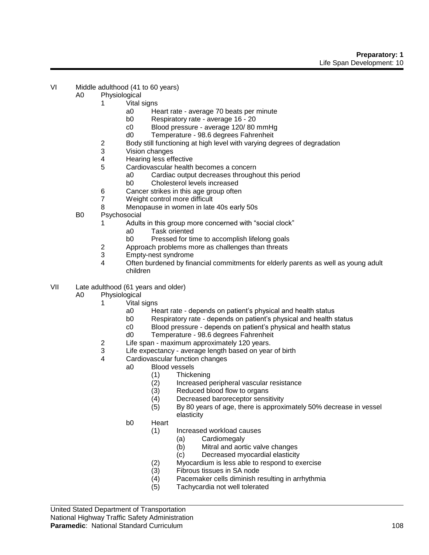- VI Middle adulthood (41 to 60 years)
	- A0 Physiological
		- 1 Vital signs
			- a0 Heart rate average 70 beats per minute
			- b0 Respiratory rate average 16 20
			- c0 Blood pressure average 120/ 80 mmHg
			- d0 Temperature 98.6 degrees Fahrenheit
		- 2 Body still functioning at high level with varying degrees of degradation<br>3 Vision changes
		- Vision changes
		- 4 Hearing less effective
		- 5 Cardiovascular health becomes a concern
			- a0 Cardiac output decreases throughout this period
			- b0 Cholesterol levels increased
		- 6 Cancer strikes in this age group often
		- 7 Weight control more difficult
		- 8 Menopause in women in late 40s early 50s
	- B0 Psychosocial
		- 1 Adults in this group more concerned with "social clock"
			- a0 Task oriented
			- b0 Pressed for time to accomplish lifelong goals
		- 2 Approach problems more as challenges than threats<br>3 Empty-nest syndrome
		- Empty-nest syndrome
		- 4 Often burdened by financial commitments for elderly parents as well as young adult children
- VII Late adulthood (61 years and older)
	- A0 Physiological
		- 1 Vital signs
			- a0 Heart rate depends on patient's physical and health status
			- b0 Respiratory rate depends on patient's physical and health status
			- c0 Blood pressure depends on patient's physical and health status
			- d0 Temperature 98.6 degrees Fahrenheit
			-
		- 2 Life span maximum approximately 120 years.<br>3 Life expectancy average length based on year Life expectancy - average length based on year of birth
		- 4 Cardiovascular function changes
			- a0 Blood vessels
				- (1) Thickening
				- (2) Increased peripheral vascular resistance
				- (3) Reduced blood flow to organs
				- (4) Decreased baroreceptor sensitivity
				- (5) By 80 years of age, there is approximately 50% decrease in vessel elasticity
			- b0 Heart
				- (1) Increased workload causes
					- (a) Cardiomegaly
					- (b) Mitral and aortic valve changes
					- (c) Decreased myocardial elasticity
					- (2) Myocardium is less able to respond to exercise
					- $(3)$  Fibrous tissues in SA node<br>(4) Pacemaker cells diminish re
					- Pacemaker cells diminish resulting in arrhythmia
					- (5) Tachycardia not well tolerated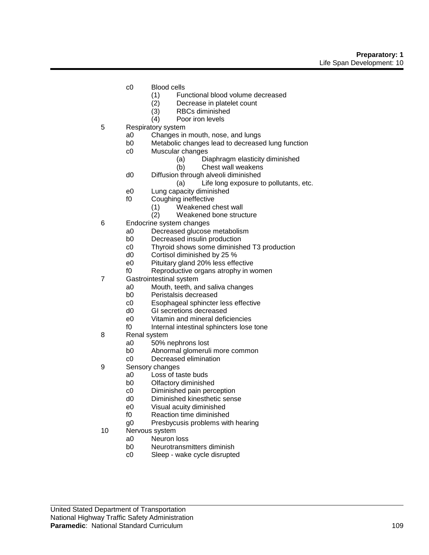- c0 Blood cells
	- (1) Functional blood volume decreased
	- (2) Decrease in platelet count
	- (3) RBCs diminished
	- (4) Poor iron levels
- 5 Respiratory system
	- a0 Changes in mouth, nose, and lungs
	- b0 Metabolic changes lead to decreased lung function
	- c0 Muscular changes
		- (a) Diaphragm elasticity diminished
		- (b) Chest wall weakens
	- d0 Diffusion through alveoli diminished
		- (a) Life long exposure to pollutants, etc.
	- e0 Lung capacity diminished
	- f0 Coughing ineffective
		- (1) Weakened chest wall
		- (2) Weakened bone structure
- 6 Endocrine system changes
	- a0 Decreased glucose metabolism
	- b0 Decreased insulin production
	- c0 Thyroid shows some diminished T3 production
	- d0 Cortisol diminished by 25 %
	- e0 Pituitary gland 20% less effective
	- f0 Reproductive organs atrophy in women
- 7 Gastrointestinal system
	- a0 Mouth, teeth, and saliva changes
	- b0 Peristalsis decreased
	- c0 Esophageal sphincter less effective
	- d0 GI secretions decreased
	- e0 Vitamin and mineral deficiencies
	- f0 Internal intestinal sphincters lose tone
- 8 Renal system
	- a0 50% nephrons lost<br>b0 Abnormal glomeruli
	- Abnormal glomeruli more common
	- c0 Decreased elimination
- 9 Sensory changes
	- a0 Loss of taste buds
	- b0 Olfactory diminished
	- c0 Diminished pain perception
	- d0 Diminished kinesthetic sense
	- e0 Visual acuity diminished
	- f0 Reaction time diminished
	- g0 Presbycusis problems with hearing
- 10 Nervous system
	- a0 Neuron loss
	- b0 Neurotransmitters diminish
	- c0 Sleep wake cycle disrupted